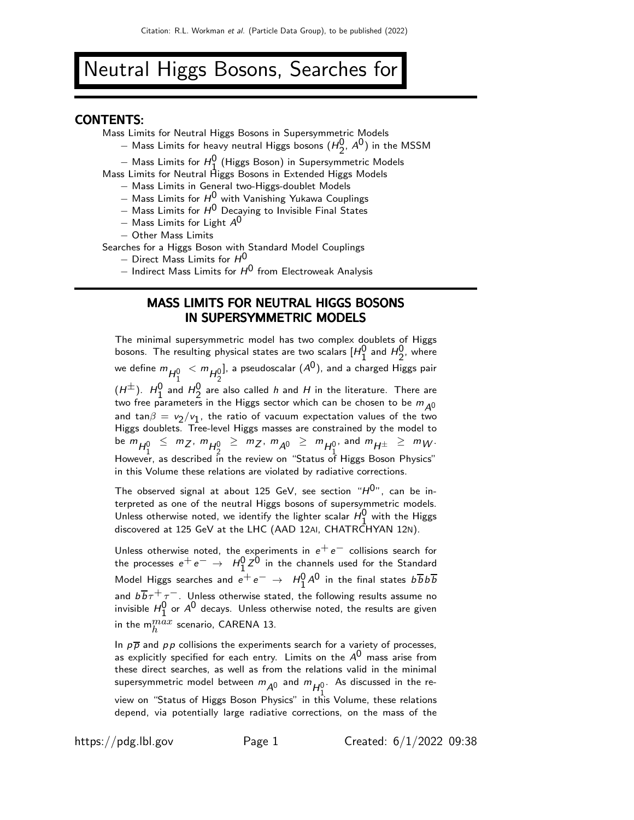# Neutral Higgs Bosons, Searches for

#### CONTENTS:

Mass Limits for Neutral Higgs Bosons in Supersymmetric Models

- − Mass Limits for heavy neutral Higgs bosons  $(H_2^0, A^0)$  in the MSSM
- $-$  Mass Limits for  $H_1^0$  (Higgs Boson) in Supersymmetric Models

Mass Limits for Neutral Higgs Bosons in Extended Higgs Models

- − Mass Limits in General two-Higgs-doublet Models
- $−$  Mass Limits for  $H^0$  with Vanishing Yukawa Couplings
- $-$  Mass Limits for  $H^0$  Decaying to Invisible Final States
- $-$  Mass Limits for Light  $A^0$
- − Other Mass Limits

Searches for a Higgs Boson with Standard Model Couplings

- $-$  Direct Mass Limits for  $H^0$
- $-$  Indirect Mass Limits for  $H^0$  from Electroweak Analysis

### MASS LIMITS FOR NEUTRAL HIGGS BOSONS IN SUPERSYMMETRIC MODELS

The minimal supersymmetric model has two complex doublets of Higgs bosons. The resulting physical states are two scalars  $[H_1^0$  and  $H_2^0$ , where we define  $m_{H_1^0} < m_{H_2^0}$ ], a pseudoscalar  $({\mathcal A}^{\mathsf 0})$ , and a charged Higgs pair  $(H^{\pm})$ .  $H_1^0$  and  $H_2^0$  are also called h and H in the literature. There are two free parameters in the Higgs sector which can be chosen to be  $m_{\Delta 0}$ and  $\tan\beta = v_2/v_1$ , the ratio of vacuum expectation values of the two Higgs doublets. Tree-level Higgs masses are constrained by the model to be  $m_{H_1^0} \le m_Z, m_{H_2^0} \ge m_Z, m_{A^0} \ge m_{H_1^0},$  and  $m_{H^{\pm}} \ge m_W$ . However, as described in the review on "Status of Higgs Boson Physics" in this Volume these relations are violated by radiative corrections.

The observed signal at about 125 GeV, see section " $H^{0}$ ", can be interpreted as one of the neutral Higgs bosons of supersymmetric models. Unless otherwise noted, we identify the lighter scalar  $H_0^0$  with the Higgs discovered at 125 GeV at the LHC (AAD 12AI, CHATRCHYAN 12N).

Unless otherwise noted, the experiments in  $e^+e^-$  collisions search for the processes  $e^+e^-\,\rightarrow\,\,H_1^0 Z^0$  in the channels used for the Standard Model Higgs searches and  $e^+e^-\,\rightarrow\,\,H_1^0A^0$  in the final states  $b\overline{b}b\overline{b}$ and  $b\overline{b}\tau^{+}\tau^{-}$ . Unless otherwise stated, the following results assume no invisible  $H_1^0$  or  $A^0$  decays. Unless otherwise noted, the results are given in the m $_n^{max}$  scenario, CARENA 13.

In  $p\overline{p}$  and  $p\overline{p}$  collisions the experiments search for a variety of processes, as explicitly specified for each entry. Limits on the  $A^{0}$  mass arise from these direct searches, as well as from the relations valid in the minimal supersymmetric model between  $m_{\tilde{A}^0}$  and  $m_{H_1^0}$ . As discussed in the review on "Status of Higgs Boson Physics" in this Volume, these relations depend, via potentially large radiative corrections, on the mass of the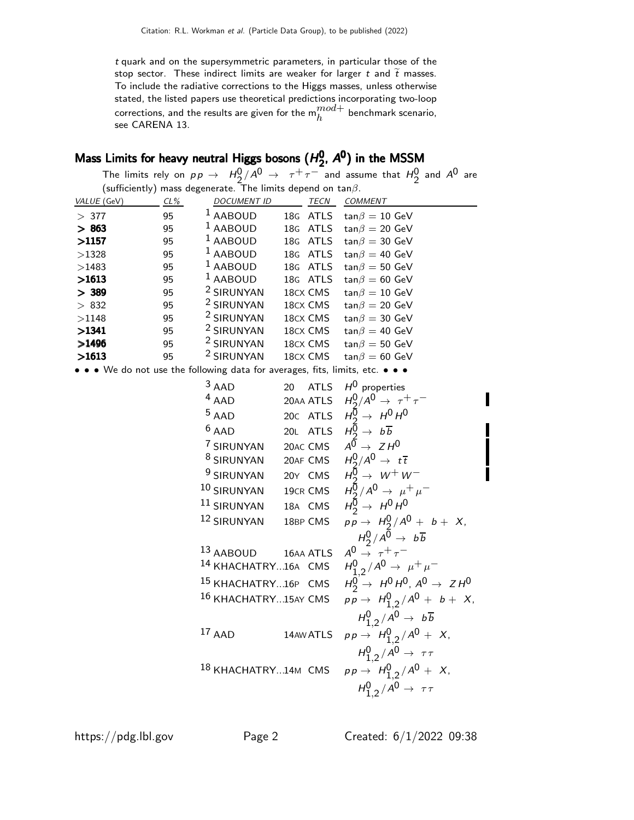t quark and on the supersymmetric parameters, in particular those of the stop sector. These indirect limits are weaker for larger  $t$  and  $\tilde{t}$  masses. To include the radiative corrections to the Higgs masses, unless otherwise stated, the listed papers use theoretical predictions incorporating two-loop corrections, and the results are given for the  $m_h^{mod+}$  benchmark scenario, see CARENA 13.

#### Mass Limits for heavy neutral Higgs bosons ( $H_2^0$ Mass Limits for heavy neutral Higgs bosons  $(H_2^0, A^0)$  $_2^0$ ,  $A^0$ ) in the MSSM

|             |        |                                                                               |                   | The limits rely on $p p \to H_2^0/A^0 \to \tau^+ \tau^-$ and assume that $H_2^0$ and $A^0$ are |
|-------------|--------|-------------------------------------------------------------------------------|-------------------|------------------------------------------------------------------------------------------------|
|             |        | (sufficiently) mass degenerate. The limits depend on $tan \beta$ .            |                   |                                                                                                |
| VALUE (GeV) | $CL\%$ | <b>DOCUMENT ID</b>                                                            | TECN              | COMMENT                                                                                        |
| >377        | 95     | <sup>1</sup> AABOUD                                                           | 18G ATLS          | $tan \beta = 10$ GeV                                                                           |
| > 863       | 95     | <sup>1</sup> AABOUD                                                           | 18G ATLS          | $tan \beta = 20$ GeV                                                                           |
| >1157       | 95     | <sup>1</sup> AABOUD                                                           | 18G ATLS          | $tan \beta = 30$ GeV                                                                           |
| >1328       | 95     | $1$ AABOUD                                                                    | 18G ATLS          | $tan \beta = 40$ GeV                                                                           |
| >1483       | 95     | $1$ AABOUD                                                                    | 18G ATLS          | $tan \beta = 50$ GeV                                                                           |
| >1613       | 95     | $1$ AABOUD                                                                    | 18G ATLS          | $tan \beta = 60$ GeV                                                                           |
| > 389       | 95     | <sup>2</sup> SIRUNYAN                                                         | 18cx CMS          | $tan \beta = 10$ GeV                                                                           |
| > 832       | 95     | <sup>2</sup> SIRUNYAN                                                         | 18CX CMS          | $tan \beta = 20$ GeV                                                                           |
| >1148       | 95     | <sup>2</sup> SIRUNYAN                                                         | 18CX CMS          | $tan \beta = 30$ GeV                                                                           |
| >1341       | 95     | <sup>2</sup> SIRUNYAN                                                         | 18CX CMS          | $tan \beta = 40$ GeV                                                                           |
| >1496       | 95     | <sup>2</sup> SIRUNYAN                                                         | 18CX CMS          | $tan \beta = 50$ GeV                                                                           |
| >1613       | 95     | <sup>2</sup> SIRUNYAN                                                         | 18CX CMS          | $tan \beta = 60$ GeV                                                                           |
|             |        | • • • We do not use the following data for averages, fits, limits, etc. • • • |                   |                                                                                                |
|             |        | $3$ AAD                                                                       | 20<br><b>ATLS</b> | $H^0$ properties                                                                               |
|             |        | $4$ AAD                                                                       | 20AA ATLS         | $H_2^0/A^0 \rightarrow \tau^+\tau^-$                                                           |
|             |        | $5$ AAD                                                                       | 20c ATLS          | $H_2^{\overline{0}} \rightarrow H^0 H^0$                                                       |
|             |        | $6$ AAD                                                                       | 20L ATLS          | $H_2^{\overline{0}} \rightarrow b \overline{b}$                                                |
|             |        | 7 SIRUNYAN                                                                    | 20AC CMS          | $A^{\overline{0}} \rightarrow Z H^{\overline{0}}$                                              |
|             |        | <sup>8</sup> SIRUNYAN                                                         | 20AF CMS          | $H^0_2/A^0 \rightarrow t\overline{t}$                                                          |
|             |        | <sup>9</sup> SIRUNYAN                                                         | 20Y CMS           | $H_2^{\overline{0}} \rightarrow W^+W^-$                                                        |
|             |        | 10 SIRUNYAN                                                                   | 19CR CMS          | $H_2^{\bar{0}}/A^{\bar{0}} \to \mu^+ \mu^-$                                                    |
|             |        | 11 SIRUNYAN                                                                   | 18A CMS           | $H_2^{\overline{0}} \rightarrow H^0 H^0$                                                       |
|             |        | 12 SIRUNYAN                                                                   | 18BP CMS          | $pp \to H_2^0/A^0 + b + X$ ,                                                                   |
|             |        |                                                                               |                   | $H_2^0/A^{\overline{0}} \rightarrow b \overline{b}$                                            |
|             |        | 13 AABOUD                                                                     | 16AA ATLS         | $A^0 \stackrel{=}{\rightarrow} \tau^+ \tau^-$                                                  |
|             |        | 14 KHACHATRY16A CMS                                                           |                   | $H_{1,2}^0/A^0 \to \mu^+\mu^-$                                                                 |
|             |        | 15 KHACHATRY16P CMS                                                           |                   | $H_2^0 \rightarrow H^0 H^0$ , $A^0 \rightarrow Z H^0$                                          |
|             |        | <sup>16</sup> KHACHATRY15AY CMS                                               |                   | $pp \to H_{1,2}^0/A^0 + b + X,$                                                                |
|             |        |                                                                               |                   | $H_{1,2}^0/A^0 \rightarrow b\overline{b}$                                                      |
|             |        | $17$ AAD                                                                      | 14AW ATLS         | $pp \to H_{1,2}^0/A^0 + X$ ,                                                                   |
|             |        |                                                                               |                   | $H_{1,2}^0/A^0 \rightarrow \tau\tau$                                                           |
|             |        | 18 KHACHATRY14M CMS                                                           |                   | $pp \to H_{1,2}^0/A^0 + X,$                                                                    |
|             |        |                                                                               |                   |                                                                                                |
|             |        |                                                                               |                   | $H_{1,2}^0/A^0 \rightarrow \tau \tau$                                                          |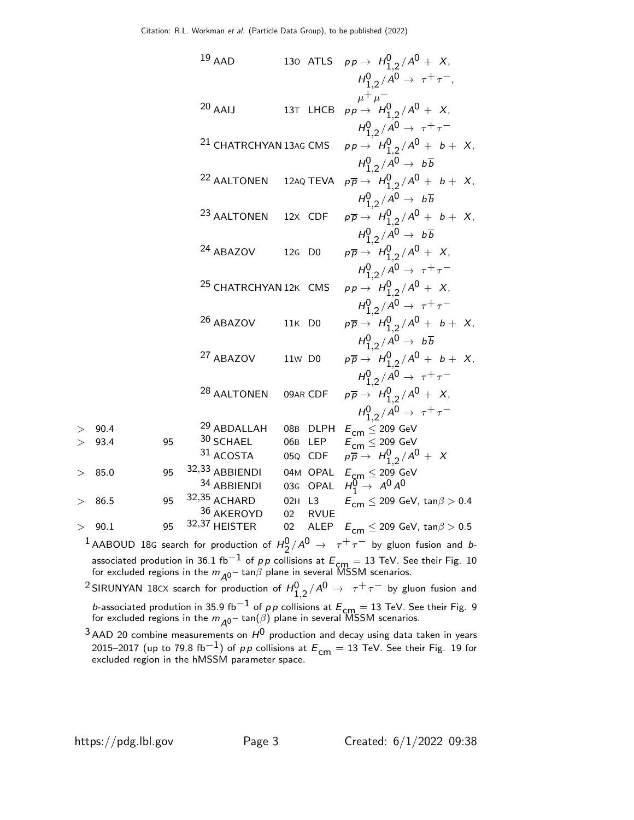19 AAD 130 ATLS 
$$
pp \rightarrow H_{1,2}^{0}/A^{0} + X
$$
,  
\n $H_{1,2}^{0}/A^{0} \rightarrow \tau^{+}\tau^{-}$ ,  
\n $\mu^{+}\mu^{-}$   
\n20 AAU 13T LHCB  $pp \rightarrow H_{1,2}^{0}/A^{0} + X$ ,  
\n $H_{1,2}^{0}/A^{0} \rightarrow \tau^{+}\tau^{-}$   
\n21 CHATRCHYAN13AG CMS  $pp \rightarrow H_{1,2}^{0}/A^{0} + b + X$ ,  
\n $H_{1,2}^{0}/A^{0} \rightarrow b\overline{b}$   
\n22 AALTONEN 12AQ TEVA  $p\overline{p} \rightarrow H_{1,2}^{0}/A^{0} + b + X$ ,  
\n $H_{1,2}^{0}/A^{0} \rightarrow b\overline{b}$   
\n23 AALTONEN 12X CDF  $p\overline{p} \rightarrow H_{1,2}^{0}/A^{0} + b + X$ ,  
\n $H_{1,2}^{0}/A^{0} \rightarrow b\overline{b}$   
\n24 ABAZOV 12G DO  $p\overline{p} \rightarrow H_{1,2}^{0}/A^{0} + X$ ,  
\n $H_{1,2}^{0}/A^{0} \rightarrow \tau^{+}\tau^{-}$   
\n25 CHATRCHYAN12K CMS  $pp \rightarrow H_{1,2}^{0}/A^{0} + X$ ,  
\n $H_{1,2}^{0}/A^{0} \rightarrow \tau^{+}\tau^{-}$   
\n26 ABAZOV 11K DO  $p\overline{p} \rightarrow H_{1,2}^{0}/A^{0} + b + X$ ,  
\n $H_{1,2}^{0}/A^{0} \rightarrow \tau^{+}\tau^{-}$   
\n26 ABAZOV 11K DO  $p\overline{p} \rightarrow H_{1,2}^{0}/A^{0} + b + X$ ,  
\n $H_{1,2}^{0}/A^{0} \rightarrow \tau^{+}\tau^{-}$   
\n28 AALTONEN 09AR CDF  $p\overline{p} \rightarrow H_{1,2}^{0}/A^{0} + X$ ,  
\n $H_{1,2}^{0}/A^{0} \rightarrow \tau^{+}\tau^{-}$   
\n29 ABLALLAH 08B DLPH E<

1 AABOUD 18G search for production of  $H_2^0/A^0 \rightarrow \tau^+ \tau^-$  by gluon fusion and bassociated prodution in 36.1 fb $^{-1}$  of p p collisions at  $E_{\text{cm}} = 13$  TeV. See their Fig. 10 for excluded regions in the  $m_{\tilde{A}^0}$  – tan $\beta$  plane in several MSSM scenarios.

 $^2$ SIRUNYAN 18 $\propto$  search for production of  $H_{1,2}^0/A^0 \rightarrow \tau^+ \tau^-$  by gluon fusion and b-associated prodution in 35.9 fb $^{-1}$  of p p collisions at  $E_{\text{cm}} = 13$  TeV. See their Fig. 9 for excluded regions in the  $m_{\mathcal{A}^0}$  –  $\tan(\beta)$  plane in several MSSM scenarios.

 $3$  AAD 20 combine measurements on  $H^0$  production and decay using data taken in years 2015–2017 (up to 79.8 fb $^{-1})$  of  $\rho \rho$  collisions at  ${\cal E}_{\mathsf{cm}}=13$  TeV. See their Fig. 19 for<br>excluded region in the hMSSM parameter space.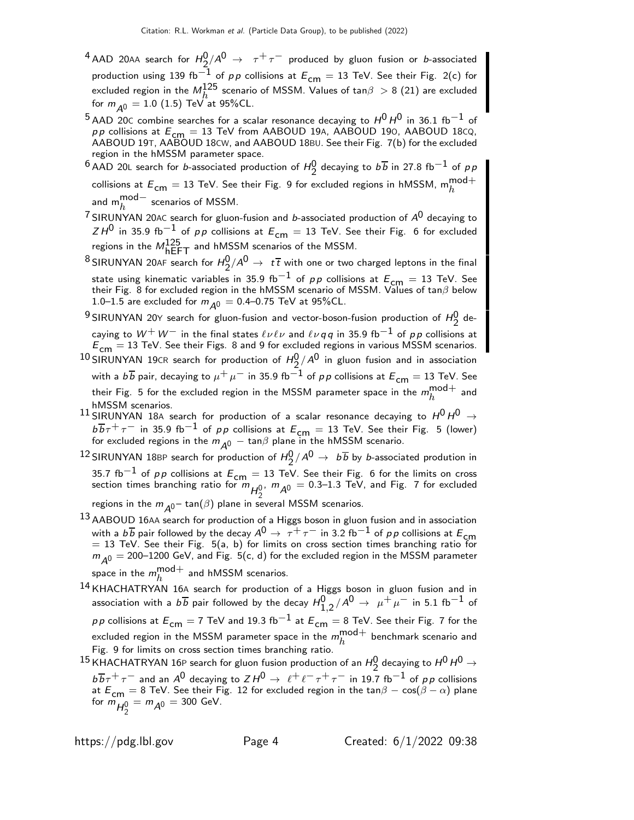- $^4$  AAD 20AA search for  $H_2^0/A^0$   $\;\rightarrow\;\; \tau^+\tau^-$  produced by gluon fusion or  $b$ -associated production using 139 fb<sup>-1</sup> of pp collisions at  $E_{cm} = 13$  TeV. See their Fig. 2(c) for excluded region in the  $M_h^{125}$  scenario of MSSM. Values of tan $\beta > 8$  (21) are excluded for  $m_{A0} = 1.0$  (1.5) TeV at 95%CL.
- $^5$ AAD 20C combine searches for a scalar resonance decaying to  $H^0$   $H^0$  in 36.1 fb $^{-1}$  of *pp* collisions at  $E_{cm} = 13$  TeV from AABOUD 19A, AABOUD 190, AABOUD 18CQ, AABOUD 19T, AABOUD 18CW, and AABOUD 18BU. See their Fig. 7(b) for the excluded region in the hMSSM parameter space.
- $^6$ AAD 20L search for *b*-associated production of  $H_2^0$  decaying to  $b\overline{b}$  in 27.8 fb $^{-1}$  of  $\rho$   $p$ collisions at  ${E}_{\mathsf{cm}}=13$  TeV. See their Fig. 9 for excluded regions in hMSSM,  $\mathsf{m}_{h}^{\mathsf{mod+}}$ and  ${\sf m}^{{\sf mod}-}_h$  scenarios of MSSM.
- <sup>7</sup> SIRUNYAN 20AC search for gluon-fusion and *b*-associated production of  $A^0$  decaying to  $ZH^0$  in 35.9 fb $^{-1}$  of  $p\,p$  collisions at  $E^{}_{\mathsf{cm}}=13$  TeV. See their Fig. 6 for excluded regions in the  $M_{\text{hEFT}}^{125}$  and hMSSM scenarios of the MSSM.
- $^8$ SIRUNYAN 20AF search for  $H_2^0/A^0\to~t\,\overline{t}$  with one or two charged leptons in the final state using kinematic variables in 35.9 fb<sup>-1</sup> of pp collisions at  $E_{cm} = 13$  TeV. See their Fig. 8 for excluded region in the hMSSM scenario of MSSM. Values of  $\tan\beta$  below 1.0–1.5 are excluded for  $m_{A0} = 0.4$ –0.75 TeV at 95%CL.
- $^{9}$ SIRUNYAN 20Y search for gluon-fusion and vector-boson-fusion production of  $H_{2}^{0}$  decaying to  $W^+ \, W^-$  in the final states  $\ell \nu \ell \nu$  and  $\ell \nu q \, q$  in 35.9 fb $^{-1}$  of  $\rho \rho$  collisions at  $E_{\text{cm}} = 13$  TeV. See their Figs. 8 and 9 for excluded regions in various MSSM scenarios.
- $^{10}$ SIRUNYAN 19 $\,$ cR search for production of  $H_2^0/A^0$  in gluon fusion and in association with a  $b\overline{b}$  pair, decaying to  $\mu^+ \mu^-$  in 35.9 fb $^{-1}$  of  $\rho \rho$  collisions at  $E_{\textsf{cm}}=13$  TeV. See their Fig. 5 for the excluded region in the MSSM parameter space in the  $m_h^{\rm mod+}$  $h^{\text{mou+}}$  and hMSSM scenarios.
- $^{11}$  SIRUNYAN 18A search for production of a scalar resonance decaying to  $H^{0}H^{0} \rightarrow$  $b\overline{b}\tau^+\tau^-$  in 35.9 fb<sup>-1</sup> of pp collisions at  $E_{\text{cm}} = 13$  TeV. See their Fig. 5 (lower) for excluded regions in the  $m_{\tilde{A}^0}$   $-$  tan $\beta$  plane in the hMSSM scenario.
- $^{12}$ SIRUNYAN 18BP search for production of  $H_2^0/A^0 \rightarrow \ b \overline{b}$  by *b*-associated prodution in 35.7 fb<sup>-1</sup> of p p collisions at  $E_{cm} = 13$  TeV. See their Fig. 6 for the limits on cross section times branching ratio for  $m_{H_2^0}$ ,  $m_{A^0} = 0.3$ –1.3 TeV, and Fig. 7 for excluded

regions in the  $m_{A0}$  – tan( $\beta$ ) plane in several MSSM scenarios.

- <sup>13</sup> AABOUD 16AA search for production of a Higgs boson in gluon fusion and in association with a  $b\overline{b}$  pair followed by the decay  $A^0 \rightarrow \tau^+ \tau^-$  in 3.2 fb<sup>-1</sup> of pp collisions at  $E_{cm}$  $= 13$  TeV. See their Fig. 5(a, b) for limits on cross section times branching ratio for  $m_{A0} = 200$ –1200 GeV, and Fig. 5(c, d) for the excluded region in the MSSM parameter space in the  $m_h^{\text{mod}+}$  $h^{1110}$  and hMSSM scenarios.
- 14 KHACHATRYAN 16<sup>A</sup> search for production of a Higgs boson in gluon fusion and in association with a  $b\overline{b}$  pair followed by the decay  $H_{1,2}^0/A^0 \rightarrow \ \mu^+\mu^-$  in 5.1 fb $^{-1}$  of  $pp$  collisions at  $E_{cm} = 7$  TeV and 19.3 fb $^{-1}$  at  $E_{cm} = 8$  TeV. See their Fig. 7 for the excluded region in the MSSM parameter space in the  $m_h^{\rm mod+}$  $\frac{1}{h}$  benchmark scenario and Fig. 9 for limits on cross section times branching ratio.
- $^{15}$ KHACHATRYAN 16P search for gluon fusion production of an  $H_2^0$  decaying to  $H^0$   $\rightarrow$  $b\overline{b}\tau^+\tau^-$  and an A<sup>0</sup> decaying to  $ZH^0 \to \ell^+\ell^-\tau^+\tau^-$  in 19.7 fb<sup>-1</sup> of pp collisions at  $E_{cm} = 8$  TeV. See their Fig. 12 for excluded region in the tan $\beta - \cos(\beta - \alpha)$  plane for  $m_{H_2^0} = m_{A^0} = 300$  GeV.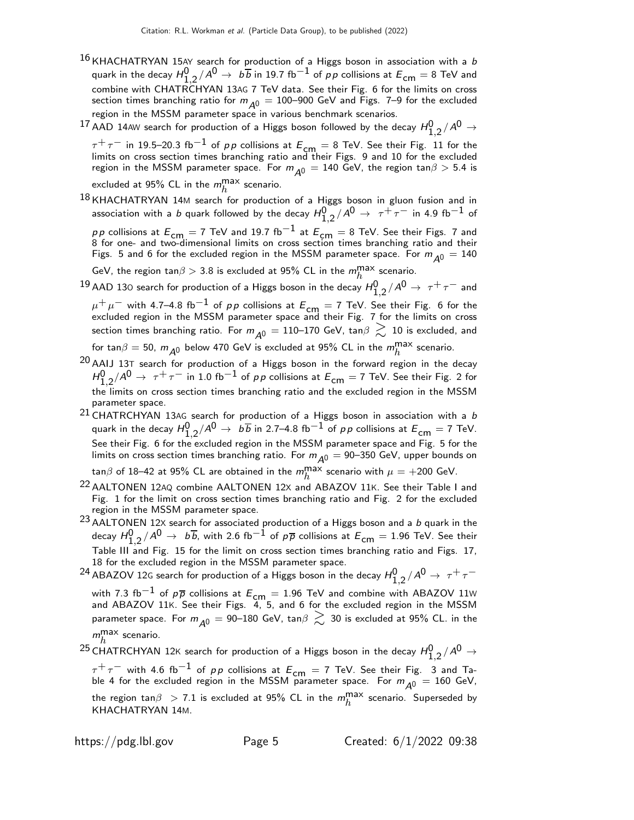- $16$  KHACHATRYAN 15AY search for production of a Higgs boson in association with a b quark in the decay  $H_{1,2}^0/A^0\to~b\overline{b}$  in 19.7 fb $^{-1}$  of  $\rho\overline{\rho}$  collisions at  $E^{}_{\mathsf{cm}}=$  8 TeV and combine with CHATRCHYAN 13AG 7 TeV data. See their Fig. 6 for the limits on cross section times branching ratio for  $m_{A^0} = 100$ -900 GeV and Figs. 7-9 for the excluded region in the MSSM parameter space in various benchmark scenarios.
- $^{17}$  AAD 14AW search for production of a Higgs boson followed by the decay  $H_{1,2}^0/A^0\rightarrow$

 $\tau^+\tau^-$  in 19.5–20.3 fb $^{-1}$  of  $\rho\, \rho$  collisions at  $E_{\mathsf{cm}}=8$  TeV. See their Fig. 11 for the<br>limits on cross section times branching ratio and their Figs. 9 and 10 for the excluded region in the MSSM parameter space. For  $m_{\cal \tilde{A}^0} = 140$  GeV, the region tan $\beta > 5.4$  is

excluded at 95% CL in the  $m_h^{\rm max}$  scenario.

18 KHACHATRYAN 14M search for production of a Higgs boson in gluon fusion and in association with a  $b$  quark followed by the decay  $H_{1,2}^0/A^0\to~\tau^+\tau^-$  in 4.9 fb $^{-1}$  of

 $p\,p$  collisions at  $E_{\mathsf{cm}}=7$  TeV and 19.7 fb $^{-1}$  at  $E_{\mathsf{cm}}=8$  TeV. See their Figs. 7 and<br>8 for one- and two-dimensional limits on cross section times branching ratio and their Figs. 5 and 6 for the excluded region in the MSSM parameter space. For  $m_{\tilde{A}0} = 140$ 

GeV, the region tan $\beta > 3.8$  is excluded at 95% CL in the  $m_h^{\text{max}}$  scenario.

 $^{19}$  AAD 130 search for production of a Higgs boson in the decay  $H_{1,2}^0/A^0\to\,\tau^+\,\tau^-$  and  $\mu^+ \mu^-$  with 4.7–4.8 fb $^{-1}$  of  $\rho \rho$  collisions at  $E_{\mathsf{cm}}=7$  TeV. See their Fig. 6 for the excluded region in the MSSM parameter space and their Fig. 7 for the limits on cross

section times branching ratio. For  $m_{A0} = 110-170$  GeV, tan $\beta \gtrsim 10$  is excluded, and for tan $\beta = 50$ ,  $m_{\tilde{\mathcal{A}}^0}$  below 470 GeV is excluded at 95% CL in the  $m_h^{\text{max}}$  scenario.

- $20$  AAIJ 13T search for production of a Higgs boson in the forward region in the decay  $H_{1,2}^0/A^0\to~\tau^+\tau^-$  in 1.0 fb $^{-1}$  of  $\rho\,\rho$  collisions at  $E_{\mathsf{cm}}=$  7 TeV. See their Fig. 2 for the limits on cross section times branching ratio and the excluded region in the MSSM parameter space.
- $^{21}$  CHATRCHYAN 13AG search for production of a Higgs boson in association with a b quark in the decay  $H_{1,2}^0/A^0\to~b\overline{b}$  in 2.7–4.8 fb $^{-1}$  of  $\rho\overline{\rho}$  collisions at  $E^{}_{\mathsf{cm}}=$  7 TeV. See their Fig. 6 for the excluded region in the MSSM parameter space and Fig. 5 for the limits on cross section times branching ratio. For  $m_{A0} = 90-350$  GeV, upper bounds on

tan $\beta$  of 18–42 at 95% CL are obtained in the  $m_h^{\text{max}}$  scenario with  $\mu = +200$  GeV.

- <sup>22</sup> AALTONEN 12AQ combine AALTONEN 12x and ABAZOV 11K. See their Table I and Fig. 1 for the limit on cross section times branching ratio and Fig. 2 for the excluded region in the MSSM parameter space.
- $23$  AALTONEN 12X search for associated production of a Higgs boson and a b quark in the decay  $H_{1,2}^0/A^0\to~$   $b\overline{b}$ , with 2.6 fb $^{-1}$  of  $\rho\overline{\rho}$  collisions at  $E_{\sf cm}=$  1.96 TeV. See their Table III and Fig. 15 for the limit on cross section times branching ratio and Figs. 17, 18 for the excluded region in the MSSM parameter space.

 $^{24}$  ABAZOV 12G search for production of a Higgs boson in the decay  $H_{1,2}^0/A^0 \rightarrow \ \tau^+ \tau^-$ 

with 7.3 fb $^{-1}$  of  $\rho\overline{\rho}$  collisions at  $E_{\mathsf{cm}}=1.96$  TeV and combine with ABAZOV 11w<br>and ABAZOV 11K. See their Figs. 4, 5, and 6 for the excluded region in the MSSM parameter space. For  $m_{A0} = 90$ –180 GeV, tan $\beta \gtrsim 30$  is excluded at 95% CL. in the  $m_h^{\text{max}}$  scenario.

 $^{25}$  CHATRCHYAN 12K search for production of a Higgs boson in the decay  $H_{1,2}^0/A^0\rightarrow$  $\tau^+\tau^-$  with 4.6 fb $^{-1}$  of pp collisions at  $E_{\mathsf{cm}}=7$  TeV. See their Fig. 3 and Table 4 for the excluded region in the MSSM parameter space. For  $m_{\tilde{\cal A}^0} = 160$  GeV, the region  $\tan\beta > 7.1$  is excluded at 95% CL in the  $m_h^{\text{max}}$  scenario. Superseded by KHACHATRYAN 14M.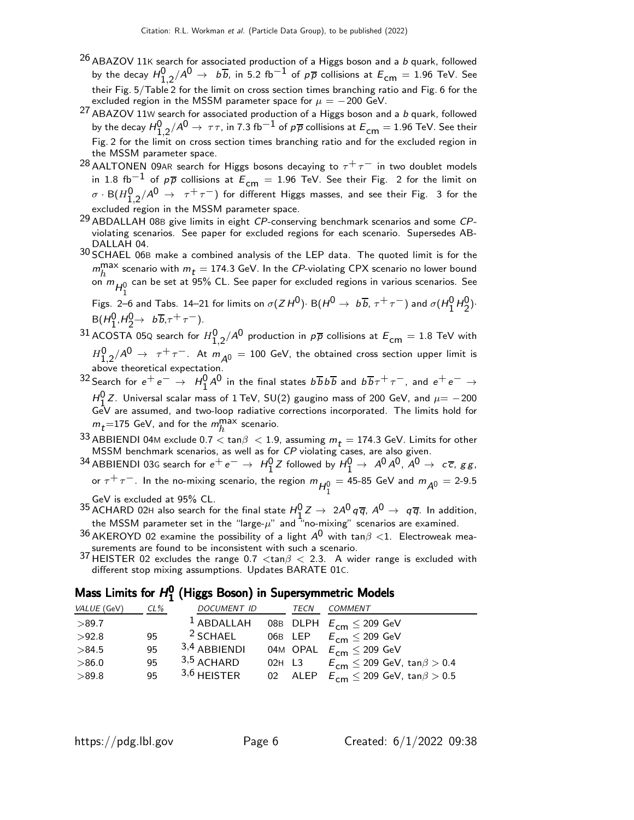- $^{26}$  ABAZOV 11K search for associated production of a Higgs boson and a b quark, followed by the decay  $H_{1,2}^0/A^0\to~$   $b\overline{b}$ , in 5.2 fb $^{-1}$  of  $p\overline{p}$  collisions at  $E_{\mathsf{cm}}=$  1.96 TeV. See their Fig. 5/Table 2 for the limit on cross section times branching ratio and Fig. 6 for the excluded region in the MSSM parameter space for  $\mu = -200$  GeV.
- 27 ABAZOV 11W search for associated production of a Higgs boson and a b quark, followed by the decay  $H_{1,2}^0/A^0\to~\tau\tau$ , in 7.3 fb $^{-1}$  of  $\rho\overline\rho$  collisions at  $E_{\mathsf{cm}}=$  1.96 TeV. See their Fig. 2 for the limit on cross section times branching ratio and for the excluded region in the MSSM parameter space.
- <sup>28</sup> AALTONEN 09AR search for Higgs bosons decaying to  $\tau^+\tau^-$  in two doublet models in 1.8 fb<sup>-1</sup> of  $p\overline{p}$  collisions at  $E_{cm} = 1.96$  TeV. See their Fig. 2 for the limit on  $\sigma \cdot {\sf B}(H_{1,2}^{\sf 0}/\mathcal{A}^{\sf 0} \;\to\;\; \tau^+\,\tau^-)$  for different Higgs masses, and see their Fig. 3 for the excluded region in the MSSM parameter space.
- 29 ABDALLAH 08<sup>B</sup> give limits in eight CP-conserving benchmark scenarios and some CPviolating scenarios. See paper for excluded regions for each scenario. Supersedes AB-DALLAH 04.
- 30 SCHAEL 06<sup>B</sup> make a combined analysis of the LEP data. The quoted limit is for the  $m_h^{\text{max}}$  scenario with  $m_t = 174.3$  GeV. In the CP-violating CPX scenario no lower bound on  $m_{H_1^0}$  can be set at 95% CL. See paper for excluded regions in various scenarios. See

Figs. 2–6 and Tabs. 14–21 for limits on  $\sigma(ZH^0)$ · B $(H^0 \rightarrow b\overline{b}, \tau^+ \tau^-)$  and  $\sigma(H_1^0 H_2^0)$ ·  $B(H_1^0, H_2^0 \rightarrow b\overline{b}, \tau^+ \tau^-).$ 

 $^{31}$  ACOSTA 05Q search for  $H_{1,2}^{\mathsf{0}}/\mathsf{A}^{\mathsf{0}}$  production in  $\rho\overline{\rho}$  collisions at  $\mathsf{E}_{\mathsf{cm}}=1.8$  TeV with  $H_{1,2}^0/A^0$   $\rightarrow$   $~\tau^+\tau^-$ . At  $m_{\cal A^0} =$  100 GeV, the obtained cross section upper limit is above theoretical expectation.

 $^{32}$  Search for  $e^+e^-\to H_1^0A^0$  in the final states  $b\overline{b}b\overline{b}$  and  $b\overline{b}\tau^+\tau^-$ , and  $e^+e^-\to e^ H_1^0$  Z. Universal scalar mass of 1 TeV, SU(2) gaugino mass of 200 GeV, and  $\mu$  = -200 GeV are assumed, and two-loop radiative corrections incorporated. The limits hold for  $m_t$ =175 GeV, and for the  $m_h^{\rm max}$  scenario.

33 ABBIENDI 04M exclude 0.7  $<$  tan $\beta$   $<$  1.9, assuming  $m_t =$  174.3 GeV. Limits for other MSSM benchmark scenarios, as well as for CP violating cases, are also given.

 $^{34}$  ABBIENDI 03G search for  $e^+e^-\to\ H^0_1Z$  followed by  $H^0_1\to\ A^0A^0$  ,  $A^0\to\ c\overline{c}$ ,  $g\,g$  , or  $\tau^+ \tau^-$ . In the no-mixing scenario, the region  $m_{H_1^0} = 45$ -85 GeV and  $m_{A^0} = 2$ -9.5

GeV is excluded at 95% CL.

- $^{35}$  ACHARD 02H also search for the final state  $H_1^0 Z \rightarrow 2A^0 q \overline{q}$ ,  $A^0 \rightarrow q \overline{q}$ . In addition, the MSSM parameter set in the "large- $\mu$ " and "no-mixing" scenarios are examined.
- $36$  AKEROYD 02 examine the possibility of a light  $A^0$  with tan $\beta$  < 1. Electroweak measurements are found to be inconsistent with such a scenario.
- 37 HEISTER 02 excludes the range 0.7  $\langle \tan \beta \langle 2.3 \rangle$  A wider range is excluded with different stop mixing assumptions. Updates BARATE 01C.

#### Mass Limits for  $H_1^0$  $\frac{0}{1}$  (Higgs Boson) in Supersymmetric Models

| VALUE (GeV) | $CL\%$ | <b>DOCUMENT ID</b> |          | TECN | <b>COMMENT</b>                                   |
|-------------|--------|--------------------|----------|------|--------------------------------------------------|
| >89.7       |        | $1$ ABDALLAH       |          |      | 08B DLPH $E_{cm} \leq 209$ GeV                   |
| >92.8       | 95     | $2$ SCHAEL         |          |      | 06B LEP $E_{cm} \leq 209$ GeV                    |
| >84.5       | 95     | $3,4$ ABBIENDI     |          |      | 04M OPAL $E_{cm} \leq 209$ GeV                   |
| >86.0       | 95     | $3,5$ ACHARD       | $02H$ L3 |      | $E_{cm} \leq 209$ GeV, tan $\beta > 0.4$         |
| >89.8       | 95     | $3,6$ HEISTER      |          |      | 02 ALEP $E_{cm} \leq 209$ GeV, tan $\beta > 0.5$ |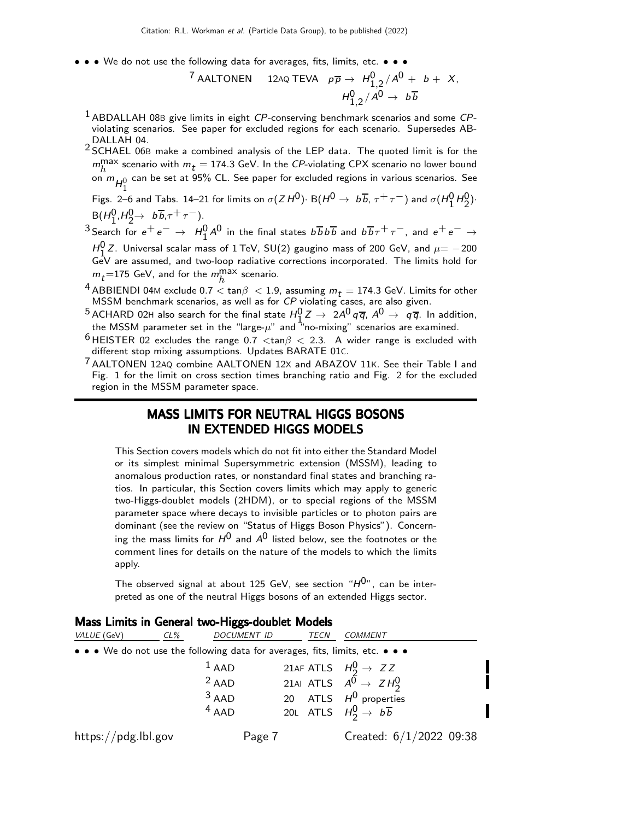• • • We do not use the following data for averages, fits, limits, etc. • • •

$$
{}^{7} \text{AALTONEN} \quad 12 \text{AQ TEVA} \quad p\overline{p} \rightarrow H_{1,2}^{0}/A^{0} + b + X,
$$
\n
$$
H_{1,2}^{0}/A^{0} \rightarrow b\overline{b}
$$

- $<sup>1</sup>$  ABDALLAH 08B give limits in eight CP-conserving benchmark scenarios and some CP-</sup> violating scenarios. See paper for excluded regions for each scenario. Supersedes AB-DALLAH 04.
- 2 SCHAEL 06B make a combined analysis of the LEP data. The quoted limit is for the  $m_h^{\text{max}}$  scenario with  $m_t = 174.3$  GeV. In the CP-violating CPX scenario no lower bound on  $m_{H_1^0}$  can be set at 95% CL. See paper for excluded regions in various scenarios. See

Figs. 2–6 and Tabs. 14–21 for limits on  $\sigma(ZH^0)$ · B $(H^0 \rightarrow b\overline{b}, \tau^+ \tau^-)$  and  $\sigma(H_1^0H_2^0)$ ·  $B(H_1^0, H_2^0 \rightarrow b\overline{b}, \tau^+ \tau^-).$ 

 $3$  Search for  $e^+e^- \rightarrow H_1^0 A^0$  in the final states  $b\overline{b}b\overline{b}$  and  $b\overline{b}\tau^+\tau^-$ , and  $e^+e^- \rightarrow$ 

 $H_1^0$  Z. Universal scalar mass of 1 TeV, SU(2) gaugino mass of 200 GeV, and  $\mu{=}-200$  $n_1$   $\geq$ . Oniversal scalar mass of 1 fev, 30( $\geq$ ) gaughto mass of 200 Gev, and  $\mu$   $=$  200 GeV are assumed, and two-loop radiative corrections incorporated. The limits hold for  $m_t$ =175 GeV, and for the  $m_h^{\rm max}$  scenario.

- <sup>4</sup> ABBIENDI 04M exclude 0.7  $<$  tan $\beta$   $<$  1.9, assuming  $m_t =$  174.3 GeV. Limits for other MSSM benchmark scenarios, as well as for CP violating cases, are also given.
- $^5$  ACHARD 02H also search for the final state  $H_1^0 Z \rightarrow \ 2 A^0 \, q \, \overline{q}, \ A^0 \rightarrow \ q \, \overline{q}.$  In addition, ACTIAND V211 also search for the final state  $n_1 z \rightarrow z \land q \eta$ ,  $A \rightarrow q \eta$ . In additional the MSSM parameter set in the "large- $\mu$ " and "no-mixing" scenarios are examined.
- $6$  HEISTER 02 excludes the range 0.7 <tan $\beta$  < 2.3. A wider range is excluded with different stop mixing assumptions. Updates BARATE 01C.
- 7 AALTONEN 12AQ combine AALTONEN 12<sup>X</sup> and ABAZOV 11K. See their Table I and Fig. 1 for the limit on cross section times branching ratio and Fig. 2 for the excluded region in the MSSM parameter space.

## MASS LIMITS FOR NEUTRAL HIGGS BOSONS IN EXTENDED HIGGS MODELS

This Section covers models which do not fit into either the Standard Model or its simplest minimal Supersymmetric extension (MSSM), leading to anomalous production rates, or nonstandard final states and branching ratios. In particular, this Section covers limits which may apply to generic two-Higgs-doublet models (2HDM), or to special regions of the MSSM parameter space where decays to invisible particles or to photon pairs are dominant (see the review on "Status of Higgs Boson Physics"). Concerning the mass limits for  $H^0$  and  $A^0$  listed below, see the footnotes or the comment lines for details on the nature of the models to which the limits apply.

The observed signal at about 125 GeV, see section " $H^{0}$ ", can be interpreted as one of the neutral Higgs bosons of an extended Higgs sector.

| VALUE (GeV)                                                                                                           | $CL\%$  | DOCUMENT ID | TECN | COMMENT                                          |
|-----------------------------------------------------------------------------------------------------------------------|---------|-------------|------|--------------------------------------------------|
| $\bullet \bullet \bullet$ We do not use the following data for averages, fits, limits, etc. $\bullet \bullet \bullet$ |         |             |      |                                                  |
|                                                                                                                       | $1$ AAD |             |      | 21AF ATLS $H_2^0 \rightarrow ZZ$                 |
|                                                                                                                       | $2$ AAD |             |      | 21AI ATLS $A^{\overline{0}} \rightarrow Z H_2^0$ |
|                                                                                                                       | $3$ AAD |             |      | 20 ATLS $H^0$ properties                         |
|                                                                                                                       | $4$ AAD |             |      | 20L ATLS $H_2^0 \rightarrow b\overline{b}$       |
| https://pdg.lbl.gov                                                                                                   |         | Page 7      |      | Created: $6/1/2022$ 09:38                        |

|  |  |  |  | Mass Limits in General two-Higgs-doublet Models |  |  |  |  |  |  |  |
|--|--|--|--|-------------------------------------------------|--|--|--|--|--|--|--|
|--|--|--|--|-------------------------------------------------|--|--|--|--|--|--|--|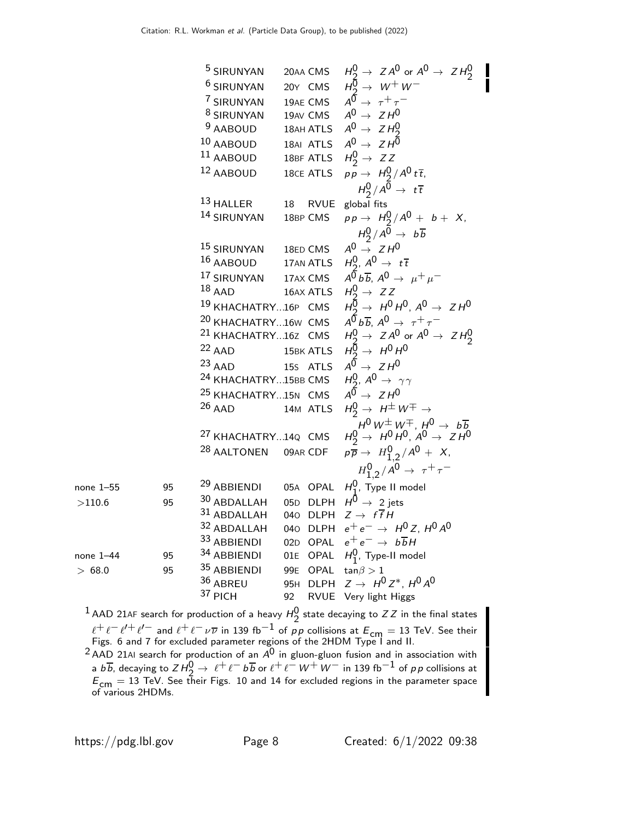5 SIRUNYAN 20AA CMS 
$$
H_9^0 \rightarrow ZA^0
$$
 or  $A^0 \rightarrow ZH_2^0$   
\n6 SIRUNYAN 20Y CMS  $H_9^0 \rightarrow W+W$   
\n7 SIRUNYAN 19AE CMS  $A^0 \rightarrow \tau + \tau$   
\n8 SIRUNYAN 19AN ATLS  $A^0 \rightarrow ZH^0$   
\n9 AABOUD 18AH ATLS  $A^0 \rightarrow ZH^0$   
\n10 AABOUD 18AH ATLS  $A^0 \rightarrow ZH^0$   
\n11 AABOUD 18BE ATLS  $H_2^0 \rightarrow ZZ$   
\n12 AABOUD 18CE ATLS  $pp \rightarrow H_2^0/A^0t\bar{t}$   
\n13 HALLER 18 RVUE global fits  
\n14 SIRUNYAN 18BP CMS  $pp \rightarrow H_2^0/A^0 + b\bar{t}$   
\n15 SIRUNYAN 18BP CMS  $pp \rightarrow H_2^0/A^0 \rightarrow b\bar{b}$   
\n15 SIRUNYAN 18BP CMS  $AB \rightarrow ZH^0$   
\n16 AABOUD 17AN ATLS  $H_2^0$ ,  $A^0 \rightarrow t\bar{t}$   
\n17 SIRUNYAN 17AX CMS  $A^0\bar{b}b\bar{b}$ ,  $A^0 \rightarrow \mu^+ \mu^-$   
\n18 ADD 18AA TLS  $H_2^0$ ,  $A^0 \rightarrow t\bar{t}$   
\n19 KHACHATRY...16P CMS  $A^0 \rightarrow ZH^0$   
\n20 KHACHATRY...16V CMS  $A^0\bar{b}b\bar{b}$ ,  $A^0 \rightarrow \tau^+ \tau^-$   
\n21 KHACHATRY...16V CMS  $A^0\bar{b}b\bar{b}$ ,  $A^0 \rightarrow \tau^+ \tau^-$   
\n22 AAD 15BK ATLS  $H_2^0 \rightarrow H^0H^0$   
\n23 AAD 15BK ATLS  $H_2^0 \rightarrow H^0H^0$   
\n24 ACD 15BK ATLS  $H_2^0 \rightarrow H^0H^0$   
\n25 KHACHATRY...15BE CMS  $AB \rightarrow ZH^0$   
\n26 AAD 14M AT

 $^1$  AAD 21AF search for production of a heavy  $H^0_\gamma$  state decaying to ZZ in the final states  $\ell^+ \ell^- \ell'^+ \ell'^-$  and  $\ell^+ \ell^- \nu \overline{\nu}$  in 139 fb<sup>-1</sup> of *p p* collisions at  $E_{cm} = 13$  TeV. See their Figs. 6 and 7 for excluded parameter regions of the 2HDM Type I and II.

 $^2$ AAD 21AI search for production of an  $A^0$  in gluon-gluon fusion and in association with a bb, decaying to  $ZH^0 \to \ell^+ \ell^- b \overline{b}$  or  $\ell^+ \ell^- W^+ W^-$  in 139 fb $^{-1}$  of pp collisions at  $E_{\rm cm} = 13$  TeV. See their Figs. 10 and 14 for excluded regions in the parameter space<br>of various 2HDMs.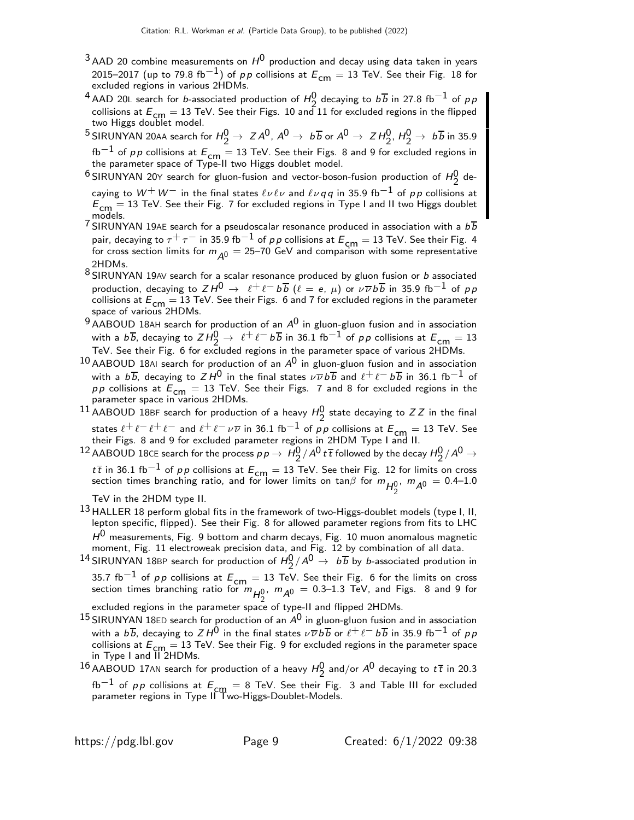- $3$  AAD 20 combine measurements on  $H^0$  production and decay using data taken in years 2015–2017 (up to 79.8 fb $^{-1}$ ) of pp collisions at  $E_{cm} = 13$  TeV. See their Fig. 18 for excluded regions in various 2HDMs.
- <sup>4</sup> AAD 20L search for *b*-associated production of  $H_2^0$  decaying to  $b\overline{b}$  in 27.8 fb<sup>-1</sup> of *p* p collisions at  $E_{cm} = 13$  TeV. See their Figs. 10 and 11 for excluded regions in the flipped two Higgs doublet model.
- $^5$ SIRUNYAN 20aa search for  $H_2^0 \rightarrow \ Z A^0$ ,  $A^0 \rightarrow \ b \overline{b}$  or  $A^0 \rightarrow \ Z H_2^0$ ,  $H_2^0 \rightarrow \ b \overline{b}$  in 35.9 fb<sup>−1</sup> of pp collisions at  $E_{cm} = 13$  TeV. See their Figs. 8 and 9 for excluded regions in the parameter space of Type-II two Higgs doublet model.
- $^6$ SIRUNYAN 20Y search for gluon-fusion and vector-boson-fusion production of  $H_2^0$  decaying to  $W^+ \, W^-$  in the final states  $\ell \nu \ell \nu$  and  $\ell \nu q \, q$  in 35.9 fb $^{-1}$  of  $\rho \rho$  collisions at  $E_{cm} = 13$  TeV. See their Fig. 7 for excluded regions in Type I and II two Higgs doublet models.
- $7^{113}$  SIRUNYAN 19AE search for a pseudoscalar resonance produced in association with a  $b\overline{b}$ pair, decaying to  $\tau^+ \tau^-$  in 35.9 fb $^{-1}$  of pp collisions at  $E_{\sf cm} =$  13 TeV. See their Fig. 4 for cross section limits for  $m_{\Delta 0} = 25-70$  GeV and comparison with some representative 2HDMs.
- 8 SIRUNYAN 19AV search for a scalar resonance produced by gluon fusion or b associated production, decaying to  $ZH^0 \to \ell^+ \ell^- b \overline{b}$  ( $\ell = e, \mu$ ) or  $\nu \overline{\nu} b \overline{b}$  in 35.9 fb<sup>-1</sup> of pp collisions at  $E_{\mathsf{cm}} = 13$  TeV. See their Figs. 6 and 7 for excluded regions in the parameter<br>space of various 2HDMs.
- $9$  AABOUD 18AH search for production of an  $A^0$  in gluon-gluon fusion and in association with a  $b\overline{b}$ , decaying to  $ZH_2^0 \rightarrow \ell^+\ell^- b\overline{b}$  in 36.1 fb<sup>-1</sup> of pp collisions at  $E_{\text{cm}}=13$ TeV. See their Fig. 6 for excluded regions in the parameter space of various 2HDMs.
- $10$  AABOUD 18AI search for production of an  $A^0$  in gluon-gluon fusion and in association with a  $b\overline{b}$ , decaying to  $Z H^0$  in the final states  $\nu \overline{\nu} b \overline{b}$  and  $\ell^+ \ell^- b \overline{b}$  in 36.1 fb $^{-1}$  of  $p p$  collisions at  $E_{cm} = 13$  TeV. See their Figs. 7 and 8 for excluded regions in the parameter space in various 2HDMs.
- <sup>11</sup> AABOUD 18BF search for production of a heavy  $H_2^0$  state decaying to ZZ in the final states  $\ell^+\ell^- \ell^+ \ell^-$  and  $\ell^+\ell^-\nu\overline{\nu}$  in 36.1 fb $^{-1}$  of  $p\,p$  collisions at  $E_{\mathsf{cm}}=$  13 TeV. See<br>their Figs. 8 and 9 for excluded parameter regions in 2HDM Type I and II.
- $^{12}$  AABOUD 18CE search for the process  $p \, p \to \, H_2^0/\overline{A^0} \, t^7$  followed by the decay  $H_2^0/\overline{A^0} \to$ tthe in 36.1 fb<sup>-1</sup> of pp collisions at  $E_{\text{cm}} = 13$  TeV. See their Fig. 12 for limits on cross

section times branching ratio, and for lower limits on tan $\beta$  for  $m_{H_2^0}$ ,  $m_{\mathcal{A}^0} = 0.4$ –1.0

TeV in the 2HDM type II.

- 13 HALLER 18 perform global fits in the framework of two-Higgs-doublet models (type I, II, lepton specific, flipped). See their Fig. 8 for allowed parameter regions from fits to LHC  $H^{\mathsf{U}}$  measurements, Fig. 9 bottom and charm decays, Fig. 10 muon anomalous magnetic moment, Fig. 11 electroweak precision data, and Fig. 12 by combination of all data.
- <sup>14</sup> SIRUNYAN 18BP search for production of  $H_2^0/A^0 \rightarrow b\overline{b}$  by *b*-associated prodution in 35.7 fb<sup>-1</sup> of p p collisions at  $E_{cm} = 13$  TeV. See their Fig. 6 for the limits on cross section times branching ratio for  $m_{H_2^{0}}$ ,  $m_{A^0} = 0.3$ –1.3 TeV, and Figs. 8 and 9 for

excluded regions in the parameter space of type-II and flipped 2HDMs.

- $15$  SIRUNYAN 18ED search for production of an  $A^0$  in gluon-gluon fusion and in association with a  $b\overline{b}$ , decaying to  $ZH^0$  in the final states  $\nu\overline{\nu}b\overline{b}$  or  $\ell^+\ell^-b\overline{b}$  in 35.9 fb<sup>-1</sup> of pp collisions at  $E_{cm} = 13$  TeV. See their Fig. 9 for excluded regions in the parameter space in Type I and II 2HDMs.
- <sup>16</sup> AABOUD 17AN search for production of a heavy  $H_2^0$  and/or  $A^0$  decaying to  $t\bar{t}$  in 20.3 fb<sup>-1</sup> of pp collisions at  $E_{cm} = 8$  TeV. See their Fig. 3 and Table III for excluded parameter regions in Type II Two-Higgs-Doublet-Models.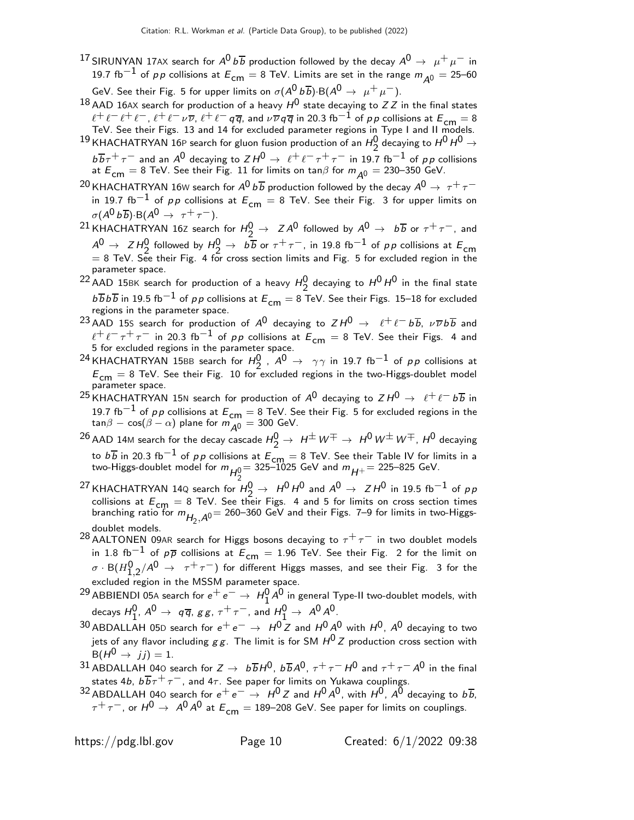- $^{17}$ SIRUNYAN 17AX search for  $A^0\,b\overline{b}$  production followed by the decay  $A^0\,\rightarrow\,\,\mu^+\,\mu^-$  in 19.7 fb<sup>-1</sup> of pp collisions at  $E_{cm} = 8$  TeV. Limits are set in the range  $m_{A0} = 25$ -60 GeV. See their Fig. 5 for upper limits on  $\sigma(A^0 b \overline{b})$ ·B $(A^0 \rightarrow \mu^+ \mu^-)$ .
- <sup>18</sup> AAD 16AX search for production of a heavy  $H^0$  state decaying to ZZ in the final states  $\ell^+\ell^-\ell^+\ell^-,~\ell^+\ell^-\nu\overline{\nu},~\ell^+\ell^-\,q\overline{q}$ , and  $\nu\overline{\nu}\,q\overline{q}$  in 20.3 fb $^{-1}$  of  $\rho\,p$  collisions at  $E_{\mathsf{cm}}=8$  TeV. See their Figs. 13 and 14 for excluded parameter regions in Type I and II models.

 $^{19}$ KHACHATRYAN 16P search for gluon fusion production of an  $H_2^0$  decaying to  $H^0$   $H^0$   $\rightarrow$  $b\overline{b}\tau^+\tau^-$  and an  $A^0$  decaying to  $Z H^0 \to \ell^+\ell^-\tau^+\tau^-$  in 19.7 fb<sup>-1</sup> of pp collisions at  $E_{cm} = 8$  TeV. See their Fig. 11 for limits on tan $\beta$  for  $m_{A0} = 230-350$  GeV.

- $^{20}$ KHACHATRYAN 16W search for  $A^0\,b\overline{b}$  production followed by the decay  $A^0\rightarrow~\tau^+\tau^$ in 19.7 fb<sup>-1</sup> of pp collisions at  $E_{cm} = 8$  TeV. See their Fig. 3 for upper limits on  $\sigma(A^0 b \overline{b})$ ·B( $A^0 \rightarrow \tau^+ \tau^-$ ).
- <sup>21</sup> KHACHATRYAN 16Z search for  $H_2^0 \rightarrow Z A^0$  followed by  $A^0 \rightarrow b\overline{b}$  or  $\tau^+ \tau^-$ , and  $A^0 \rightarrow Z H_2^0$  followed by  $H_2^0 \rightarrow b \overline{b}$  or  $\tau^+ \tau^-$ , in 19.8 fb<sup>-1</sup> of pp collisions at  $E_{cm}$  $= 8$  TeV. See their Fig. 4 for cross section limits and Fig. 5 for excluded region in the parameter space.
- <sup>22</sup> AAD 15BK search for production of a heavy  $H_2^0$  decaying to  $H^0 H^0$  in the final state  $b \overline{b} b \overline{b}$  in 19.5 fb $^{-1}$  of pp collisions at  $E_{\mathsf{cm}}=$  8 TeV. See their Figs. 15–18 for excluded regions in the parameter space.
- 23 AAD 15S search for production of  $A^0$  decaying to  $ZH^0 \rightarrow \ell^+ \ell^- b\overline{b}$ ,  $\nu \overline{\nu} b\overline{b}$  and  $l^+l^-\tau^+\tau^-$  in 20.3 fb<sup>-1</sup> of pp collisions at  $\tilde{E}_{cm} = 8$  TeV. See their Figs. 4 and 5 for excluded regions in the parameter space.
- <sup>24</sup> KHACHATRYAN 15BB search for  $H_2^0$ ,  $A^0 \rightarrow \gamma \gamma$  in 19.7 fb<sup>-1</sup> of pp collisions at  $E_{cm} = 8$  TeV. See their Fig. 10 for excluded regions in the two-Higgs-doublet model parameter space.
- <sup>25</sup> KHACHATRYAN 15N search for production of  $A^0$  decaying to  $Z H^0 \rightarrow \ell^+ \ell^- b \overline{b}$  in 19.7 fb<sup>-1</sup> of pp collisions at  $E_{cm} = 8$  TeV. See their Fig. 5 for excluded regions in the  $tan\beta - cos(\beta - \alpha)$  plane for  $m_{A0} = 300$  GeV.
- $^{26}$  AAD 14M search for the decay cascade  $H_2^0\to\ H^\pm\,W^\mp\to\ H^0\,W^\pm\,W^\mp$  ,  $H^0$  decaying to  $b\overline{b}$  in 20.3 fb<sup>−1</sup> of pp collisions at  $\overline{E_{cm}} = 8$  TeV. See their Table IV for limits in a two-Higgs-doublet model for  $m_{H_2^0}$   $=$  325–1025 GeV and  $m_{H^+}$   $=$  225–825 GeV.
- <sup>27</sup> KHACHATRYAN 14Q search for  $H_2^0 \rightarrow H^0 H^0$  and  $A^0 \rightarrow Z H^0$  in 19.5 fb<sup>-1</sup> of pp collisions at  $E_{\text{cm}} = 8$  TeV. See their Figs. 4 and 5 for limits on cross section times branching ratio for  $m_{H_2, A^0} = 260$ –360 GeV and their Figs. 7–9 for limits in two-Higgsdoublet models.
- 28 AALTONEN 09AR search for Higgs bosons decaying to  $\tau^+ \tau^-$  in two doublet models in 1.8 fb<sup>-1</sup> of  $p\overline{p}$  collisions at  $E_{cm} = 1.96$  TeV. See their Fig. 2 for the limit on  $\sigma\cdot \mathsf{B}(H_{1,2}^{\mathsf{0}}/\mathsf{A}^{\mathsf{0}}\;\to\;\;\tau^+\,\tau^-)$  for different Higgs masses, and see their Fig. 3 for the excluded region in the MSSM parameter space.
- <sup>29</sup> ABBIENDI 05A search for  $e^+e^-\rightarrow H_1^0A^0$  in general Type-II two-doublet models, with decays  $H_1^0$ ,  $A^0 \rightarrow q \overline{q}$ ,  $g g$ ,  $\tau^+ \tau^-$ , and  $H_1^0 \rightarrow A^0 A^0$ .
- <sup>30</sup> ABDALLAH 05D search for  $e^+e^-$  →  $H^0Z$  and  $H^0A^0$  with  $H^0$ ,  $A^0$  decaying to two jets of any flavor including  $gg$ . The limit is for SM  $H^{0}Z$  production cross section with  $B(H^0 \rightarrow j j) = 1.$
- 31 ABDALLAH 040 search for  $Z \to b\overline{b}H^0$ ,  $b\overline{b}A^0$ ,  $\tau^+\tau^-H^0$  and  $\tau^+\tau^-A^0$  in the final states 4b,  $b\overline{b}\tau^{+}\tau^{-}$ , and 4 $\tau$ . See paper for limits on Yukawa couplings.
- 32 ABDALLAH 040 search for  $e^+e^- \rightarrow H^0 Z$  and  $H^0 A^0$ , with  $H^0$ ,  $A^0$  decaying to  $b\overline{b}$ ,  $\tau^+ \tau^-$ , or  $H^0 \to A^0 A^0$  at  $E_{cm} = 189-208$  GeV. See paper for limits on couplings.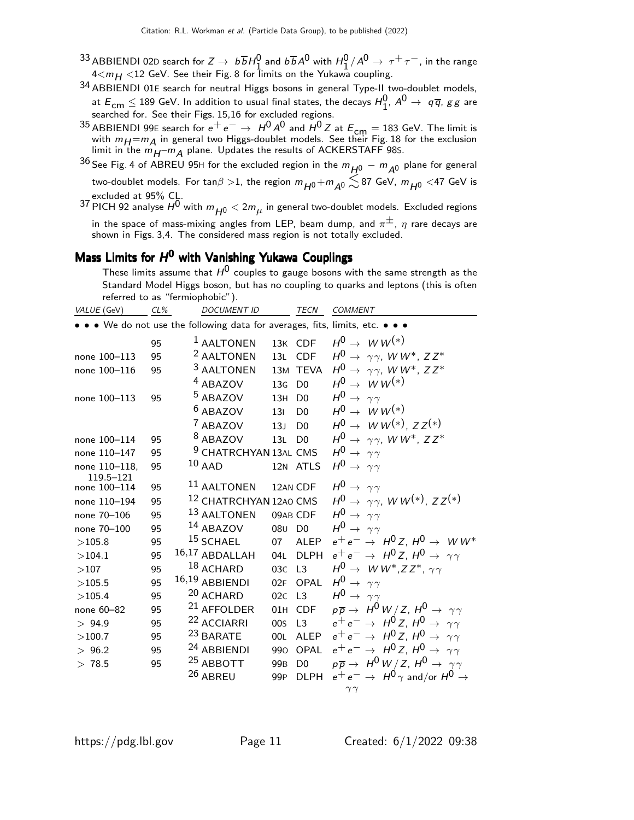- <sup>33</sup> ABBIENDI 02D search for  $Z \to b\overline{b}H^0_1$  and  $b\overline{b}A^0$  with  $H_1^0/A^0 \to \tau^+\tau^-$ , in the range 4 $<$ m $_{\rm H}$   $<$ 12 GeV. See their Fig. 8 for limits on the Yukawa coupling.
- 34 ABBIENDI 01<sup>E</sup> search for neutral Higgs bosons in general Type-II two-doublet models, at  $\varepsilon_{\sf cm} \leq$  189 GeV. In addition to usual final states, the decays  $H_1^0$ ,  $A^0 \rightarrow\;$   $q\overline{q}$ ,  $gg$  are at  $L_{cm} \ge$  109 GeV. In addition to usuar linar states, the decays  $n_1$ <br>searched for. See their Figs. 15,16 for excluded regions.
- <sup>35</sup> ABBIENDI 99E search for  $e^+e^-$  →  $H^0A^0$  and  $H^0Z$  at  $E_{cm} = 183$  GeV. The limit is with  $m_H = m_A$  in general two Higgs-doublet models. See their Fig. 18 for the exclusion limit in the  $m_{H^+}$ m $_A$  plane. Updates the results of ACKERSTAFF 98s.
- <sup>36</sup> See Fig. 4 of ABREU 95H for the excluded region in the  $m_{H^0} m_{A^0}$  plane for general two-doublet models. For tan $\beta > 1$ , the region  $m_{H^0} + m_{A^0} \lesssim 87$  GeV,  $m_{H^0} <$  47 GeV is
- excluded at 95% CL.<br><sup>37</sup> PICH 92 analyse  $H^0$  with  $m_{\overline{H^0}} < 2 m_{\mu}$  in general two-doublet models. Excluded regions in the space of mass-mixing angles from LEP, beam dump, and  $\pi^{\pm}$ ,  $\eta$  rare decays are shown in Figs. 3,4. The considered mass region is not totally excluded.

# Mass Limits for H<sup>0</sup> with Vanishing Yukawa Couplings

These limits assume that  $H^0$  couples to gauge bosons with the same strength as the Standard Model Higgs boson, but has no coupling to quarks and leptons (this is often referred to as "fermiophobic").

| VALUE (GeV)   | CL% | <b>DOCUMENT ID</b>                                                            |                                | <b>TECN</b>    | <b>COMMENT</b>                                                          |
|---------------|-----|-------------------------------------------------------------------------------|--------------------------------|----------------|-------------------------------------------------------------------------|
|               |     | • • • We do not use the following data for averages, fits, limits, etc. • • • |                                |                |                                                                         |
|               | 95  | <sup>1</sup> AALTONEN                                                         |                                | 13K CDF        | $H^0 \rightarrow WW^{(*)}$                                              |
| none 100-113  | 95  | <sup>2</sup> AALTONEN                                                         |                                | 13L CDF        | $H^0 \rightarrow \gamma \gamma$ , WW <sup>*</sup> , ZZ <sup>*</sup>     |
| none 100-116  | 95  | <sup>3</sup> AALTONEN                                                         |                                | 13M TEVA       | $H^0 \rightarrow \gamma \gamma$ , WW <sup>*</sup> , ZZ <sup>*</sup>     |
|               |     | <sup>4</sup> ABAZOV                                                           | 13 <sub>G</sub>                | D <sub>0</sub> | $H^0 \rightarrow W W^{(*)}$                                             |
| none 100-113  | 95  | <sup>5</sup> ABAZOV                                                           | 13H                            | D <sub>0</sub> | $H^0 \rightarrow \gamma \gamma$                                         |
|               |     | $6$ ABAZOV                                                                    | 13 <sub>1</sub>                | D <sub>0</sub> | $H^0 \rightarrow W W^{(*)}$                                             |
|               |     | <sup>7</sup> ABAZOV                                                           | 13J                            | D <sub>0</sub> | $H^0 \to W W^{(*)}$ , $ZZ^{(*)}$                                        |
| none 100-114  | 95  | <sup>8</sup> ABAZOV                                                           | 13L D0                         |                | $H^0 \rightarrow \gamma \gamma$ , WW*, ZZ*                              |
| none 110-147  | 95  | <sup>9</sup> CHATRCHYAN 13AL CMS                                              |                                |                | $H^0 \rightarrow \gamma \gamma$                                         |
| none 110-118, | 95  | $10$ AAD                                                                      |                                | 12N ATLS       | $H^0 \rightarrow \gamma \gamma$                                         |
| 119.5-121     |     | <sup>11</sup> AALTONEN                                                        |                                |                | $H^0 \rightarrow \gamma \gamma$                                         |
| none 100-114  | 95  |                                                                               |                                | 12AN CDF       |                                                                         |
| none 110-194  | 95  | 12 CHATRCHYAN 12AO CMS                                                        |                                |                | $H^0 \rightarrow \gamma \gamma$ , WW <sup>(*)</sup> , ZZ <sup>(*)</sup> |
| none 70-106   | 95  | 13 AALTONEN                                                                   |                                | 09AB CDF       | $H^0 \rightarrow \gamma \gamma$                                         |
| none 70-100   | 95  | <sup>14</sup> ABAZOV                                                          | 08 <sub>U</sub> D <sub>0</sub> |                | $H^0 \rightarrow \gamma \gamma$                                         |
| >105.8        | 95  | $15$ SCHAEL                                                                   | 07                             | ALEP           | $e^+e^- \rightarrow H^0Z$ , $H^0 \rightarrow WW^*$                      |
| >104.1        | 95  | 16,17 ABDALLAH                                                                | 04L                            | <b>DLPH</b>    | $e^+e^- \rightarrow H^0 Z$ , $H^0 \rightarrow \gamma \gamma$            |
| >107          | 95  | 18 ACHARD                                                                     | 03C L3                         |                | $H^0 \rightarrow WW^*, ZZ^*, \gamma\gamma$                              |
| >105.5        | 95  | 16,19 ABBIENDI                                                                | 02F                            | OPAL           | $H^0 \rightarrow \gamma \gamma$                                         |
| >105.4        | 95  | 20 ACHARD                                                                     | 02C L3                         |                | $H^0 \rightarrow \gamma \gamma$                                         |
| none 60-82    | 95  | <sup>21</sup> AFFOLDER                                                        | 01H                            | <b>CDF</b>     | $p\overline{p} \rightarrow H^0 W/Z$ , $H^0 \rightarrow \gamma \gamma$   |
| > 94.9        | 95  | <sup>22</sup> ACCIARRI                                                        | 00 <sub>S</sub>                | L3             | $e^+e^- \rightarrow H^0 Z$ , $H^0 \rightarrow \gamma \gamma$            |
| >100.7        | 95  | <sup>23</sup> BARATE                                                          | 00L                            | ALEP           | $e^+e^- \rightarrow H^0 Z$ , $H^0 \rightarrow \gamma \gamma$            |
| > 96.2        | 95  | 24 ABBIENDI                                                                   | 990                            | OPAL           | $e^+e^- \rightarrow H^0 Z$ , $H^0 \rightarrow \gamma \gamma$            |
| > 78.5        | 95  | <sup>25</sup> ABBOTT                                                          | 99 <sub>B</sub>                | D <sub>0</sub> | $p\overline{p} \rightarrow H^0 W/Z$ , $H^0 \rightarrow \gamma \gamma$   |
|               |     | 26 ABREU                                                                      | 99 <sub>P</sub>                | <b>DLPH</b>    | $e^+e^- \rightarrow H^0 \gamma$ and/or $H^0 \rightarrow$                |
|               |     |                                                                               |                                |                | $\gamma\gamma$                                                          |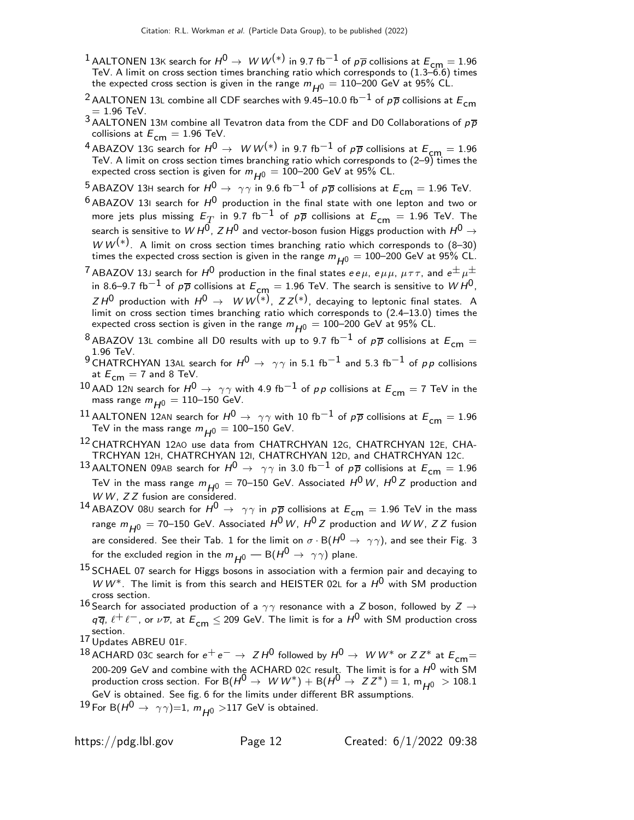- $^1$  AALTONEN 13K search for  $H^0\to\;$   $W$   $W^{(*)}$  in 9.7 fb $^{-1}$  of  $p\overline{p}$  collisions at  $E_{\mathsf{cm}}=1.96$  TeV. A limit on cross section times branching ratio which corresponds to (1.3–6.6) times the expected cross section is given in the range  $m_{H0} = 110$ –200 GeV at 95% CL.
- <sup>2</sup> AALTONEN 13L combine all CDF searches with 9.45–10.0 fb<sup>−1</sup> of  $p\overline{p}$  collisions at  $E_{cm}$  $= 1.96$  TeV.
- $3$  AALTONEN 13M combine all Tevatron data from the CDF and D0 Collaborations of  $p\overline{p}$ collisions at  $E_{cm} = 1.96$  TeV.
- $^{4}$  ABAZOV 13G search for  $H^{0} \rightarrow W W^{(*)}$  in 9.7 fb $^{-1}$  of p $\overline{p}$  collisions at  $E_{\textsf{cm}}=1.96$ TeV. A limit on cross section times branching ratio which corresponds to (2–9) times the expected cross section is given for  $m_{H^0} = 100$ –200 GeV at 95% CL.
- <sup>5</sup> ABAZOV 13H search for  $H^0 \to \gamma \gamma$  in 9.6 fb<sup>-1</sup> of  $p\overline{p}$  collisions at  $E_{cm} = 1.96$  TeV.
- $^6$  ABAZOV 13I search for  $H^0$  production in the final state with one lepton and two or more jets plus missing  $E_T^{\phantom{\dagger}}$  in 9.7 fb $^{-1}$  of  $p\overline{p}$  collisions at  $E_{\mathsf{cm}}^{\phantom{\dagger}}=1.96$  TeV. The search is sensitive to  $\stackrel{\vee}{W}H^0$ ,  $\stackrel{\vee}{Z}H^0$  and vector-boson fusion Higgs production with  $H^0 \rightarrow$  $WW^{(*)}$ . A limit on cross section times branching ratio which corresponds to (8–30) times the expected cross section is given in the range  $m_{H0} = 100$ –200 GeV at 95% CL.
- $^7$  ABAZOV 13J search for  $H^0$  production in the final states  $e\,e\,\mu$ ,  $e\,\mu\,\mu$ ,  $\mu\,\tau\,\tau$ , and  $e^{\pm}\,\mu^{\pm}$ in 8.6–9.7 fb $^{-1}$  of  $p\overline{p}$  collisions at  $E_{\text{cm}}=1.96$  TeV. The search is sensitive to  $WH^{0}$ ,  $ZH^{\mathsf{0}}$  production with  $H^{\mathsf{0}} \to^\mathsf{0} W^{(*)}$ ,  $ZZ^{(*)}$ , decaying to leptonic final states. A limit on cross section times branching ratio which corresponds to (2.4–13.0) times the expected cross section is given in the range  $m_{H0} = 100-200$  GeV at 95% CL.
- <sup>8</sup> ABAZOV 13L combine all D0 results with up to 9.7 fb<sup>−1</sup> of  $p\overline{p}$  collisions at  $E_{cm} =$ 1.96 TeV.
- 9 CHATRCHYAN 13AL search for  $H^0 \rightarrow \gamma \gamma$  in 5.1 fb<sup>-1</sup> and 5.3 fb<sup>-1</sup> of pp collisions at  $E_{cm} = 7$  and 8 TeV.
- 10 AAD 12N search for  $H^0 \to \gamma \gamma$  with 4.9 fb $^{-1}$  of pp collisions at  $E_{cm} = 7$  TeV in the mass range  $m_{H0} = 110 - 150$  GeV.
- $^{11}$  AALTONEN 12AN search for  $H^0 \rightarrow \gamma \gamma$  with 10 fb $^{-1}$  of  $p\overline{p}$  collisions at  $E_{cm} = 1.96$ TeV in the mass range  $m_{H0} = 100$ –150 GeV.
- 12 CHATRCHYAN 12AO use data from CHATRCHYAN 12G, CHATRCHYAN 12E, CHA-TRCHYAN 12H, CHATRCHYAN 12I, CHATRCHYAN 12D, and CHATRCHYAN 12C.
- $^{13}$ AALTONEN 09AB search for  $H^0 \rightarrow~\gamma \gamma$  in 3.0 fb $^{-1}$  of  $p\overline{p}$  collisions at  $E_{\mathsf{cm}}=1.96$ TeV in the mass range  $m_{H^0} = 70$ –150 GeV. Associated  $H^0$  W,  $H^0Z$  production and  $WW$ ,  $ZZ$  fusion are considered.
- 14 ABAZOV 080 search for  $H^0 \rightarrow \gamma \gamma$  in  $p\bar{p}$  collisions at  $E_{cm} = 1.96$  TeV in the mass range  $m_{H^0}$  = 70–150 GeV. Associated  $H^0$  W,  $H^0$  Z production and W W, Z Z fusion are considered. See their Tab. 1 for the limit on  $\sigma \cdot B(H^0 \to \gamma \gamma)$ , and see their Fig. 3 for the excluded region in the  $m_{H^0}$  — B( $H^0 \rightarrow \gamma \gamma$ ) plane.
- <sup>15</sup> SCHAEL 07 search for Higgs bosons in association with a fermion pair and decaying to W W<sup>\*</sup>. The limit is from this search and HEISTER 02L for a  $H^0$  with SM production cross section.
- 16 Search for associated production of a  $\gamma\gamma$  resonance with a  $Z$  boson, followed by  $Z \rightarrow 16$  $q\overline{q}$ ,  $\ell^+\ell^-$ , or  $\nu\overline{\nu}$ , at  $E_{cm}\leq 209$  GeV. The limit is for a  $H^0$  with SM production cross section.
- 17 Updates ABREU 01F.
- 18 ACHARD 03C search for  $e^+e^- \rightarrow Z H^0$  followed by  $H^0 \rightarrow W W^*$  or  $ZZ^*$  at  $E_{cm}$  = 200-209 GeV and combine with the ACHARD 02C result. The limit is for a  $H^{\mathsf{0}}$  with SM production cross section. For B( $H^0 \rightarrow W W^*$ ) + B( $H^0 \rightarrow Z Z^*$ ) = 1, m<sub>H0</sub> > 108.1 GeV is obtained. See fig. 6 for the limits under different BR assumptions.

<sup>19</sup> For B( $H^0 \rightarrow \gamma \gamma$ )=1,  $m_{H^0}$  >117 GeV is obtained.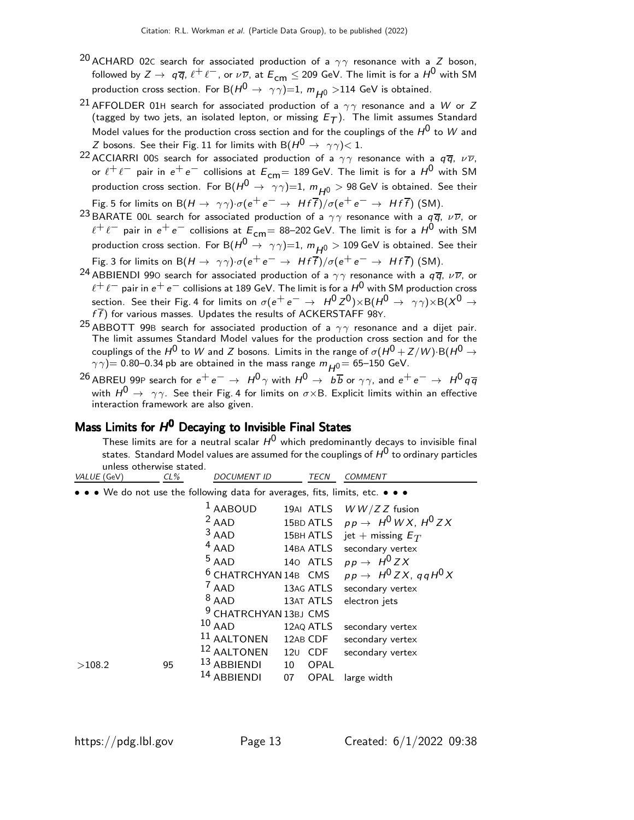- <sup>20</sup> ACHARD 02C search for associated production of a  $\gamma\gamma$  resonance with a Z boson, followed by  $Z \to q\overline{q}$ ,  $\ell^+\ell^-$ , or  $\nu\overline{\nu}$ , at  $E_{cm} \leq 209$  GeV. The limit is for a  $H^0$  with SM production cross section. For B( $H^0 \rightarrow \gamma \gamma$ )=1,  $m_{10} >$ 114 GeV is obtained.
- <sup>21</sup> AFFOLDER 01H search for associated production of a  $\gamma\gamma$  resonance and a W or Z (tagged by two jets, an isolated lepton, or missing  $E_T$ ). The limit assumes Standard Model values for the production cross section and for the couplings of the  $H^0$  to W and  $Z$  bosons. See their Fig. 11 for limits with B( $H^0\to~\gamma\gamma\zeta$  1.
- <sup>22</sup> ACCIARRI 00S search for associated production of a  $\gamma\gamma$  resonance with a  $q\overline{q}$ ,  $\nu\overline{\nu}$ , or  $\ell^+ \ell^-$  pair in  $e^+ e^-$  collisions at  $E_{cm} = 189$  GeV. The limit is for a  $H^0$  with SM production cross section. For B $(H^0 \rightarrow \gamma\gamma)=1$ ,  $m_{H^0} > 98$  GeV is obtained. See their Fig. 5 for limits on B(H  $\rightarrow \gamma \gamma$ )· $\sigma(e^+e^- \rightarrow Hf\bar{f})/\sigma(e^+e^- \rightarrow Hf\bar{f})$  (SM).
- <sup>23</sup> BARATE 00L search for associated production of a  $\gamma\gamma$  resonance with a  $q\bar{q}$ ,  $\nu\bar{\nu}$ , or  $\ell^+ \ell^-$  pair in  $e^+ e^-$  collisions at  $E_{cm} = 88-202$  GeV. The limit is for a  $H^0$  with SM production cross section. For B $(H^0 \to \gamma\gamma)=1$ ,  $m_{H^0} > 109$  GeV is obtained. See their Fig. 3 for limits on B(H →  $\gamma\gamma$ )· $\sigma(e^+e^- \rightarrow Hf\bar{f})/\sigma(e^+e^- \rightarrow Hf\bar{f})$  (SM).
- <sup>24</sup> ABBIENDI 990 search for associated production of a  $\gamma\gamma$  resonance with a  $q\overline{q}$ ,  $\nu\overline{\nu}$ , or  $\ell^+\ell^-$  pair in  ${\rm e^+ \, e^-}$  collisions at 189 GeV. The limit is for a  $H^0$  with SM production cross section. See their Fig. 4 for limits on  $\sigma(\rm{e^+e^-} \rightarrow\rm{H^0Z^0}){\times}{\rm B}(H^0\rightarrow\rm{\gamma\gamma}){\times}{\rm B}(X^0\rightarrow$  $f\overline{f}$ ) for various masses. Updates the results of ACKERSTAFF 98Y.
- <sup>25</sup> ABBOTT 99B search for associated production of a  $\gamma\gamma$  resonance and a dijet pair. The limit assumes Standard Model values for the production cross section and for the couplings of the  $H^0$  to  $W$  and  $Z$  bosons. Limits in the range of  $\sigma(H^0+Z/{\it W})$   ${\rm B}(H^0\to$  $\gamma \gamma ) =$  0.80–0.34 pb are obtained in the mass range  $m_{H^0}$  = 65–150 GeV.
- <sup>26</sup> ABREU 99P search for  $e^+e^- \rightarrow H^0\gamma$  with  $H^0 \rightarrow \overrightarrow{b\overline{b}}$  or  $\gamma\gamma$ , and  $e^+e^- \rightarrow H^0q\overline{q}$ with  $H^0 \rightarrow \gamma \gamma$ . See their Fig. 4 for limits on  $\sigma \times B$ . Explicit limits within an effective interaction framework are also given.

# Mass Limits for  $H^0$  Decaying to Invisible Final States

These limits are for a neutral scalar  $H^0$  which predominantly decays to invisible final states. Standard Model values are assumed for the couplings of  $H^0$  to ordinary particles unless otherwise stated.<br>VALUE  $(GeV)$   $G\%$ DOCUMENT ID TECN COMMENT

| VALUL (GEV) | <b>CL/0</b> | <i>D</i> UUMLIII ID                                                           |                 | 1 L C I V | CUMMLIVI                              |
|-------------|-------------|-------------------------------------------------------------------------------|-----------------|-----------|---------------------------------------|
|             |             | • • • We do not use the following data for averages, fits, limits, etc. • • • |                 |           |                                       |
|             |             | $1$ AABOUD                                                                    |                 | 19AI ATLS | $W W/Z Z$ fusion                      |
|             |             | $2$ AAD                                                                       |                 | 15BD ATLS | $pp \rightarrow H^0WX$ , $H^0ZX$      |
|             |             | $3$ AAD                                                                       |                 | 15BH ATLS | jet + missing $E_T$                   |
|             |             | $4$ AAD                                                                       |                 | 14BA ATLS | secondary vertex                      |
|             |             | $5$ AAD                                                                       |                 | 140 ATLS  | $pp \rightarrow H^0 Z X$              |
|             |             | <sup>6</sup> CHATRCHYAN 14B CMS                                               |                 |           | $pp \rightarrow H^0 Z X$ , ggH $^0 X$ |
|             |             | $7$ AAD                                                                       |                 | 13AG ATLS | secondary vertex                      |
|             |             | $8$ AAD                                                                       |                 | 13AT ATLS | electron jets                         |
|             |             | <sup>9</sup> CHATRCHYAN 13BJ CMS                                              |                 |           |                                       |
|             |             | $10$ AAD                                                                      |                 | 12AQ ATLS | secondary vertex                      |
|             |             | <sup>11</sup> AALTONEN                                                        |                 | 12AB CDF  | secondary vertex                      |
|             |             | 12 AALTONEN                                                                   |                 | 120 CDF   | secondary vertex                      |
| >108.2      | 95          | <sup>13</sup> ABBIENDI                                                        | 10 <sup>°</sup> | OPAL      |                                       |
|             |             | 14 ABBIENDI                                                                   | 07              | OPAL      | large width                           |
|             |             |                                                                               |                 |           |                                       |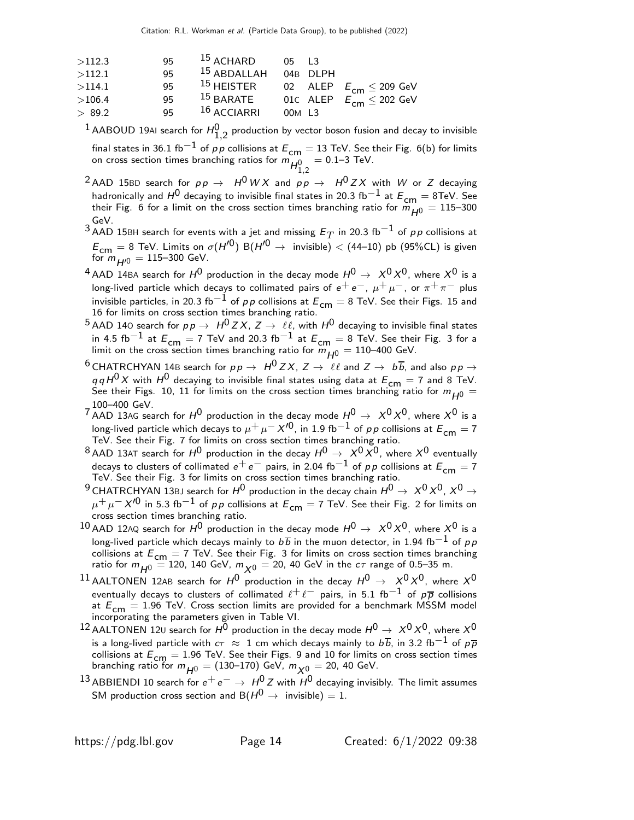| >112.3 | 95 | $15$ ACHARD     | $0.5$ 13 |                                |
|--------|----|-----------------|----------|--------------------------------|
| >112.1 | 95 | $15$ ABDALLAH   | 04B DIPH |                                |
| >114.1 | 95 | $^{15}$ HEISTER |          | 02 ALEP $E_{cm} \leq 209$ GeV  |
| >106.4 | 95 | $15$ BARATE     |          | 01c ALEP $E_{cm} \leq 202$ GeV |
| > 89.2 | 95 | $16$ ACCIARRI   | 00M L3   |                                |

 $^1$  AABOUD 19AI search for  $H^0_{1,2}$  production by vector boson fusion and decay to invisible

final states in 36.1 fb $^{-1}$  of pp collisions at  $E_{\mathsf{cm}}=13$  TeV. See their Fig. 6(b) for limits on cross section times branching ratios for  $m_{H_{1,2}^0}$  $= 0.1 - 3$  TeV.

<sup>2</sup> AAD 15BD search for  $pp \rightarrow H^0WX$  and  $pp \rightarrow H^0ZX$  with W or Z decaying hadronically and  $H^0$  decaying to invisible final states in 20.3 fb $^{-1}$  at  $E_{\mathsf{cm}}=8\mathsf{TeV}$ . See their Fig. 6 for a limit on the cross section times branching ratio for  $\ddot{m}_{H^0} = 115$ –300 GeV.

3 AAD 15BH search for events with a jet and missing  $E_T$  in 20.3 fb<sup>-1</sup> of pp collisions at  $E_{cm} = 8$  TeV. Limits on  $\sigma(H^{\prime0})$  B( $H^{\prime0} \rightarrow$  invisible)  $<$  (44–10) pb (95%CL) is given for  $m_{H/0} = 115-300$  GeV.

<sup>4</sup> AAD 14BA search for  $H^0$  production in the decay mode  $H^0 \rightarrow X^0 X^0$ , where  $X^0$  is a long-lived particle which decays to collimated pairs of  $e^+e^-$ ,  $\mu^+\mu^-$ , or  $\pi^+\pi^-$  plus invisible particles, in 20.3 fb $^{-1}$  of p p collisions at  $E_{cm} = 8$  TeV. See their Figs. 15 and 16 for limits on cross section times branching ratio.

- 5 AAD 140 search for  $p p \to \ H^0 Z X$ ,  $Z \to \ \ell \ell$ , with  $H^0$  decaying to invisible final states in 4.5 fb $^{-1}$  at  $E_{\mathsf{cm}}=$  7 TeV and 20.3 fb $^{-1}$  at  $E_{\mathsf{cm}}=$  8 TeV. See their Fig. 3 for a limit on the cross section times branching ratio for  $m_{H^0} = 110$ –400 GeV.
- $^6$  CHATRCHYAN 14B search for  $p \, p \, \rightarrow \, \, H^0 \, ZX, \, Z \, \rightarrow \, \, \ell \ell$  and  $Z \, \rightarrow \, \, b \, \overline{b}$ , and also  $p \, p \, \rightarrow \,$  $q \, q \, H^0 \, X$  with  $H^0$  decaying to invisible final states using data at  $E_{\text{cm}} = 7$  and 8 TeV. See their Figs. 10, 11 for limits on the cross section times branching ratio for  $m_{H^0} =$ 100–400 GeV.
- 7 AAD 13AG search for  $H^0$  production in the decay mode  $H^0 \rightarrow X^0 X^0$ , where  $X^0$  is a long-lived particle which decays to  $\mu^+ \mu^- X'^0$ , in 1.9 fb $^{-1}$  of  $\rho \rho$  collisions at  $E^{}_{\mathsf{cm}}=7$  TeV. See their Fig. 7 for limits on cross section times branching ratio.
- <sup>8</sup> AAD 13AT search for  $H^0$  production in the decay  $H^0 \rightarrow X^0 X^0$ , where  $X^0$  eventually decays to clusters of collimated  $e^+e^-$  pairs, in 2.04 fb<sup>-1</sup> of pp collisions at  $E_{cm} = 7$ TeV. See their Fig. 3 for limits on cross section times branching ratio.
- 9 CHATRCHYAN 13BJ search for  $H^0$  production in the decay chain  $H^0 \to X^0 X^0$ ,  $X^0 \to$  $\mu^+ \mu^- X^{\prime0}$  in 5.3 fb $^{-1}$  of pp collisions at  $E_{cm} = 7$  TeV. See their Fig. 2 for limits on cross section times branching ratio.
- 10 AAD 12AQ search for  $H^0$  production in the decay mode  $H^0 \rightarrow X^0 X^0$ , where  $X^0$  is a long-lived particle which decays mainly to  $b\overline{b}$  in the muon detector, in 1.94 fb<sup>-1</sup> of pp collisions at  $E_{\text{cm}} = 7$  TeV. See their Fig. 3 for limits on cross section times branching ratio for  $m_{H^0} = 120$ , 140 GeV,  $m_{\chi^0} = 20$ , 40 GeV in the  $c\tau$  range of 0.5–35 m.
- $^{11}$  AALTONEN 12AB search for  $H^0$  production in the decay  $H^0\,\rightarrow\,\,X^0X^0$ , where  $X^0$ eventually decays to clusters of collimated  $\ell^+\ell^-$  pairs, in 5.1 fb $^{-1}$  of  $\rho\overline{\rho}$  collisions at  $E_{\text{cm}} = 1.96$  TeV. Cross section limits are provided for a benchmark MSSM model incorporating the parameters given in Table VI.
- $^{12}$  AALTONEN 12 $\scriptstyle\rm U$  search for  $\rm H^0$  production in the decay mode  $\rm H^0\rightarrow\,X^0X^0$ , where  $\rm X^0$ is a long-lived particle with  $c\tau~\approx~1$  cm which decays mainly to  $b\overline{b}$ , in 3.2 fb $^{-1}$  of  $\rho\overline{p}$ collisions at  $E_{\text{cm}} = 1.96$  TeV. See their Figs. 9 and 10 for limits on cross section times branching ratio for  $m_{H^0} = (130-170)$  GeV,  $m_{X^0} = 20$ , 40 GeV.
- <sup>13</sup> ABBIENDI 10 search for  $e^+e^-\rightarrow\,H^0\,Z$  with  $H^0$  decaying invisibly. The limit assumes SM production cross section and B( $H^0 \rightarrow \text{invisible}$ ) = 1.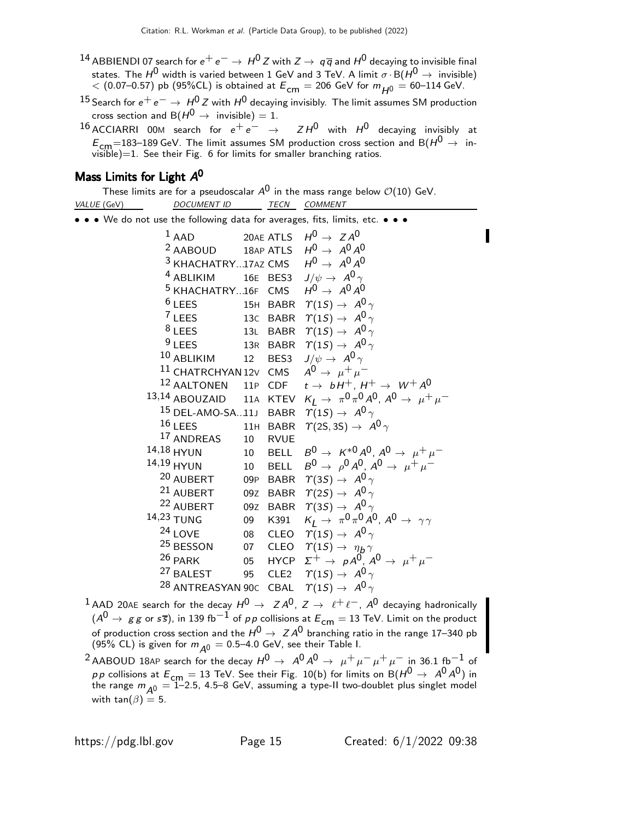- 14 ABBIENDI 07 search for  $e^+e^- \rightarrow H^0 Z$  with  $Z \rightarrow q\overline{q}$  and  $H^0$  decaying to invisible final states. The  $H^0$  width is varied between 1 GeV and 3 TeV. A limit  $\sigma \cdot B(H^0 \to \text{invisible})$  $<$  (0.07–0.57) pb (95%CL) is obtained at  $E_{cm} = 206$  GeV for  $m_{H0} = 60$ –114 GeV.
- <sup>15</sup> Search for  $e^+e^-\rightarrow H^0Z$  with  $H^0$  decaying invisibly. The limit assumes SM production cross section and  $B(H^0 \rightarrow \text{invisible}) = 1$ .

<sup>16</sup> ACCIARRI 00M search for  $e^+e^-$  →  $ZH^0$  with  $H^0$  decaying invisibly at  $E_{cm}$ =183–189 GeV. The limit assumes SM production cross section and B( $H^0 \rightarrow$  invisible)=1. See their Fig. 6 for limits for smaller branching ratios.

# Mass Limits for Light A<sup>0</sup>

These limits are for a pseudoscalar  $A^0$  in the mass range below  $\mathcal{O}(10)$  GeV. VALUE (GeV) DOCUMENT ID TECN COMMENT

 $\bullet \bullet \bullet$  We do not use the following data for averages, fits, limits, etc.

|  | $1$ AAD                                                 |    |          | 20AE ATLS $H^0 \rightarrow ZA^0$                                                 |
|--|---------------------------------------------------------|----|----------|----------------------------------------------------------------------------------|
|  | <sup>2</sup> AABOUD 18AP ATLS $H^0 \rightarrow A^0 A^0$ |    |          |                                                                                  |
|  | $^3$ KHACHATRY17AZ CMS                                  |    |          | $H^0 \rightarrow A^0 A^0$                                                        |
|  | <sup>4</sup> ABLIKIM 16E BES3                           |    |          | $J/\psi \rightarrow A^0 \gamma$                                                  |
|  | <sup>5</sup> KHACHATRY16F CMS                           |    |          | $H^0 \rightarrow A^0 A^0$                                                        |
|  | $6$ LEES 15H BABR                                       |    |          | $\Upsilon(1S) \rightarrow A^0 \gamma$                                            |
|  | $7$ LEES                                                |    | 13C BABR | $\Upsilon(1S) \rightarrow A^0 \gamma$                                            |
|  | $8$ LEES                                                |    |          | 13L BABR $\Upsilon(1S) \rightarrow A^0 \gamma$                                   |
|  | <sup>9</sup> LEES 13R BABR                              |    |          | $\Upsilon(1S) \rightarrow A^0 \gamma$                                            |
|  | <sup>10</sup> ABLIKIM 12 BES3                           |    |          | $J/\psi \rightarrow A^0 \gamma$                                                  |
|  | 11 CHATRCHYAN 12V CMS                                   |    |          | $A^0 \rightarrow \mu^+ \mu^-$                                                    |
|  | <sup>12</sup> AALTONEN 11P CDF                          |    |          | $t \rightarrow bH^{+}$ , $H^{+} \rightarrow W^{+}A^{0}$                          |
|  | $13,14$ ABOUZAID $11$ A KTEV                            |    |          | $K_I \rightarrow \pi^0 \pi^0 A^0$ , $A^0 \rightarrow \mu^+ \mu^-$                |
|  | <sup>15</sup> DEL-AMO-SA11J BABR                        |    |          | $\Upsilon(1S) \rightarrow A^0 \gamma$                                            |
|  | <sup>16</sup> LEES 11H BABR                             |    |          | $\Upsilon(2S, 3S) \rightarrow A^0 \gamma$                                        |
|  | <sup>17</sup> ANDREAS 10 RVUE                           |    |          |                                                                                  |
|  | $14,18$ HYUN                                            |    | 10 BELL  | $B^0 \to K^{*0} A^0$ , $A^0 \to \mu^+ \mu^-$                                     |
|  | $14,19$ HYUN<br>10 BELL                                 |    |          | $B^0 \rightarrow \rho^0 A^0$ , $A^0 \rightarrow \mu^+ \mu^-$                     |
|  |                                                         |    |          | <sup>20</sup> AUBERT 09P BABR $\gamma$ (3 <i>S</i> ) $\rightarrow$ $A^{0}\gamma$ |
|  | <sup>21</sup> AUBERT 09Z BABR                           |    |          | $\Upsilon(2S) \rightarrow A^0 \gamma$                                            |
|  | <sup>22</sup> AUBERT 09Z BABR                           |    |          | $\gamma(35) \rightarrow A^0 \gamma$                                              |
|  | $14,23$ TUNG                                            | 09 | K391     | $K_I \rightarrow \pi^0 \pi^0 A^0$ , $A^0 \rightarrow \gamma \gamma$              |
|  | <sup>24</sup> LOVE                                      |    |          | 08 CLEO $\varUpsilon(1S) \to \ A^0 \, \gamma$                                    |
|  |                                                         |    |          | <sup>25</sup> BESSON 07 CLEO $\Upsilon(1S) \rightarrow \eta_b \gamma$            |
|  | 26 PARK                                                 |    | 05 HYCP  | $\Sigma^+$ $\rightarrow$ $pA^0$ , $A^0$ $\rightarrow$ $\mu^+\mu^-$               |
|  |                                                         |    |          | <sup>27</sup> BALEST 95 CLE2 $\Upsilon(1S) \rightarrow A^0 \gamma$               |
|  | <sup>28</sup> ANTREASYAN 90C CBAL                       |    |          | $\Upsilon(1S) \rightarrow A^0 \gamma$                                            |

<sup>1</sup> AAD 20AE search for the decay  $H^0 \rightarrow Z A^0$ ,  $Z \rightarrow \ell^+ \ell^-$ ,  $A^0$  decaying hadronically  $(A^0 \rightarrow gg \text{ or } s\overline{s})$ , in 139 fb<sup>-1</sup> of pp collisions at  $E_{cm} = 13$  TeV. Limit on the product of production cross section and the  $H^0\rightarrow\ ZA^0$  branching ratio in the range 17–340 pb (95% CL) is given for  $m_{\overline{A^0}} = 0.5$ –4.0 GeV, see their Table I.

<sup>2</sup> AABOUD 18AP search for the decay  $H^0 \rightarrow A^0 A^0 \rightarrow \mu^+ \mu^- \mu^+ \mu^-$  in 36.1 fb<sup>-1</sup> of pp collisions at  $E_{cm} = 13$  TeV. See their Fig. 10(b) for limits on B( $H^0 \rightarrow A^0 A^0$ ) in the range  $m_{A0} = 1$ –2.5, 4.5–8 GeV, assuming a type-II two-doublet plus singlet model with tan( $\beta$ ) = 5.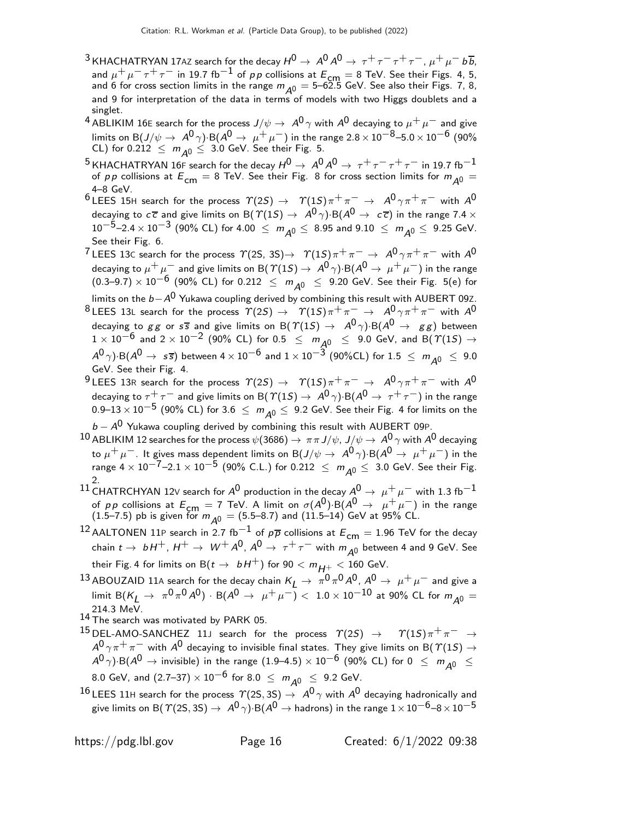- $^3$ KHACHATRYAN 17AZ search for the decay  $H^0\to\,A^0\,A^0\to\,\tau^+\,\tau^-\,\tau^+\,\tau^-$  ,  $\mu^+\,\mu^-$  b $\overline b$ , and  $\mu^+ \mu^- \tau^+ \tau^-$  in 19.7 fb<sup>-1</sup> of pp collisions at  $E_{\text{cm}} = 8$  TeV. See their Figs. 4, 5, and 6 for cross section limits in the range  $m_{A^0} = 5$ –62.5 GeV. See also their Figs. 7, 8, and 9 for interpretation of the data in terms of models with two Higgs doublets and a singlet.
- <sup>4</sup> ABLIKIM 16E search for the process  $J/\psi \to A^0 \gamma$  with  $A^0$  decaying to  $\mu^+ \mu^-$  and give limits on B(J/ $\psi\to\ A^0\gamma)$ ·B( $A^0\to\ \mu^+\ \mu^-)$  in the range 2.8  $\times\ 10^{-8}$ –5.0  $\times\ 10^{-6}$  (90% CL) for  $0.212 \le m_{A0} \le 3.0$  GeV. See their Fig. 5.
- $^5$ KHACHATRYAN 16F search for the decay  $H^0\to\,$   $A^0\,A^0\to\,\tau^+\,\tau^-\,\tau^+\,\tau^-$  in 19.7 fb $^{-1}$ of pp collisions at  $E_{\text{cm}} = 8$  TeV. See their Fig. 8 for cross section limits for  $m_{A^0} =$ 4–8 GeV.
- <sup>6</sup> LEES 15H search for the process  $\Upsilon(2S) \rightarrow \Upsilon(1S) \pi^+ \pi^- \rightarrow A^0 \gamma \pi^+ \pi^-$  with  $A^0$ decaying to  $c\overline{c}$  and give limits on B $(\Upsilon(1S) \to A^0 \gamma)$ ·B $(A^0 \to c\overline{c})$  in the range 7.4  $\times$  $10^{-5}$ –2.4 ×  $10^{-3}$  (90% CL) for 4.00  $\leq m_{A0} \leq 8.95$  and  $9.10 \leq m_{A0} \leq 9.25$  GeV. See their Fig. 6.
- <sup>7</sup> LEES 13C search for the process  $\gamma$ (2S, 3S)  $\rightarrow$   $\gamma$ (1S) $\pi$ <sup>+</sup> $\pi$ <sup>-</sup>  $\rightarrow$   $A^0 \gamma \pi$ <sup>+</sup> $\pi$ <sup>-</sup> with  $A^0$ decaying to  $\mu^+ \mu^-$  and give limits on B( $\Upsilon(1S) \to A^0 \gamma$ )·B( $A^0 \to \mu^+ \mu^-$ ) in the range  $(0.3–9.7) \times 10^{-6}$  (90% CL) for 0.212 ≤  $m_{A0}$  ≤ 9.20 GeV. See their Fig. 5(e) for

limits on the  $b-A^0$  Yukawa coupling derived by combining this result with AUBERT 09Z.

- <sup>8</sup> LEES 13L search for the process  $\varUpsilon(2S) \to \varUpsilon(1S) \pi^+ \pi^- \to A^0 \gamma \pi^+ \pi^-$  with  $A^0$ decaying to gg or  $s\overline{s}$  and give limits on B( $\Upsilon(1S) \rightarrow A^0 \gamma$ )·B( $A^0 \rightarrow gg$ ) between  $1 \times 10^{-6}$  and  $2 \times 10^{-2}$  (90% CL) for 0.5  $\leq m_{A0} \leq 9.0$  GeV, and B( $\gamma(1S) \rightarrow$  $A^{0}\gamma$ )·B( $A^{0} \rightarrow s\bar{s}$ ) between 4  $\times$   $10^{-6}$  and  $1\times10^{-3}$  (90%CL) for  $1.5~\leq~m_{\cal A^0}~\leq~9.0$ GeV. See their Fig. 4.
- <sup>9</sup> LEES 13R search for the process  $\varUpsilon(2S) \to \varUpsilon(1S) \pi^+ \pi^- \to A^0 \gamma \pi^+ \pi^-$  with  $A^0$ decaying to  $\tau^+\tau^-$  and give limits on B( $\gamma(1S) \to A^0\gamma$ )·B( $A^0 \to \tau^+\tau^-$ ) in the range 0.9–13 × 10<sup>-5</sup> (90% CL) for 3.6  $\leq m_{A0} \leq 9.2$  GeV. See their Fig. 4 for limits on the
- $b$   $-$  A $^{\rm 0}$  Yukawa coupling derived by combining this result with <code>AUBERT</code> 09P. 10 ABLIKIM 12 searches for the process  $\psi(3686) \to \pi\pi J/\psi$ ,  $J/\psi \to A^0 \gamma$  with  $A^0$  decaying to  $\mu^+\mu^-$ . It gives mass dependent limits on B(J/ $\psi\to\ A^0\gamma$ ) B( $A^0\to\ \mu^+\mu^-)$  in the range  $4 \times 10^{-7}$ –2. $1 \times 10^{-5}$  (90% C.L.) for 0.212  $\leq m_{A0} \leq 3.0$  GeV. See their Fig.
- $^{2.1}$  CHATRCHYAN 12∨ search for  $A^0$  production in the decay  $A^0\rightarrow~\mu^+\mu^-$  with 1.3 fb $^{-1}$ of pp collisions at  $E_{cm} = 7$  TeV. A limit on  $\sigma(A^0)$ ·B $(A^0 \rightarrow \mu^+ \mu^-)$  in the range  $(1.5-7.5)$  pb is given for  $m_{\overline{A^0}} = (5.5-8.7)$  and  $(11.5-14)$  GeV at 95% CL.
- <sup>12</sup> AALTONEN 11P search in 2.7 fb<sup>-1</sup> of  $p\overline{p}$  collisions at  $E_{cm} = 1.96$  TeV for the decay chain  $t\to\,\,bH^+$ ,  $H^+\to\,\,W^+\,A^0$ ,  $A^0\to\,\tau^+\,\tau^-$  with  $m_{\cal A^0}$  between 4 and 9 GeV. See their Fig. 4 for limits on  $B(t \to bH^+)$  for  $90 < m_{H^+} < 160$  GeV.
- 13 ABOUZAID 11A search for the decay chain  $K_L \to \pi^0 \pi^0 A^0$ ,  $A^0 \to \mu^+ \mu^-$  and give a  $\lim_{\Delta t\to 0}$  B( $K_L\to \pi^0\pi^0A^0$ )  $\cdot$  B( $A^0\to \mu^+\mu^-$ )  $< 1.0\times 10^{-10}$  at 90% CL for  $m_{A^0}=0$ 214.3 MeV.
- $14$  The search was motivated by PARK 05.
- $^{15}$  DEL-AMO-SANCHEZ 11J search for the process  $\varUpsilon(2S)$   $\rightarrow$   $\varUpsilon(1S)\,\pi^+\,\pi^-\,\rightarrow$  $A^{0}\, \gamma \, \pi^+ \, \pi^-$  with  $A^{0}$  decaying to invisible final states. They give limits on B(  $\varUpsilon(1S) \to$  $A^0 \gamma$ )·B( $A^0 \rightarrow$  invisible) in the range (1.9–4.5) × 10<sup>-6</sup> (90% CL) for 0  $\leq m_{A^0} \leq$ 8.0 GeV, and  $(2.7-37) \times 10^{-6}$  for 8.0  $\leq m_{A0} \leq 9.2$  GeV.
- $16$  LEES 11H search for the process  $\varUpsilon(2S,3S) \to A^0\gamma$  with  $A^0$  decaying hadronically and give limits on B(  $\mathcal{T}(2\mathsf{S},3\mathsf{S})\to\mathsf{A}^0\gamma\mathsf{B}(\mathsf{A}^0\to\mathsf{hadrons})$  in the range  $1\times10^{-6}$ –8  $\times10^{-5}$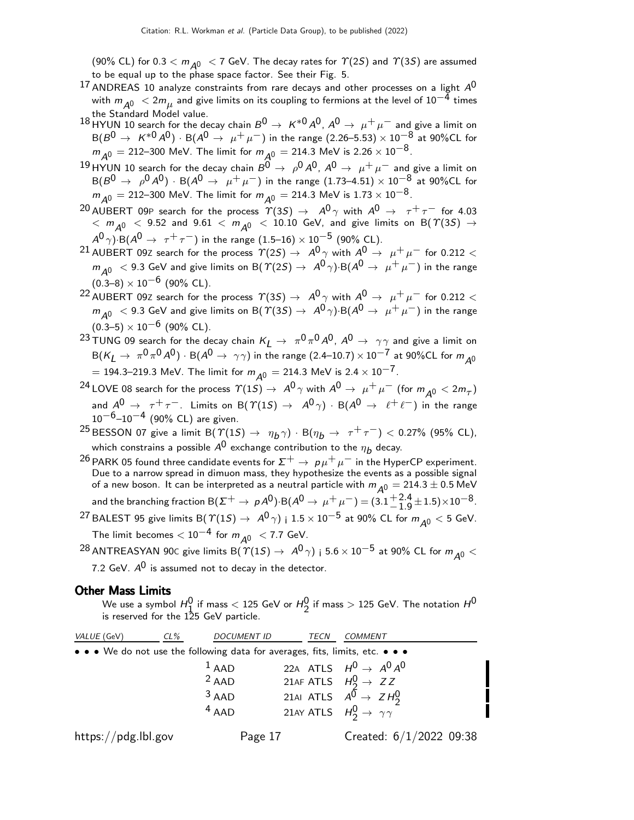(90% CL) for 0.3  $< m_{A0} < 7$  GeV. The decay rates for  $\Upsilon(2S)$  and  $\Upsilon(3S)$  are assumed to be equal up to the phase space factor. See their Fig. 5.

- $17$  ANDREAS 10 analyze constraints from rare decays and other processes on a light  $A^{0}$ with  $m_{\tilde{\cal A}^0} < 2 m_\mu$  and give limits on its coupling to fermions at the level of  $10^{-\tilde{4}}$  times the Standard Model value.
- 18 HYUN 10 search for the decay chain  $B^0 \to K^{*0}A^0$ ,  $A^0 \to \mu^+\mu^-$  and give a limit on  $B(B^0 \to K^{*0}A^0) \cdot B(A^0 \to \mu^+\mu^-)$  in the range (2.26–5.53) × 10<sup>-8</sup> at 90%CL for  $m_{A^0} = 212-300$  MeV. The limit for  $m_{A^0} = 214.3$  MeV is 2.26 ×  $10^{-8}$ .
- $^{19}$ HYUN 10 search for the decay chain  $B^{\overline{0}}\rightarrow~\rho^0 A^{\overline{0}}, A^{\overline{0}}\rightarrow~\mu^+\mu^-$  and give a limit on  ${\cal B}(B^0\to~\rho^0\,A^0)$  ·  ${\cal B}(A^0\to~\mu^+\,\mu^-)$  in the range  $(1.73\hbox{--}4.51)\times 10^{-8}$  at 90%CL for  $m_{A0} = 212-300$  MeV. The limit for  $m_{A0} = 214.3$  MeV is  $1.73 \times 10^{-8}$ .
- <sup>20</sup> AUBERT 09P search for the process  $\varUpsilon(3S) \rightarrow A^0 \gamma$  with  $A^0 \rightarrow \tau^+ \tau^-$  for 4.03  $<$   $m_{\tilde{A}^0}$   $<$  9.52 and 9.61  $<$   $m_{\tilde{A}^0}$   $<$   $10.10$  GeV, and give limits on B(  $\gamma(3S)$   $\rightarrow$  $A^0\gamma)$  B( $A^0\rightarrow~\tau^+\tau^-)$  in the range  $(1.5\text{--}16)\times 10^{-5}$  (90% CL).
- $^{21}$  AUBERT 09Z search for the process  $\varUpsilon(2S) \to \,$  A $^{0} \gamma$  with  $A^{0} \to \, \mu^{+} \, \mu^{-}$  for 0.212  $<$  $m_{\tilde{A}^0}$   $<$  9.3 GeV and give limits on B(  $\gamma(2S) \rightarrow$   $A^0 \gamma$ )·B( $A^0 \rightarrow \mu^+ \mu^-$ ) in the range  $(0.3-8) \times 10^{-6}$  (90% CL).
- 22 AUBERT 09Z search for the process  $\varUpsilon(3S) \to A^0 \gamma$  with  $A^0 \to \mu^+ \mu^-$  for 0.212 <  $m_{\tilde{A}^0}$   $<$  9.3 GeV and give limits on B(  $\tilde{T}(3S) \rightarrow$   $A^0 \gamma$ ) B( $A^0 \rightarrow \mu^+ \mu^-$ ) in the range  $(0.3-5) \times 10^{-6}$  (90% CL).
- $^{23}$ TUNG 09 search for the decay chain  $K_L \rightarrow \ \pi^0 \pi^0 A^0$ ,  $A^0 \rightarrow \ \gamma \gamma$  and give a limit on  ${\sf B}({\sf K}_{\sf L}\to~\pi^0\pi^0\pi^0$  /  $\cdot$   ${\sf B}({\sf A}^0\to~\gamma\gamma)$  in the range  $(2.4\hbox{--}10.7)\times 10^{-7}$  at 90%CL for  $m_{\sf A}$ 0 = 194.3–219.3 MeV. The limit for  $m_{A^0} = 214.3$  MeV is 2.4  $\times$  10<sup>-7</sup>.
- $^{24}$  LOVE 08 search for the process  $\varUpsilon(1S) \to A^0 \, \gamma$  with  $A^0 \to \mu^+ \, \mu^-$  (for  $m_{A^0} < 2 m_{\tau})$ and  $A^0 \rightarrow \tau^+ \tau^-$ . Limits on B( $\Upsilon(1S) \rightarrow A^0 \gamma$ ) · B( $A^0 \rightarrow \ell^+ \ell^-$ ) in the range  $10^{-6}$ -10<sup>-4</sup> (90% CL) are given.
- $^{25}$  BESSON 07 give a limit B(  $\varUpsilon(1S) \rightarrow \eta_b \gamma$ ) · B( $\eta_b \rightarrow \tau^+ \tau^-$ ) < 0.27% (95% CL), which constrains a possible  $A^{\mathsf{0}}$  exchange contribution to the  $\eta_{\bm{b}}$  decay.
- <sup>26</sup> PARK 05 found three candidate events for  $\Sigma^+ \rightarrow p \mu^+ \mu^-$  in the HyperCP experiment. Due to a narrow spread in dimuon mass, they hypothesize the events as a possible signal of a new boson. It can be interpreted as a neutral particle with  $m_{\tilde{A}^0} = 214.3 \pm 0.5$  MeV and the branching fraction B( $\Sigma^+ \to \rho A^0$ )·B( $A^0 \to \mu^+ \mu^-)$   $=$   $(3.1 {+ 2.4 \atop - 1.0}$  $^{+2.4}_{-1.9}$  ± 1.5) $\times$ 10<sup>-8</sup>. <sup>27</sup> BALEST 95 give limits B( $\Upsilon(15) \rightarrow A^0 \gamma$ ) i  $1.5 \times 10^{-5}$  at 90% CL for  $m_{A0} < 5$  GeV. The limit becomes  $< 10^{-4}$  for  $m_{A0} < 7.7$  GeV.
- <sup>28</sup> ANTREASYAN 90C give limits B( $\Upsilon(1S) \rightarrow A^0 \gamma$ ) i 5.6 × 10<sup>-5</sup> at 90% CL for  $m_{A0}$  < 7.2 GeV.  $A^0$  is assumed not to decay in the detector.

#### Other Mass Limits

We use a symbol  $H_0^0$  if mass  $<$  125 GeV or  $H_2^0$  if mass  $>$  125 GeV. The notation  $H^0$ is reserved for the 125 GeV particle.

| VALUE (GeV)                                                                   | $CL\%$ | <b>DOCUMENT ID</b> | TECN                                        | <b>COMMENT</b>                                   |
|-------------------------------------------------------------------------------|--------|--------------------|---------------------------------------------|--------------------------------------------------|
| • • • We do not use the following data for averages, fits, limits, etc. • • • |        |                    |                                             |                                                  |
|                                                                               |        | $1$ AAD            |                                             | 22A ATLS $H^0 \rightarrow A^0 A^0$               |
|                                                                               |        | $2$ AAD            | 21AF ATLS $H_2^0 \rightarrow ZZ$            |                                                  |
|                                                                               |        | $3$ AAD            |                                             | 21AI ATLS $A^{\overline{0}} \rightarrow Z H_2^0$ |
|                                                                               |        | $4$ AAD            | 21AY ATLS $H_2^0 \rightarrow \gamma \gamma$ |                                                  |
| https://pdg.lbl.gov                                                           |        | Page 17            |                                             | Created: $6/1/2022$ 09:38                        |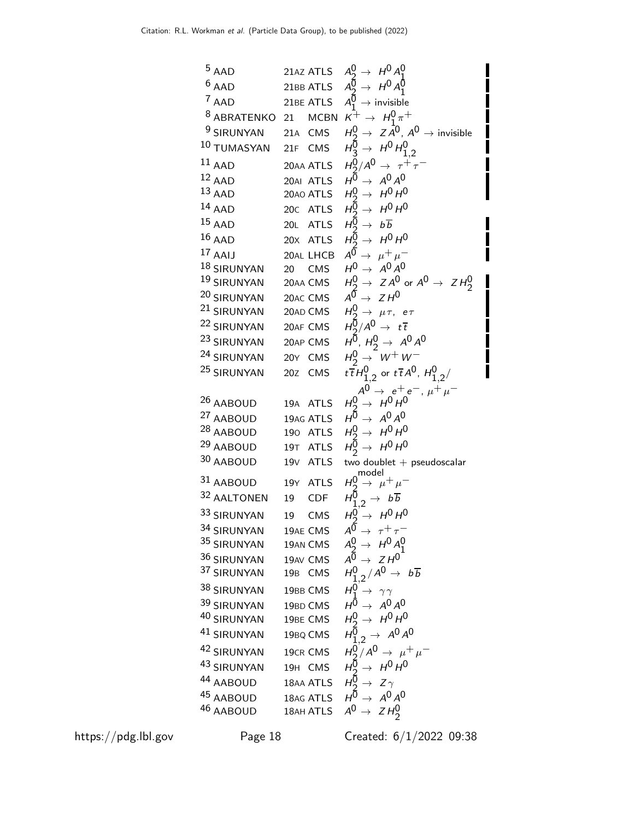5 AAD 21AZ ATLS 
$$
A_9 \rightarrow H^0 A_1^0
$$
  
\n6 AAD 21BB ATLS  $A_9 \rightarrow H^0 A_1^0$   
\n7 AAD 21BE ATLS  $A_1^0 \rightarrow invisible$   
\n8 ABRATENKO 21 MCBN  $K^+ \rightarrow H_1^0 \pi^+$   
\n9 SIRUNYAN 21A CMS  $H_9^0 \rightarrow ZA^0$ ,  $A^0 \rightarrow invisible$   
\n10 TUMASYAN 21F CMS  $H_9^0 \rightarrow H^0 H_{1,2}^0$   
\n11 AAD 20AA ATLS  $H_9^0 \rightarrow H^0 H_{1,2}^0$   
\n11 AAD 20AA TLS  $H_9^0 \rightarrow H^0 H^0$   
\n14 AAD 20A ATLS  $H_9^0 \rightarrow H^0 H^0$   
\n15 AAD 20A TLS  $H_9^0 \rightarrow H^0 H^0$   
\n15 AAD 20C ATLS  $H_9^0 \rightarrow H^0 H^0$   
\n15 AAD 20X ATLS  $H_9^0 \rightarrow H^0 H^0$   
\n17 AAIJ 20AL LHEB  $A^0 \rightarrow H^0 H^0$   
\n19 SIRUNYAN 20 CMS  $H_9^0 \rightarrow ZA^0$  or  $A^0 \rightarrow ZH_2^0$   
\n20 SIRUNYAN 20AMCS  $H_9^0 \rightarrow ZA^0$  or  $A^0 \rightarrow ZH_2^0$   
\n21 SIRUNYAN 20AC CMS  $H_9^0 \rightarrow H^0$ ,  $H_9^0 \rightarrow H^0$   
\n23 SIRUNYAN 20AC TMS  $H_9^0 \rightarrow H^0$   
\n24 SIRUNYAN 20AF CMS  $H_9^0 \rightarrow H^0$   
\n25 SIRUNYAN 20Z KTS  $H_9^0 \rightarrow H^0$   
\n26 AABOUD 19A ATLS  $H_9^0 \rightarrow H^0 H^0$   
\n27 AABOUD 19A ATLS  $H_9^0 \rightarrow H^0 H^0$   
\n28 AABOUD 19A TLS  $H_9^0 \rightarrow H^0 H^0$   
\n29 AABOUD 19T ATS <

https://pdg.lbl.gov Page 18 Created: 6/1/2022 09:38

Ī

П

 $\blacksquare$ 

H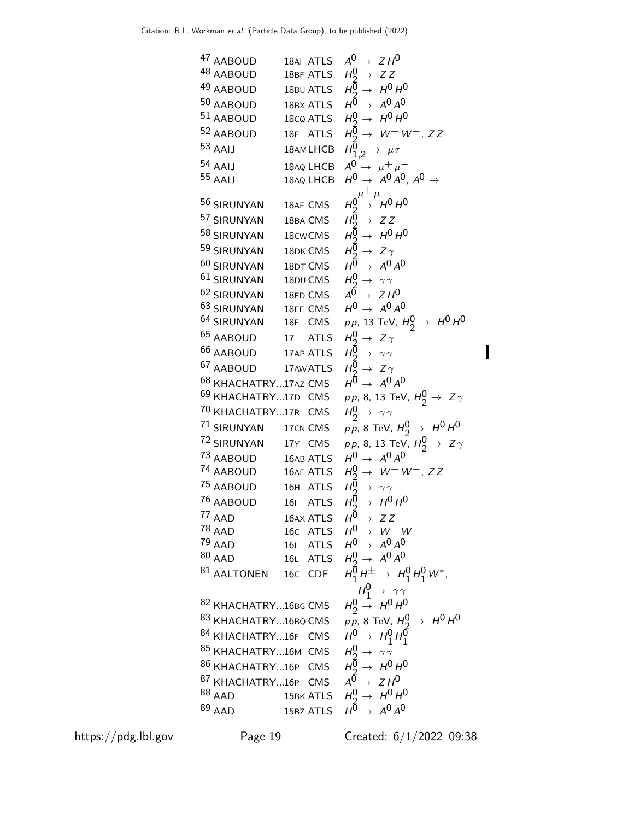47 AABOUD  
\n48 AABOUD  
\n48 AABOUD  
\n48 AABOUD  
\n480 ABDUD  
\n480 ABDUD  
\n480 ABDUD  
\n480 ABDUD  
\n481 ABDUD  
\n481 ABDUD  
\n482 AABOUD  
\n483 ABDUD  
\n484 ABDUD  
\n484 ABDUD  
\n485 B
$$
\rightarrow
$$
 H<sup>0</sup> H<sup>0</sup>  
\n497  
\n409 ABDUD  
\n401 186A TLS  
\n400 B $\rightarrow$  H<sup>0</sup> H<sup>0</sup>  
\n401 18A0 LHEB  
\n411 18A0 LHEB  
\n411 18A0 LHEB  
\n412 140 A<sup>0</sup> A<sup>0</sup> A<sup>0</sup>, A<sup>0</sup> A<sup>0</sup>  
\n414  $\mu$ <sup>-</sup>  
\n425 53 RBUINYAN  
\n4364 LHEB  
\n44  $\mu$ <sup>0</sup> A<sup>0</sup> A<sup>0</sup> A<sup>0</sup>  
\n451 18AQ LHEB  
\n463 HURINYAN  
\n4864 CMS  
\n49  $\rightarrow$  H<sup>0</sup> H<sup>0</sup>  
\n40 61 SIRUNYAN  
\n4864 CMS  
\n49  $\rightarrow$  H<sup>0</sup> H<sup>0</sup>  
\n40 61 SIRUNYAN  
\n4864 CMS  
\n49  $\rightarrow$  H<sup>0</sup> H<sup>0</sup>  
\n49  $\rightarrow$  A<sup>0</sup> A<sup>0</sup>  
\n40 61 SIRUNYAN  
\n486 CMS  
\n49  $\rightarrow$  H<sup>0</sup>  
\n49 ABDUD  
\n401 17 ATLS  
\n403 SIRUNYAN  
\n486 ABDUD  
\n403 SIRUNYAN  
\n487 AEBOUD  
\n49 KHACHATRY...17z CMS  
\n40  $\rightarrow$  A<sup>0</sup> A<sup>0</sup>  
\n40 63 KHACHATRY...17z Z CMS  
\n40  $\rightarrow$  A<sup>0</sup> A

https://pdg.lbl.gov Page 19 Created: 6/1/2022 09:38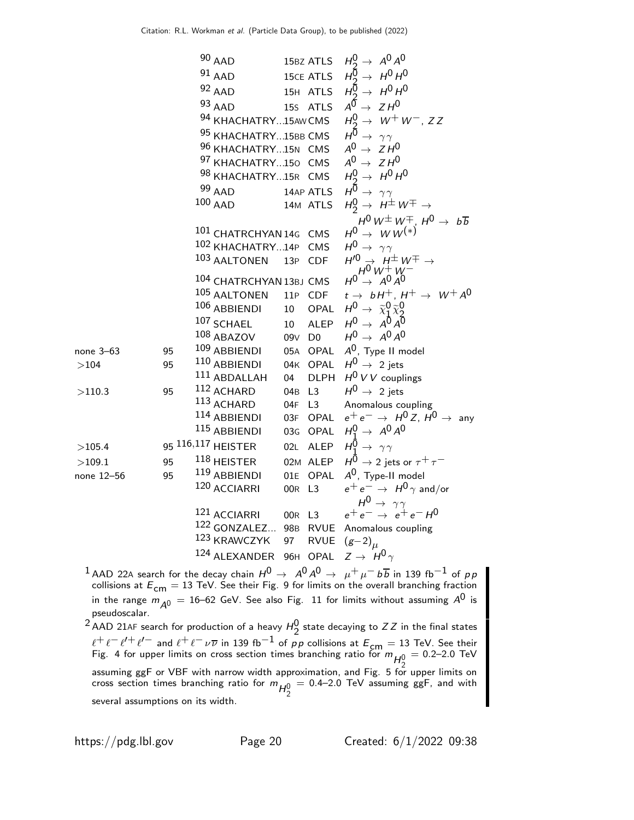AAD 15BZ ATLS H0 <sup>→</sup> <sup>A</sup> A AAD 15CE ATLS H0 <sup>→</sup> <sup>H</sup><sup>0</sup> <sup>H</sup><sup>0</sup> AAD 15<sup>H</sup> ATLS H0 <sup>→</sup> <sup>H</sup><sup>0</sup> <sup>H</sup><sup>0</sup> AAD 15<sup>S</sup> ATLS A0 → Z H0 KHACHATRY...15AWCMS H0 <sup>→</sup> <sup>W</sup>+W−, Z Z KHACHATRY...15BB CMS H0 → γ γ KHACHATRY...15<sup>N</sup> CMS A0 → Z H0 KHACHATRY...15<sup>O</sup> CMS A0 → Z H0 KHACHATRY...15<sup>R</sup> CMS H0 <sup>→</sup> <sup>H</sup><sup>0</sup> <sup>H</sup><sup>0</sup> AAD 14AP ATLS H0 → γ γ AAD 14<sup>M</sup> ATLS H0 <sup>→</sup> <sup>H</sup>±W<sup>∓</sup> <sup>→</sup> H0 W±W∓, H0 → b b CHATRCHYAN 14<sup>G</sup> CMS H0 → W W(∗) KHACHATRY...14<sup>P</sup> CMS H0 → γ γ AALTONEN 13<sup>P</sup> CDF H′0 → H±W∓ → H0 W+W− CHATRCHYAN 13BJ CMS H0 → A0 A0 AALTONEN 11<sup>P</sup> CDF t → b H+, H+ → W+ A0 ABBIENDI 10 OPAL H0 → χe χe SCHAEL 10 ALEP H0 → A A ABAZOV 09<sup>V</sup> D0 H0 → A0 A0 none 3–63 95 109 ABBIENDI 05<sup>A</sup> OPAL A0, Type II model >104 95 110 ABBIENDI 04<sup>K</sup> OPAL H0 → 2 jets ABDALLAH 04 DLPH H0 V V couplings >110.3 95 112 ACHARD 04<sup>B</sup> L3 H0 → 2 jets ACHARD 04<sup>F</sup> L3 Anomalous coupling ABBIENDI 03<sup>F</sup> OPAL e+ e− → H0 Z, H0 → any ABBIENDI 03<sup>G</sup> OPAL H0 <sup>→</sup> <sup>A</sup><sup>0</sup> <sup>A</sup><sup>0</sup> >105.4 95 116,117 HEISTER 02<sup>L</sup> ALEP H0 <sup>→</sup> γ γ >109.1 95 118 HEISTER 02<sup>M</sup> ALEP H0 → 2 jets or τ+ τ− none 12–56 95 119 ABBIENDI 01<sup>E</sup> OPAL A0, Type-II model ACCIARRI 00<sup>R</sup> L3 e+ e− → H0 γ and/or H0 → γ γ ACCIARRI 00<sup>R</sup> L3 e+ e− → e+ e− H0 GONZALEZ... 98<sup>B</sup> RVUE Anomalous coupling KRAWCZYK 97 RVUE (g−2)<sup>µ</sup> ALEXANDER 96<sup>H</sup> OPAL Z → H0 γ

 $^1$  AAD 22A search for the decay chain  $H^0 \rightarrow \,\, A^0 A^0 \rightarrow \,\, \mu^+ \mu^- \,b \overline{b}$  in 139 fb $^{-1}$  of  $\rho \rho$ collisions at  $E_{\text{cm}} = 13$  TeV. See their Fig. 9 for limits on the overall branching fraction in the range  $m_{\tilde{\cal A}^0} =$  16–62 GeV. See also Fig.  $\,$  11 for limits without assuming  ${\cal A}^0$  is pseudoscalar.

<sup>2</sup> AAD 21AF search for production of a heavy  $H_2^0$  state decaying to ZZ in the final states  $\ell^+ \ell^- \ell^{\prime -}$  and  $\ell^+ \ell^- \nu \overline{\nu}$  in 139 fb $^{-1}$  of pp collisions at  $E_{\mathsf{cm}}=13$  TeV. See their Fig. 4 for upper limits on cross section times branching ratio for  $m_{H^0_2} = 0.2$ –2.0 TeV assuming ggF or VBF with narrow width approximation, and Fig. 5 for upper limits on cross section times branching ratio for  $m_{H_2^0}$  $=$  0.4–2.0 TeV assuming ggF, and with several assumptions on its width.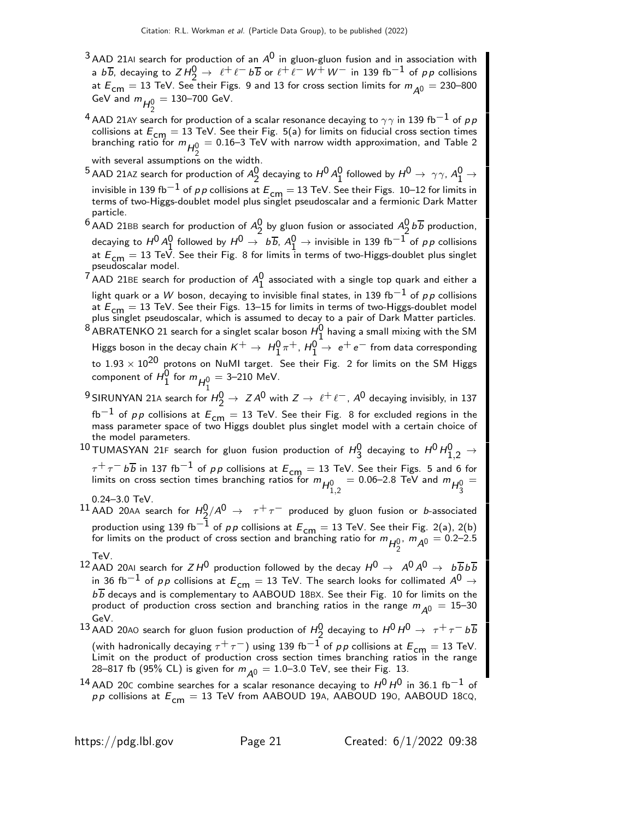- $3$ AAD 21AI search for production of an  $A^0$  in gluon-gluon fusion and in association with a  $b\overline{b}$ , decaying to  $ZH_2^0 \rightarrow \ell^+ \ell^- b\overline{b}$  or  $\ell^+ \ell^- W^+ W^-$  in 139 fb<sup>-1</sup> of pp collisions at  $E_{cm} = 13$  TeV. See their Figs. 9 and 13 for cross section limits for  $m_{A0} = 230-800$ GeV and  $m_{H_2^0}$  $= 130 - 700$  GeV.
- $^4$  AAD 21AY search for production of a scalar resonance decaying to  $\gamma\gamma$  in 139 fb $^{-1}$  of  $\rho\, p$ collisions at  $E_{cm} = 13$  TeV. See their Fig. 5(a) for limits on fiducial cross section times branching ratio for  $m_{H^0_2}=$  0.16–3 TeV with narrow width approximation, and Table 2 with several assumptions on the width.
- $^5$  AAD 21AZ search for production of  $A_2^0$  decaying to  $H^0 A_1^0$  followed by  $H^0\to \gamma\gamma$ ,  $A_1^0\to \gamma\gamma$ invisible in 139 fb<sup>-1</sup> of p p collisions at  $E_{cm} = 13$  TeV. See their Figs. 10–12 for limits in terms of two-Higgs-doublet model plus singlet pseudoscalar and a fermionic Dark Matter particle.
- <sup>6</sup> AAD 21BB search for production of  $A_2^0$  by gluon fusion or associated  $A_2^0$  b  $\overline{b}$  production, decaying to  $H^0 A_0^0$  followed by  $H^0 \to b\overline{b}$ ,  $A_1^0 \to$  invisible in 139 fb<sup>-1</sup> of p p collisions at  $E_{cm} = 13$  TeV. See their Fig. 8 for limits in terms of two-Higgs-doublet plus singlet pseudoscalar model.
- <sup>7</sup> AAD 21BE search for production of  $A_1^0$  associated with a single top quark and either a light quark or a W boson, decaying to invisible final states, in 139 fb<sup>-1</sup> of pp collisions at  $E_{cm} = 13$  TeV. See their Figs. 13–15 for limits in terms of two-Higgs-doublet model plus singlet pseudoscalar, which is assumed to decay to a pair of Dark Matter particles.
- $^8$ ABRATENKO 21 search for a singlet scalar boson  $H_1^0$  having a small mixing with the SM Higgs boson in the decay chain  $K^+ \rightarrow H_1^0 \pi^+, H_1^0 \rightarrow e^+e^-$  from data corresponding to  $1.93 \times 10^{20}$  protons on NuMI target. See their Fig. 2 for limits on the SM Higgs component of  $H_1^0$  for  $m_{H_1^0} =$  3–210 MeV.
- 9 SIRUNYAN 21A search for  $H_2^0 \rightarrow Z A^0$  with  $Z \rightarrow \ell^+ \ell^-$ ,  $A^0$  decaying invisibly, in 137  $fb^{-1}$  of pp collisions at  $E_{cm} = 13$  TeV. See their Fig. 8 for excluded regions in the mass parameter space of two Higgs doublet plus singlet model with a certain choice of the model parameters.
- $^{10}$ TUMASYAN 21F search for gluon fusion production of  $H_3^0$  decaying to  $H^0 H_{1,2}^0 \rightarrow$  $\tau^+\tau^-$  b  $\overline{b}$  in 137 fb $^{-1}$  of pp collisions at  $E_{\mathsf{cm}}=13$  TeV. See their Figs. 5 and 6 for limits on cross section times branching ratios for  $m_{H_{1,2}^0} = 0.06$ –2.8 TeV and  $m_{H_{3}^0}$ =
- 0.24–3.0 TeV.
- $^{11}$  AAD 20AA search for  $H_{2}^{0}/A^{0}$   $\rightarrow$   $~\tau^{+} \tau^{-}$  produced by gluon fusion or *b*-associated production using 139 fb $^{-1}$  of p p collisions at  $E_{\textsf{\scriptsize{cm}}} = 13$  TeV. See their Fig. 2(a), 2(b) for limits on the product of cross section and branching ratio for  $m_{H_2^0}$ ,  $m_{\tilde{A}^0} = 0.2$ –2.5  $-$ TeV.
- <sup>12</sup> AAD 20AI search for  $Z H^0$  production followed by the decay  $H^0 \rightarrow A^0 A^0 \rightarrow b \overline{b} b \overline{b}$ in 36 fb<sup>-1</sup> of pp collisions at  $E_{cm} = 13$  TeV. The search looks for collimated  $A^0 \rightarrow$  $b\overline{b}$  decays and is complementary to AABOUD 18BX. See their Fig. 10 for limits on the product of production cross section and branching ratios in the range  $m_{A0} = 15-30$ GeV.
- $^{13}$  AAD 20A0 search for gluon fusion production of  $H_2^0$  decaying to  $H^0$   $H^0$   $\rightarrow$   $~\tau^+$   $\tau^ b\overline{b}$ (with hadronically decaying  $\tau^+\tau^-$ ) using 139 fb<sup>-1</sup> of pp collisions at  $E_{\textsf{cm}}=$  13 TeV. Limit on the product of production cross section times branching ratios in the range 28–817 fb (95% CL) is given for  $m_{A0} = 1.0$ –3.0 TeV, see their Fig. 13.
- $^{14}$  AAD 20C combine searches for a scalar resonance decaying to  $H^{0}H^{0}$  in 36.1 fb $^{-1}$  of  $pp$  collisions at  $E_{cm} = 13$  TeV from AABOUD 19A, AABOUD 190, AABOUD 18CQ,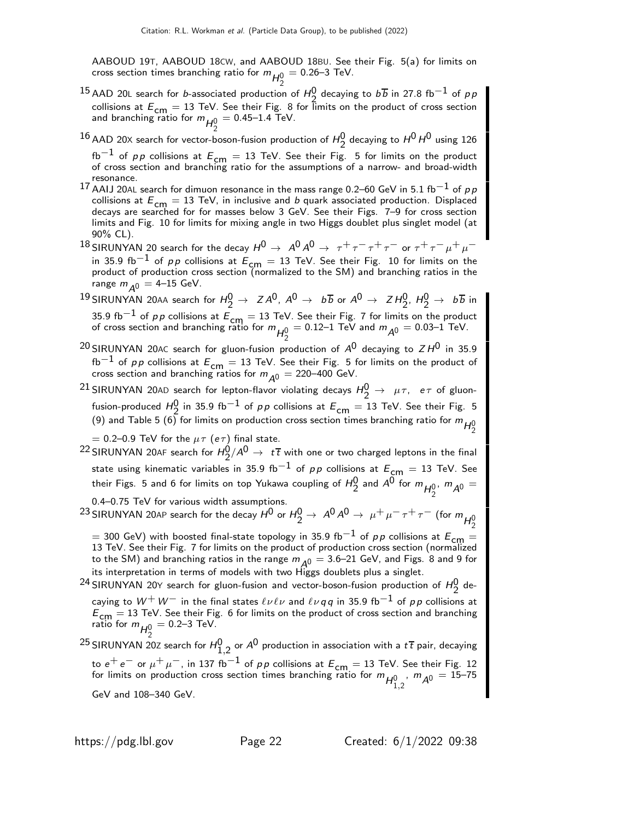AABOUD 19T, AABOUD 18CW, and AABOUD 18BU. See their Fig. 5(a) for limits on cross section times branching ratio for  $m_{\mathcal{H}_2^0}$  $= 0.26 - 3$  TeV.

- <sup>15</sup> AAD 20L search for *b*-associated production of  $H_2^0$  decaying to  $b\overline{b}$  in 27.8 fb<sup>-1</sup> of *pp* collisions at  $E_{cm} = 13$  TeV. See their Fig. 8 for limits on the product of cross section and branching ratio for  $m_{\mathcal{H}_2^0}$  $= 0.45 - 1.4$  TeV.
- $^{16}$  AAD 20X search for vector-boson-fusion production of  $H_2^0$  decaying to  $H^0$   $H^0$  using 126 fb $^{-1}$  of  $\rho\,p$  collisions at  $E_{\mathsf{cm}}=13$  TeV. See their Fig.  $\,$  5 for limits on the product<br>of cross section and branching ratio for the assumptions of a narrow- and broad-width resonance.
- 17 AAIJ 20AL search for dimuon resonance in the mass range 0.2–60 GeV in 5.1 fb<sup>-1</sup> of  $p \, p$ collisions at  $E_{cm} = 13$  TeV, in inclusive and b quark associated production. Displaced decays are searched for for masses below 3 GeV. See their Figs. 7–9 for cross section limits and Fig. 10 for limits for mixing angle in two Higgs doublet plus singlet model (at 90% CL).
- 18 SIRUNYAN 20 search for the decay  $H^0 \to A^0 A^0 \to \tau^+ \tau^- \tau^+ \tau^-$  or  $\tau^+ \tau^- \mu^+ \mu^$ in 35.9 fb $^{-1}$  of  $\rho \rho$  collisions at  $E_{\mathsf{cm}}=13$  TeV. See their Fig.  $\,$  10 for limits on the product of production cross section (normalized to the SM) and branching ratios in the range  $m_{\overline{A}0} = 4-15$  GeV.
- $^{19}$ SIRUNYAN 20AA search for  $H_2^0 \rightarrow Z A^0$ ,  $A^0 \rightarrow b\overline{b}$  or  $A^0 \rightarrow Z H_2^0$ ,  $H_2^0 \rightarrow b\overline{b}$  in 35.9 fb<sup>-1</sup> of pp collisions at  $E_{cm} = 13$  TeV. See their Fig. 7 for limits on the product of cross section and branching ratio for  $m_{\tilde{H}_{2}^{0}} = 0.12$ –1 TeV and  $m_{\tilde{A}^{0}} = 0.03$ –1 TeV.
- <sup>20</sup> SIRUNYAN 20AC search for gluon-fusion production of  $A^0$  decaying to  $ZH^0$  in 35.9  $fb^{-1}$  of pp collisions at  $E_{cm} = 13$  TeV. See their Fig. 5 for limits on the product of cross section and branching ratios for  $m_{\tilde{\cal A}^0}=$  220–400 GeV.

<sup>21</sup> SIRUNYAN 20AD search for lepton-flavor violating decays  $H_2^0 \rightarrow \mu \tau$ ,  $e \tau$  of gluonfusion-produced  $H_0^0$  in 35.9 fb<sup>−1</sup> of *pp* collisions at  $E_{cm} = 13$  TeV. See their Fig. 5 (9) and Table 5 (6) for limits on production cross section times branching ratio for  $m_{H_2^0}$ 

= 0.2–0.9 TeV for the  $\mu \tau$  (e $\tau$ ) final state.

 $^{22}$ SIRUNYAN 20AF search for  $H_2^0/A^0\to~t\,\overline{t}$  with one or two charged leptons in the final state using kinematic variables in 35.9 fb<sup>-1</sup> of pp collisions at  $E_{cm} = 13$  TeV. See their Figs. 5 and 6 for limits on top Yukawa coupling of  $H_2^0$  and  $A^0$  for  $m_{H_2^0}$ ,  $m_{A^0} =$ 

0.4–0.75 TeV for various width assumptions.

- $^{23}$ SIRUNYAN 20AP search for the decay  $H^0$  or  $H^0_2\to\ A^0A^0\to\ \mu^+\mu^-\tau^+\tau^-$  (for  $m_{H^0_2}$ 
	- $=$  300 GeV) with boosted final-state topology in 35.9 fb $^{-1}$  of  $pp$  collisions at  $E_{\mathsf{cm}}=$ 13 TeV. See their Fig. 7 for limits on the product of production cross section (normalized to the SM) and branching ratios in the range  $m_{\tilde{A}^0} = 3.6$ –21 GeV, and Figs.  $8$  and 9 for its interpretation in terms of models with two Higgs doublets plus a singlet.

<sup>24</sup> SIRUNYAN 20Y search for gluon-fusion and vector-boson-fusion production of  $H_2^0$  decaying to  $W^+W^-$  in the final states  $\ell\nu\ell\nu$  and  $\ell\nu q\bar{q}$  in 35.9 fb<sup>-1</sup> of pp collisions at  $E_{\text{cm}} = 13$  TeV. See their Fig. 6 for limits on the product of cross section and branching ratio for  $m_{H_2^0} = 0.2$ –3 TeV.

<sup>25</sup> SIRUNYAN 20Z search for  $H_{1,2}^0$  or  $A^0$  production in association with a  $t\,\overline{t}$  pair, decaying to  $e^+e^-$  or  $\mu^+\mu^-$ , in 137 fb $^{-1}$  of pp collisions at  $E_{\mathsf{cm}}=13$  TeV. See their Fig. 12 for limits on production cross section times branching ratio for  $m_{H_{1,2}^0}$ ,  $m_{A^0} = 15$ –75<br>CoM and 109, 249 CoM

GeV and 108–340 GeV.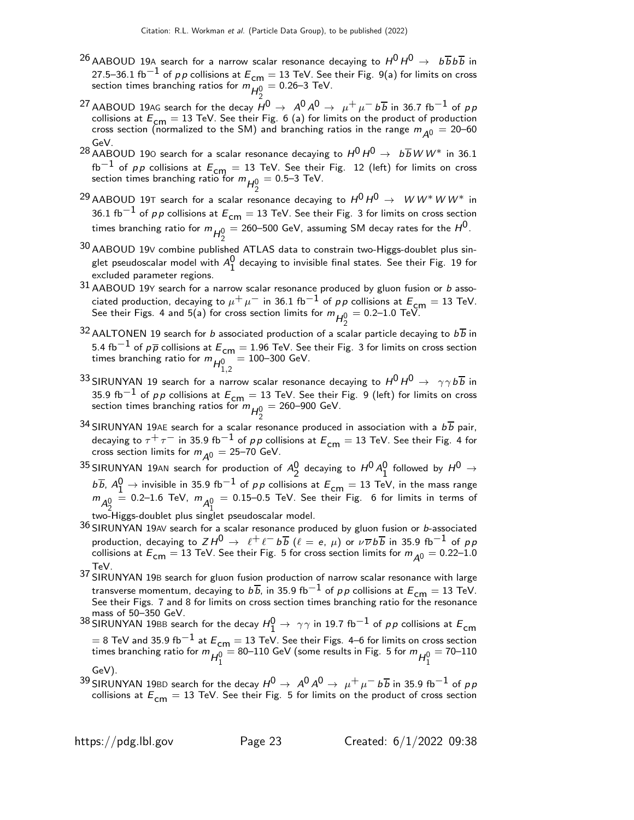- $^{26}$ AABOUD 19A search for a narrow scalar resonance decaying to  $H^0\,H^0\,\rightarrow\,\,b\,\overline{b}\,b\,\overline{b}$  in 27.5–36.1 fb $^{-1}$  of pp collisions at  $E_{cm} = 13$  TeV. See their Fig. 9(a) for limits on cross section times branching ratios for  $m_{\overline{H}_2^0}$  $= 0.26 - 3$  TeV.
- $^{27}$  AABOUD 19AG search for the decay  $H^0 \rightarrow\ A^0 A^0 \rightarrow\ \mu^+ \mu^- \,b \overline{b}$  in 36.7 fb $^{-1}$  of  $\rho \rho$ collisions at  $E_{cm} = 13$  TeV. See their Fig. 6 (a) for limits on the product of production cross section (normalized to the SM) and branching ratios in the range  $m_{\tilde{A}^0} = 20$ –60 GeV.
- <sup>28</sup> AABOUD 190 search for a scalar resonance decaying to  $H^0 H^0 \rightarrow b\overline{b}W W^*$  in 36.1  ${\rm fb^{-1}}$  of  $pp$  collisions at  $E_{\mathsf{cm}}=13$  TeV. See their Fig. 12 (left) for limits on cross section times branching ratio for  $m_{\mathcal{H}_2^0}$  $= 0.5 - 3$  TeV.
- <sup>29</sup> AABOUD 19T search for a scalar resonance decaying to  $H^0 H^0 \rightarrow W W^* W W^*$  in 36.1 fb<sup>-1</sup> of pp collisions at  $E_{cm} = 13$  TeV. See their Fig. 3 for limits on cross section times branching ratio for  $m_{\mathcal{H}_2^0}$  $=$  260–500 GeV, assuming SM decay rates for the  $H^\mathsf{0}$ .
- 30 AABOUD 19<sup>V</sup> combine published ATLAS data to constrain two-Higgs-doublet plus singlet pseudoscalar model with  $A_1^0$  decaying to invisible final states. See their Fig. 19 for excluded parameter regions.
- 31 AABOUD 19Y search for a narrow scalar resonance produced by gluon fusion or b associated production, decaying to  $\mu^+ \mu^-$  in 36.1 fb<sup>-1</sup> of pp collisions at  $E_{\text{cm}} = 13$  TeV. See their Figs. 4 and 5(a) for cross section limits for  $m_{\mathcal{H}_2^0}$  $= 0.2 - 1.0$  TeV.
- <sup>32</sup> AALTONEN 19 search for *b* associated production of a scalar particle decaying to  $b\overline{b}$  in 5.4 fb $^{-1}$  of  $p\overline{p}$  collisions at  $E_{\mathsf{cm}}=1.96$  TeV. See their Fig. 3 for limits on cross section times branching ratio for  $m_{H_{1,2}^0}$  $= 100 - 300$  GeV.
- 33 SIRUNYAN 19 search for a narrow scalar resonance decaying to  $H^0 H^0 \rightarrow \gamma \gamma b \overline{b}$  in 35.9 fb<sup>-1</sup> of pp collisions at  $E_{cm} = 13$  TeV. See their Fig. 9 (left) for limits on cross section times branching ratios for  $m_{\mathcal{H}_2^0}$  $= 260 - 900$  GeV.
- $34$  SIRUNYAN 19AE search for a scalar resonance produced in association with a  $b\overline{b}$  pair, decaying to  $\tau^+ \tau^-$  in 35.9 fb $^{-1}$  of pp collisions at  $E_{\textsf{cm}}=13$  TeV. See their Fig. 4 for cross section limits for  $m_{\tilde{\cal A}^0} =$  25–70 GeV.
- $^{35}$ SIRUNYAN 19AN search for production of  $A_2^0$  decaying to  $H^0 A_1^0$  followed by  $H^0 \rightarrow$  $b\overline{b}$ ,  $A_1^0 \rightarrow$  invisible in 35.9 fb<sup>-1</sup> of *p p* collisions at  $E_{cm} = 13$  TeV, in the mass range  $m_{A_2^0}$  = 0.2–1.6 TeV,  $m_{A_1^0}$  = 0.15–0.5 TeV. See their Fig. 6 for limits in terms of  $\frac{\epsilon_{2}}{\epsilon_{2}}$ two-Higgs-doublet plus singlet pseudoscalar model.
- $36$  SIRUNYAN 19AV search for a scalar resonance produced by gluon fusion or b-associated production, decaying to  $Z H^0 \, \rightarrow \ \, \ell^+ \, \ell^- \, b \, \overline b \,\, (\ell\,=\,e,\, \mu)$  or  $\nu \, \overline{\nu} \, b \, \overline{b}$  in 35.9 fb $^{-1}$  of  $\rho \, p$ collisions at  $E^{}_{\mathsf{cm}}=13$  TeV. See their Fig. 5 for cross section limits for  $m^{}_{\mathcal{A}^0}=0.22\text{--}1.0$ TeV.
- 37 SIRUNYAN 19<sup>B</sup> search for gluon fusion production of narrow scalar resonance with large transverse momentum, decaying to  $b\overline{b}$ , in 35.9 fb $^{-1}$  of  $p\,p$  collisions at  $E_{\mathsf{cm}}=13$  TeV.<br>See their Figs. 7 and 8 for limits on cross section times branching ratio for the resonance mass of 50–350 GeV.
- $^{38}$ SIRUNYAN 19BB search for the decay  $H_1^0 \rightarrow \ \gamma \gamma$  in 19.7 fb $^{-1}$  of  $\rho \rho$  collisions at  $E_{\sf cm}$  $=$  8 TeV and 35.9 fb $^{-1}$  at  $E_{\text{cm}} = 13$  TeV. See their Figs. 4–6 for limits on cross section times branching ratio for  $m_{H_1^0} =$  80–110 GeV (some results in Fig. 5 for  $m_{H_1^0}$  $= 70 - 110$ GeV).
- 39 SIRUNYAN 19BD search for the decay  $H^0 \to A^0 A^0 \to \mu^+ \mu^- b \overline{b}$  in 35.9 fb<sup>-1</sup> of pp collisions at  $E_{cm} = 13$  TeV. See their Fig. 5 for limits on the product of cross section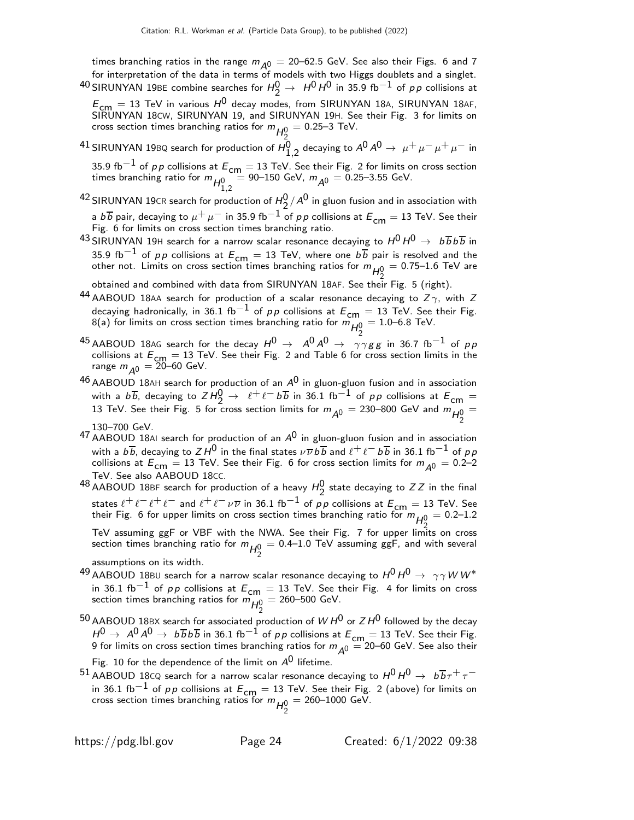times branching ratios in the range  $m_{A0} = 20$ –62.5 GeV. See also their Figs. 6 and 7 for interpretation of the data in terms of models with two Higgs doublets and a singlet.  $^{40}$ SIRUNYAN 19BE combine searches for  $H_2^0 \rightarrow\ H^0\, H^0$  in 35.9 fb $^{-1}$  of  $\rho\, p$  collisions at

 $E_{cm} = 13$  TeV in various  $H^0$  decay modes, from SIRUNYAN 18A, SIRUNYAN 18AF, SIRUNYAN 18CW, SIRUNYAN 19, and SIRUNYAN 19H. See their Fig. 3 for limits on cross section times branching ratios for  $m_{\mathcal{H}_2^0}$  $= 0.25 - 3$  TeV.

 $^{41}$ SIRUNYAN 19BQ search for production of  $H_{1,2}^0$  decaying to  $A^0\,A^0\rightarrow\ \mu^+\,\mu^-\,\mu^+\,\mu^-$  in

35.9 fb<sup>−1</sup> of *p p* collisions at  $E_{\text{cm}} = 13$  TeV. See their Fig. 2 for limits on cross section times branching ratio for  $m_{H_{1,2}^0} = 90$ –150 GeV,  $m_{A^0} = 0.25$ –3.55 GeV.

<sup>42</sup> SIRUNYAN 19CR search for production of  $H_2^0/A^0$  in gluon fusion and in association with a b $\overline{b}$  pair, decaying to  $\mu^+ \mu^-$  in 35.9 fb $^{-1}$  of p $\rho$  collisions at  $E_{\mathsf{cm}}=$  13 TeV. See their<br>Fig. 6 for limits on cross section times branching ratio.

43 SIRUNYAN 19H search for a narrow scalar resonance decaying to  $H^0 H^0 \rightarrow b \overline{b} b \overline{b}$  in 35.9 fb $^{-1}$  of pp collisions at  $E_{\text{cm}} = 13$  TeV, where one  $b\overline{b}$  pair is resolved and the other not. Limits on cross section times branching ratios for  $m_{H_2^0}$  $= 0.75 - 1.6$  TeV are

obtained and combined with data from SIRUNYAN 18AF. See their Fig. 5 (right).

- 44 AABOUD 18AA search for production of a scalar resonance decaying to  $Z\gamma$ , with Z decaying hadronically, in 36.1 fb<sup>-1</sup> of pp collisions at  $E_{cm} = 13$  TeV. See their Fig. 8(a) for limits on cross section times branching ratio for  $\mathsf{m}_{H^0_2}^{\bullet\bullet}=1.0\text{--}6.8$  TeV.
- $^{45}$ AABOUD 18AG search for the decay  $H^0\rightarrow\,\,\,$   $A^0 A^0\,\rightarrow\,\,\,\, \gamma\gamma g\,g$  in 36.7 fb $^{-1}$  of  $\rho\,\rho$ collisions at  $E_{\text{cm}} = 13$  TeV. See their Fig. 2 and Table 6 for cross section limits in the range  $m_{\overline{A^0}} = 20$ –60 GeV.
- $46$  AABOUD 18AH search for production of an  $A^0$  in gluon-gluon fusion and in association with a  $b\overline{b}$ , decaying to  $ZH_2^0 \rightarrow \ell^+\ell^- b\overline{b}$  in 36.1 fb<sup>-1</sup> of pp collisions at  $E_{cm} =$ 13 TeV. See their Fig. 5 for cross section limits for  $m_{\tilde{A}^0} = 230$ –800 GeV and  $m_{\tilde{H}^0_2}$ =

- $^{47}\,$ AABOUD 18AI search for production of an  $A^0$  in gluon-gluon fusion and in association with a  $b\overline{b}$ , decaying to ZH $^0$  in the final states  $\nu\overline{\nu} b\overline{b}$  and  $\ell^+\ell^ b\overline{b}$  in 36.1 fb $^{-1}$  of  $\rho\overline{p}$ collisions at  $E_{cm} = 13$  TeV. See their Fig. 6 for cross section limits for  $m_{A^0} = 0.2$ –2 TeV. See also AABOUD 18CC.
- <sup>48</sup> AABOUD 18BF search for production of a heavy  $H_2^0$  state decaying to ZZ in the final states  $\ell^+ \ell^- \ell^+ \ell^-$  and  $\ell^+ \ell^- \nu \overline{\nu}$  in 36.1 fb $^{-1}$  of pp collisions at  $E_{\textsf{cm}}=13$  TeV. See their Fig. 6 for upper limits on cross section times branching ratio for  $m_{\overline{H^0_2}}=0.2\text{--}1.2$ 2 TeV assuming ggF or VBF with the NWA. See their Fig. 7 for upper limits on cross section times branching ratio for  $m_{H_2^0}$  $=$  0.4–1.0 TeV assuming ggF, and with several
- assumptions on its width.
- 49 AABOUD 18BU search for a narrow scalar resonance decaying to  $H^0 H^0 \rightarrow \gamma \gamma W W^*$ in 36.1 fb<sup>−1</sup> of pp collisions at  $E_{\text{cm}} = 13$  TeV. See their Fig. 4 for limits on cross section times branching ratios for  $m_{H_2^0}$  $= 260 - 500$  GeV.
- $^{50}$  AABOUD 18BX search for associated production of  $W$   $H^0$  or  $Z$   $H^0$  followed by the decay  $H^0 \rightarrow A^0 A^0 \rightarrow b \overline{b} b \overline{b}$  in 36.1 fb $^{-1}$  of pp collisions at  $E_{\mathsf{cm}=2}$  = 13 TeV. See their Fig. 9 for limits on cross section times branching ratios for  $m_{\tilde{A}^0} = 20$ –60 GeV. See also their

Fig. 10 for the dependence of the limit on  $A^0$  lifetime.

 $^{51}$  AABOUD 18CQ search for a narrow scalar resonance decaying to  $H^0$   $H^0$   $\rightarrow$   $\,$   $\, b \overline{b} \tau^+ \tau^$ in 36.1 fb<sup>−1</sup> of pp collisions at  $E_{\text{cm}} = 13$  TeV. See their Fig. 2 (above) for limits on cross section times branching ratios for  $m_{\mathcal{H}_2^0}$  $= 260 - 1000$  GeV.

<sup>130–700</sup> GeV.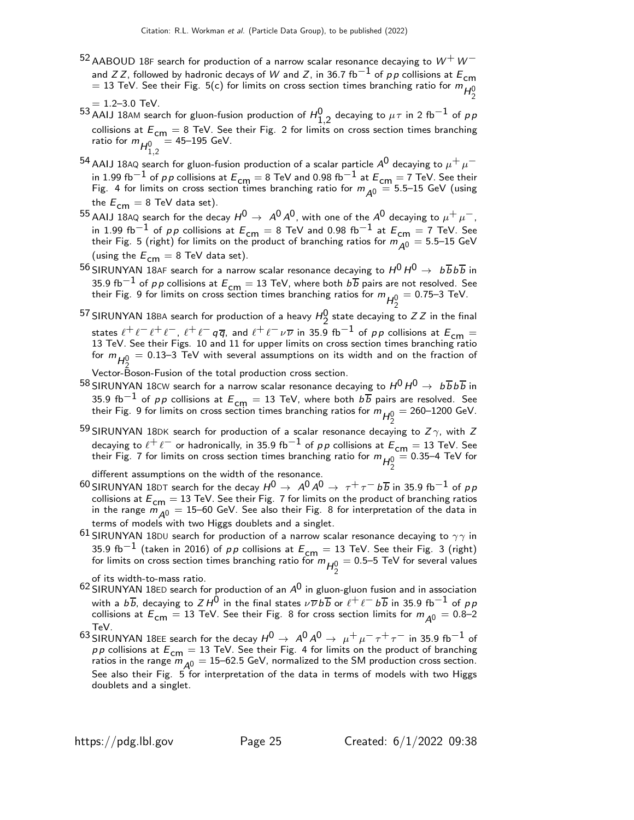- $^{52}$  AABOUD 18F search for production of a narrow scalar resonance decaying to  $W^+W^$ and Z Z, followed by hadronic decays of W and Z, in 36.7 fb<sup>-1</sup> of pp collisions at  $E_{cm}$ = 13 TeV. See their Fig. 5(c) for limits on cross section times branching ratio for  $m_{H_2^0}$
- $= 1.2 3.0$  TeV. 53 AAIJ 18AM search for gluon-fusion production of  $H_{1,2}^0$  decaying to  $\mu\tau$  in 2 fb $^{-1}$  of  $\rho\, p$ collisions at  $E_{cm} = 8$  TeV. See their Fig. 2 for limits on cross section times branching ratio for  $m_{H_{1,2}^0}$  $= 45 - 195$  GeV.
- $^{54}$  AAIJ 18AQ search for gluon-fusion production of a scalar particle  $A^0$  decaying to  $\mu^+ \, \mu^$ in 1.99 fb $^{-1}$  of pp collisions at  $E_{\mathsf{cm}}=8$  TeV and 0.98 fb $^{-1}$  at  $E_{\mathsf{cm}}=7$  TeV. See their Fig. 4 for limits on cross section times branching ratio for  $m_{A^0} = 5.5$ –15 GeV (using the  $E_{cm} = 8$  TeV data set).
- 55 AAIJ 18AQ search for the decay  $H^0 \to A^0 A^0$ , with one of the  $A^0$  decaying to  $\mu^+ \mu^-$ , in 1.99 fb<sup>-1</sup> of p p collisions at  $E_{cm} = 8$  TeV and 0.98 fb<sup>-1</sup> at  $E_{cm} = 7$  TeV. See their Fig. 5 (right) for limits on the product of branching ratios for  $m_{\tilde{A}^0} = 5.5$ –15 GeV (using the  $E_{cm} = 8$  TeV data set).
- 56 SIRUNYAN 18AF search for a narrow scalar resonance decaying to  $H^0 H^0 \rightarrow b \overline{b} b \overline{b}$  in 35.9 fb $^{-1}$  of pp collisions at  $E_{\text{cm}} = 13$  TeV, where both  $b\overline{b}$  pairs are not resolved. See their Fig. 9 for limits on cross section times branching ratios for  $m_{H^0_2}$  $= 0.75 - 3$  TeV.
- 57 SIRUNYAN 18BA search for production of a heavy  $H_2^0$  state decaying to ZZ in the final states  $\ell^+\ell^- \ell^+\ell^-$ ,  $\ell^+\ell^ q\overline{q}$ , and  $\ell^+\ell^-\nu\overline{\nu}$  in 35.9 fb $^{-1}$  of  $p\,p$  collisions at  $E_{\mathsf{cm}}=$  13 TeV. See their Figs. 10 and 11 for upper limits on cross section times branching ratio for  $m_{H_2^0}$  $=$  0.13–3 TeV with several assumptions on its width and on the fraction of

Vector-Boson-Fusion of the total production cross section.

- $^{58}$  SIRUNYAN 18CW search for a narrow scalar resonance decaying to  $H^0 H^0 \rightarrow b \overline{b} b \overline{b}$  in 35.9 fb<sup>-1</sup> of pp collisions at  $E_{\text{cm}} = 13$  TeV, where both  $b\overline{b}$  pairs are resolved. See their Fig. 9 for limits on cross section times branching ratios for  $m_{H_2^0}$  $= 260 - 1200 \text{ GeV}.$
- <sup>59</sup> SIRUNYAN 18DK search for production of a scalar resonance decaying to  $Z\gamma$ , with Z decaying to  $\ell^+ \ell^-$  or hadronically, in 35.9 fb $^{-1}$  of pp collisions at  $E_{cm} = 13$  TeV. See their Fig. 7 for limits on cross section times branching ratio for  $m_{H_2^0}$  $= 0.35 - 4$  TeV for

different assumptions on the width of the resonance.

- 60 SIRUNYAN 18DT search for the decay  $H^0 \to A^0 A^0 \to \tau^+ \tau^- b \overline{b}$  in 35.9 fb<sup>-1</sup> of pp collisions at  $E_{cm} = 13$  TeV. See their Fig. 7 for limits on the product of branching ratios in the range  $m_{A0} = 15$ –60 GeV. See also their Fig. 8 for interpretation of the data in terms of models with two Higgs doublets and a singlet.
- 61 SIRUNYAN 18DU search for production of a narrow scalar resonance decaying to  $\gamma\gamma$  in 35.9 fb $^{-1}$  (taken in 2016) of pp collisions at  $E_{\textsf{cm}}=13$  TeV. See their Fig. 3 (right) for limits on cross section times branching ratio for  $m_{\overline{H^0_2}} = 0.5\text{--}5$  TeV for several values

- 2 of its width-to-mass ratio. 62 SIRUNYAN 18ED search for production of an A0 in gluon-gluon fusion and in association with a  $b\overline{b}$ , decaying to  $Z H^{\overline{0}}$  in the final states  $\nu\overline{\nu} b\overline{b}$  or  $\ell^+ \ell^ b\overline{b}$  in 35.9 fb $^{-1}$  of  $\rho\overline{p}$ collisions at  $E_{\mathsf{cm}}=13$  TeV. See their Fig. 8 for cross section limits for  $m_{\mathsf{A}^0}=0.8$ –2 TeV.
- $^{63}$  SIRUNYAN 18EE search for the decay  $H^0 \rightarrow A^0 A^0 \rightarrow \mu^+ \mu^- \tau^+ \tau^-$  in 35.9 fb $^{-1}$  of pp collisions at  $E_{cm} = 13$  TeV. See their Fig. 4 for limits on the product of branching ratios in the range  $\ddot{m}_{\dot{A}^0} = 15$ –62.5 GeV, normalized to the SM production cross section.<br>See also their Fig. 5 for interpretation of the data in terms of models with two Higgs doublets and a singlet.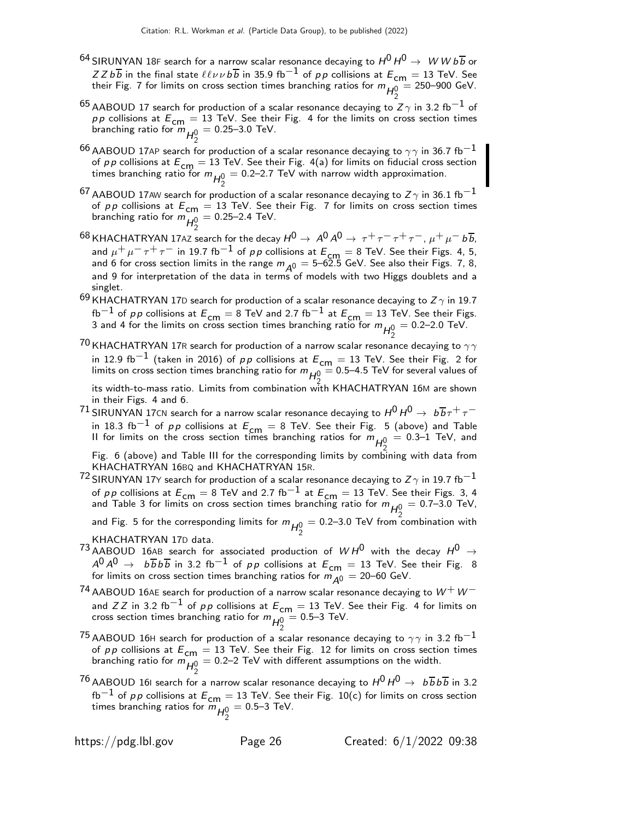- <sup>64</sup> SIRUNYAN 18F search for a narrow scalar resonance decaying to  $H^0$   $H^0$   $\rightarrow$   $\,$   $\,$   $\! W$   $\! W$   $\! b \overline{b}$  or  $ZZb\overline{b}$  in the final state  $\ell\ell\nu\nu b\overline{b}$  in 35.9 fb<sup>-1</sup> of pp collisions at  $E_{\text{cm}} = 13$  TeV. See their Fig. 7 for limits on cross section times branching ratios for  $m_{H^0_2}$  $= 250 - 900$  GeV.
- $^{65}$  AABOUD 17 search for production of a scalar resonance decaying to Z $\gamma$  in 3.2 fb $^{-1}$  of  $pp$  collisions at  $E_{cm} = 13$  TeV. See their Fig. 4 for the limits on cross section times branching ratio for  $m_{H_2^0}$  $= 0.25 - 3.0$  TeV.
- $^{66}$  AABOUD 17AP search for production of a scalar resonance decaying to  $\gamma\gamma$  in 36.7 fb $^{-1}$ of p p collisions at  $E_{\text{cm}} = 13$  TeV. See their Fig. 4(a) for limits on fiducial cross section times branching ratio for  $m_{\mathcal{H}_2^0}$  $= 0.2$ –2.7 TeV with narrow width approximation.
- $^{67}$  AABOUD 17AW search for production of a scalar resonance decaying to Z  $\gamma$  in 36.1 fb $^{-1}$ of *p p* collisions at  $E_{\text{cm}} = 13$  TeV. See their Fig. 7 for limits on cross section times branching ratio for  $m_{H_2^0}^{\cdots}$  $= 0.25 - 2.4$  TeV.
- 68 KHACHATRYAN 17AZ search for the decay  $H^0 \to A^0 A^0 \to \tau^+ \tau^- \tau^+ \tau^-$ ,  $\mu^+ \mu^- b \overline{b}$ , and  $\mu^+ \mu^- \tau^+ \tau^-$  in 19.7 fb<sup>-1</sup> of pp collisions at  $E_{\text{cm}} = 8$  TeV. See their Figs. 4, 5, and 6 for cross section limits in the range  $m_{A^0} = 5-62.5$  GeV. See also their Figs. 7, 8, and 9 for interpretation of the data in terms of models with two Higgs doublets and a singlet.
- 69 KHACHATRYAN 17D search for production of a scalar resonance decaying to  $Z\gamma$  in 19.7  $f_{\rm b}^{-1}$  of pp collisions at  $E_{\rm cm} = 8$  TeV and 2.7 fb $^{-1}$  at  $E_{\rm cm} = 13$  TeV. See their Figs. 3 and 4 for the limits on cross section times branching ratio for  $m_{H^0_2}$  $= 0.2 - 2.0$  TeV.
- $^{70}$ KHACHATRYAN 17R search for production of a narrow scalar resonance decaying to  $\gamma\gamma$ in 12.9 fb $^{-1}$  (taken in 2016) of pp collisions at  $E_{\text{cm}} = 13$  TeV. See their Fig. 2 for limits on cross section times branching ratio for  $m_{H^0_2}=$  0.5–4.5 TeV for several values of

2 its width-to-mass ratio. Limits from combination with KHACHATRYAN 16M are shown in their Figs. 4 and 6.

 $^{71}$  SIRUNYAN 17CN search for a narrow scalar resonance decaying to  $H^0H^0\rightarrow~b\overline{b}\tau^+\tau^$ in 18.3 fb $^{-1}$  of p $p$  collisions at  $E_{\mathsf{cm}}=8$  TeV. See their Fig. 5 (above) and Table II for limits on the cross section times branching ratios for  $m_{H_2^0}$  $= 0.3$ –1 TeV, and

Fig. 6 (above) and Table III for the corresponding limits by combining with data from KHACHATRYAN 16BQ and KHACHATRYAN 15R.

- $^{72}$ SIRUNYAN 17Y search for production of a scalar resonance decaying to Z  $\gamma$  in 19.7 fb $^{-1}$ of p p collisions at  $E_{cm} = 8$  TeV and 2.7 fb<sup>-1</sup> at  $E_{cm} = 13$  TeV. See their Figs. 3, 4 and Table 3 for limits on cross section times branching ratio for  $m_{H^0_2} =$  0.7–3.0 TeV,
	- and Fig. 5 for the corresponding limits for  $m_{H_2^0} = 0.2$ –3.0 TeV from  $\frac{n_2}{2}$  $= 0.2$ –3.0 TeV from combination with KHACHATRYAN 17D data.
- $^{73}$ AABOUD 16AB search for associated production of  $WH^0$  with the decay  $H^0$   $\rightarrow$  $A^{0}A^{0} \rightarrow b \overline{b} b \overline{b}$  in 3.2 fb $^{-1}$  of pp collisions at  $E_{\textsf{cm}}=13$  TeV. See their Fig. 8 for limits on cross section times branching ratios for  $m_{\cal \hat{A}}$ 0  $=$  20–60 GeV.
- $^{74}$  AABOUD 16AE search for production of a narrow scalar resonance decaying to  $W^+W^$ and Z Z in 3.2 fb $^{-1}$  of pp collisions at  $E_{\text{cm}} = 13$  TeV. See their Fig. 4 for limits on cross section times branching ratio for  $m\llap{/}{\bar q}\llap{/}{2}$  $= 0.5 - 3$  TeV.
- $^{75}$  AABOUD 16H search for production of a scalar resonance decaying to  $\gamma\gamma$  in 3.2 fb<sup>-1</sup> of pp collisions at  $E_{cm} = 13$  TeV. See their Fig. 12 for limits on cross section times branching ratio for  $m_{H_2^0}$  $= 0.2$ –2 TeV with different assumptions on the width.
- <sup>76</sup> AABOUD 161 search for a narrow scalar resonance decaying to  $H^0$   $H^0$   $\rightarrow$   $~$   $b\overline{b}$   $b\overline{b}$  in 3.2 fb<sup>−1</sup> of pp collisions at  $E_{cm} = 13$  TeV. See their Fig. 10(c) for limits on cross section times branching ratios for  $\dddot{m}_{H^{0}_{2}}$  $= 0.5 - 3$  TeV.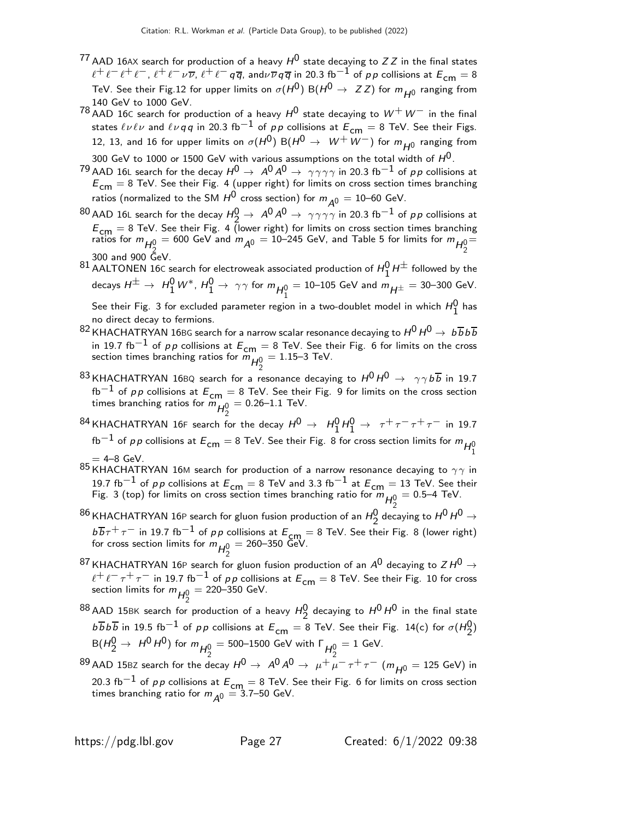- $^{77}$  AAD 16AX search for production of a heavy  $H^0$  state decaying to ZZ in the final states  $\ell^+\ell^-\ell^+\ell^-$ ,  $\ell^+\ell^-\nu\overline{\nu}$ ,  $\ell^+\ell^-\,q\overline{q}$ , and $\nu\overline{\nu}\,q\overline{q}$  in 20.3 fb $^{-1}$  of pp collisions at  $E_{\mathsf{cm}}=8$ TeV. See their Fig.12 for upper limits on  $\sigma(H^0)$  B( $H^0 \rightarrow Z Z$ ) for  $m_{\tilde{H}^0}$  ranging from 140 GeV to 1000 GeV.
- 78 AAD 16C search for production of a heavy  $H^0$  state decaying to  $W^+W^-$  in the final states  $\ell \nu \ell \nu$  and  $\ell \nu qq$  in 20.3 fb<sup>-1</sup> of pp collisions at  $E_{cm} = 8$  TeV. See their Figs. 12, 13, and 16 for upper limits on  $\sigma(H^0)$  B $(H^0 \rightarrow~W^+W^-)$  for  $m_{H^0}$  ranging from
- 300 GeV to 1000 or 1500 GeV with various assumptions on the total width of  $H^{\mathsf{0}}$ .
- $^{79}$  AAD 16L search for the decay  $H^0\to\ A^0 A^0\to\ \gamma\gamma\gamma\gamma$  in 20.3 fb $^{-1}$  of  $\rho\rho$  collisions at  $E_{\text{cm}} = 8$  TeV. See their Fig. 4 (upper right) for limits on cross section times branching ratios (normalized to the SM  $H^0$  cross section) for  $m_{A^0} = 10$ –60 GeV.
- <sup>80</sup> AAD 16L search for the decay  $H_Q^0$  →  $A^0 A^0$  →  $\gamma \gamma \gamma \gamma$  in 20.3 fb<sup>-1</sup> of *pp* collisions at  $E_{\text{cm}} = 8$  TeV. See their Fig. 4 (lower right) for limits on cross section times branching ratios for  $m_{H_2^0} = 600$  GeV and  $m_{A^0} = 10$ –245 GeV, and Table 5 for limits for  $m_{H_2^0}$ 2 300 and 900 GeV. =
- 81 AALTONEN 16C search for electroweak associated production of  $H_1^0 H^{\pm}$  followed by the decays  $H^\pm\to\ H_1^0\,W^*$ ,  $H_1^0\to\ \gamma\gamma$  for  $m_{H_1^0}=$  10–105 GeV and  $m_{H^\pm}=$  30–300 GeV. See their Fig. 3 for excluded parameter region in a two-doublet model in which  $H_1^0$  has

no direct decay to fermions.

- <sup>82</sup> KHACHATRYAN 16BG search for a narrow scalar resonance decaying to  $H^0 H^0 \rightarrow b \overline{b} b \overline{b}$ in 19.7 fb<sup>−1</sup> of pp collisions at  $E_{cm} = 8$  TeV. See their Fig. 6 for limits on the cross section times branching ratios for  $m_{H_2^0}^0$  $= 1.15 - 3$  TeV.
- <sup>83</sup> KHACHATRYAN 16BQ search for a resonance decaying to  $H^0 H^0 \rightarrow \gamma \gamma b \overline{b}$  in 19.7 fb<sup>−1</sup> of pp collisions at  $E_{cm} = 8$  TeV. See their Fig. 9 for limits on the cross section times branching ratios for  $\dddot{m}_{H^0_2} = 0.26$ –1.1 TeV.
- <sup>24</sup> KHACHATRYAN 16F search for the decay  $H^0 \rightarrow H_1^0 H_1^0 \rightarrow \tau^+ \tau^- \tau^+ \tau^-$  in 19.7 fb $^{-1}$  of  $\rho \rho$  collisions at  $E_{\mathsf{cm}}=$  8 TeV. See their Fig. 8 for cross section limits for  $m_{H_1^0}$  $= 4 - 8$  GeV.
- 85 KHACHATRYAN 16M search for production of a narrow resonance decaying to  $\gamma\gamma$  in 19.7 fb<sup>-1</sup> of pp collisions at  $E_{cm} = 8$  TeV and 3.3 fb<sup>-1</sup> at  $E_{cm} = 13$  TeV. See their Fig. 3 (top) for limits on cross section times branching ratio for  $m_{H_2^0}$  $= 0.5 - 4$  TeV.
- $^{86}$ KHACHATRYAN 16P search for gluon fusion production of an  $H_2^0$  decaying to  $H^0$   $H^0$   $\rightarrow$  $b\overline{b}\tau^+\tau^-$  in 19.7 fb $^{-1}$  of pp collisions at  $E_{cm} = 8$  TeV. See their Fig. 8 (lower right) for cross section limits for  $m_{\mathcal{H}_2^0}$  $= 260 - 350$  GeV.
- $^{87}$  KHACHATRYAN 16P search for gluon fusion production of an  $A^0$  decaying to Z H  $^0$   $\rightarrow$  $\ell^+ \ell^- \tau^+ \tau^-$  in 19.7 fb $^{-1}$  of pp collisions at  $E_{\textsf{cm}}=8$  TeV. See their Fig. 10 for cross section limits for  $m_{H_2^0}$  $= 220 - 350$  GeV.
- $^{88}$  AAD 15BK search for production of a heavy  $H_2^0$  decaying to  $H^0$   $H^0$  in the final state  $b \overline{b} b \overline{b}$  in 19.5 fb $^{-1}$  of pp collisions at  $E_{\mathsf{cm}}=8$  TeV. See their Fig. 14(c) for  $\sigma(H_2^0)$  $\hbox{B}(H_2^0\to~H^0\,H^0)$  for  $m_{H_2^0}=$  500–1500 GeV with  $\Gamma_{H_2^0}=$  1 GeV.

<sup>29</sup> AAD 15BZ search for the decay  $H^0 \rightarrow A^0 A^0 \rightarrow \mu^+ \mu^- \tau^+ \tau^-$  ( $m_{H^0} = 125$  GeV) in 20.3 fb $^{-1}$  of pp collisions at  $E_{\textsf{cm}} = 8$  TeV. See their Fig. 6 for limits on cross section times branching ratio for  $m_{\tilde{\cal A}^0} =$  3.7–50 GeV.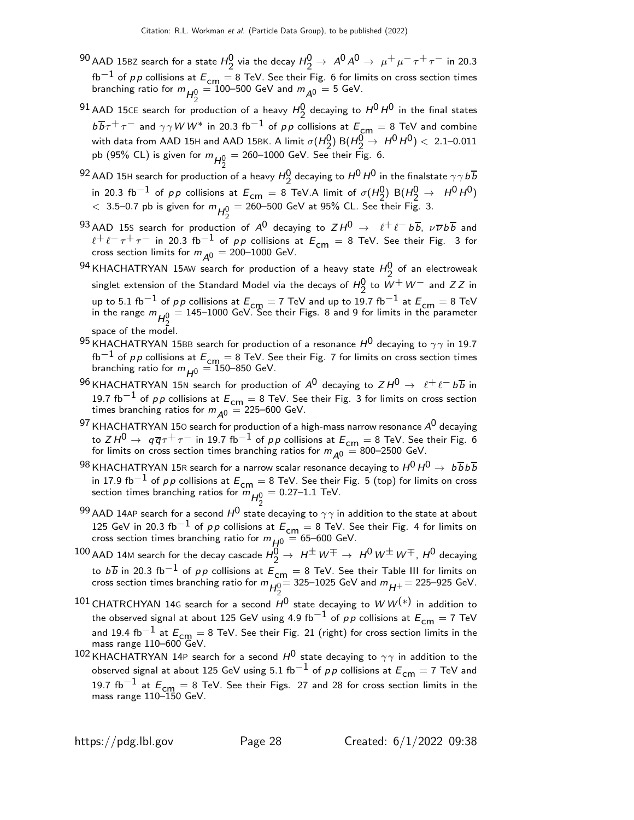- $^{90}$  AAD 15BZ search for a state  $H_2^0$  via the decay  $H_2^0 \rightarrow A^0 A^0 \rightarrow \mu^+ \mu^- \tau^+ \tau^-$  in 20.3 fb $^{-1}$  of  $\rho \rho$  collisions at  $E_{\text{cm}} = 8$  TeV. See their Fig. 6 for limits on cross section times branching ratio for  $m_{H_2^0} = 100$ –500 GeV and  $m_{A^0} = 5$  GeV.
- $^{91}$  AAD 15CE search for production of a heavy  $H_2^0$  decaying to  $H^0$   $H^0$  in the final states  $b\overline{b}\tau^{+}\tau^{-}$  and  $\gamma\gamma$  W W\* in 20.3 fb $^{-1}$  of pp collisions at  $E_{cm}=8$  TeV and combine with data from AAD 15H and AAD 15BK. A limit  $\sigma(H_2^0)$  B( $H_2^0 \rightarrow H^0 H^0$ ) < 2.1–0.011 pb (95% CL) is given for  $m_{\mathcal{H}_2^0}$  $=$  260–1000 GeV. See their Fig. 6.
- $^{92}$  AAD 15H search for production of a heavy  $H^0_\gamma$  decaying to  $H^0$   $H^0$  in the finalstate  $\gamma\gamma\,b\overline{b}$ in 20.3 fb<sup>-1</sup> of pp collisions at  $E_{cm} = 8$  TeV.A limit of  $\sigma(H_2^0)$  B( $H_2^0 \rightarrow H_2^0$ )  $<$  3.5–0.7 pb is given for  $m_{H_2^0}$  $=$  260–500 GeV at 95% CL. See their Fig. 3.
- 93 AAD 15S search for production of  $A^0$  decaying to  $ZH^0 \rightarrow \ell^+ \ell^- b\overline{b}$ ,  $\nu \overline{\nu} b\overline{b}$  and  $\ell^+ \ell^- \tau^+ \tau^-$  in 20.3 fb $^{-1}$  of pp collisions at  $E_{\mathsf{cm}} = 8$  TeV. See their Fig. 3 for cross section limits for  $m_{\tilde{\cal A}^0} =$  200–1000 GeV.
- $^{94}$ KHACHATRYAN 15AW search for production of a heavy state  $H_2^0$  of an electroweak singlet extension of the Standard Model via the decays of  $H_2^0$  to  $W^+W^-$  and  $ZZ$  in up to 5.1 fb $^{-1}$  of pp collisions at  $E_{cm} = 7$  TeV and up to 19.7 fb $^{-1}$  at  $E_{cm} = 8$  TeV in the range  $m_{H^0_2}=$  145–1000 GeV. See their Figs. 8 and 9 for limits in the parameter 2 space of the model.
- 95 KHACHATRYAN 15BB search for production of a resonance  $H^0$  decaying to  $\gamma\gamma$  in 19.7 fb $^{-1}$  of  $\rho \rho$  collisions at  $E_{\textsf{cm}}=8$  TeV. See their Fig. 7 for limits on cross section times branching ratio for  $m_{H^0} = 150$ –850 GeV.
- $^{96}$ KHACHATRYAN 15N search for production of  $A^0$  decaying to  $ZH^0 \rightarrow \ \ \ell^+\ell^-$  b $\overline{b}$  in 19.7 fb<sup>−1</sup> of pp collisions at  $E_{\text{cm}} = 8$  TeV. See their Fig. 3 for limits on cross section times branching ratios for  $m_{\tilde{\mathcal{A}}^0} = 225\text{--}600$  GeV.
- $^{97}$  KHACHATRYAN 150 search for production of a high-mass narrow resonance  $A^{U}$  decaying to  $Z H^0 \to q \overline{q} \tau^+ \tau^-$  in 19.7 fb $^{-1}$  of pp collisions at  $E_{\textsf{\scriptsize cm}}=$  8 TeV. See their Fig. 6 for limits on cross section times branching ratios for  $m_{\tilde{\cal A}^0} = 800$ –2500 GeV.
- $^{98}$ KHACHATRYAN 15R search for a narrow scalar resonance decaying to  $H^0H^0\rightarrow~b\overline{b}b\overline{b}$ in 17.9 fb<sup>−1</sup> of pp collisions at  $E_{\text{cm}} = 8$  TeV. See their Fig. 5 (top) for limits on cross section times branching ratios for  $m_{H_2^0}$  $= 0.27 - 1.1$  TeV.
- $^{99}$  AAD 14AP search for a second  $H^0$  state decaying to  $\gamma\gamma$  in addition to the state at about 125 GeV in 20.3 fb<sup>-1</sup> of pp collisions at  $E_{cm} = 8$  TeV. See their Fig. 4 for limits on cross section times branching ratio for  $m_{\tilde{H}^0} = 65$ –600 GeV.
- $^{100}$  AAD 14M search for the decay cascade  $H_2^0\to\ H^\pm\,W^\mp\to\ H^0\,W^\pm\,W^\mp$  ,  $H^0$  decaying to  $b\overline{b}$  in 20.3 fb<sup>-1</sup> of pp collisions at  $\overline{E}_{cm} = 8$  TeV. See their Table III for limits on cross section times branching ratio for  $m_{H_2^0} = 325-1025$  GeV and  $m_{H^+} = 225-925$  GeV.
- $^{101}$  CHATRCHYAN 14G search for a second  $H^0$  state decaying to  $W\, W^{(\ast)}$  in addition to the observed signal at about 125 GeV using 4.9 fb<sup>-1</sup> of pp collisions at  $E_{cm} = 7$  TeV and 19.4 fb $^{-1}$  at  $E_{cm} = 8$  TeV. See their Fig. 21 (right) for cross section limits in the mass range 110-600 GeV.
- 102 KHACHATRYAN 14P search for a second  $H^0$  state decaying to  $\gamma\gamma$  in addition to the observed signal at about 125 GeV using 5.1 fb<sup>-1</sup> of pp collisions at  $E_{cm} = 7$  TeV and 19.7 fb<sup>-1</sup> at  $E_{cm} = 8$  TeV. See their Figs. 27 and 28 for cross section limits in the mass range 110–150 GeV.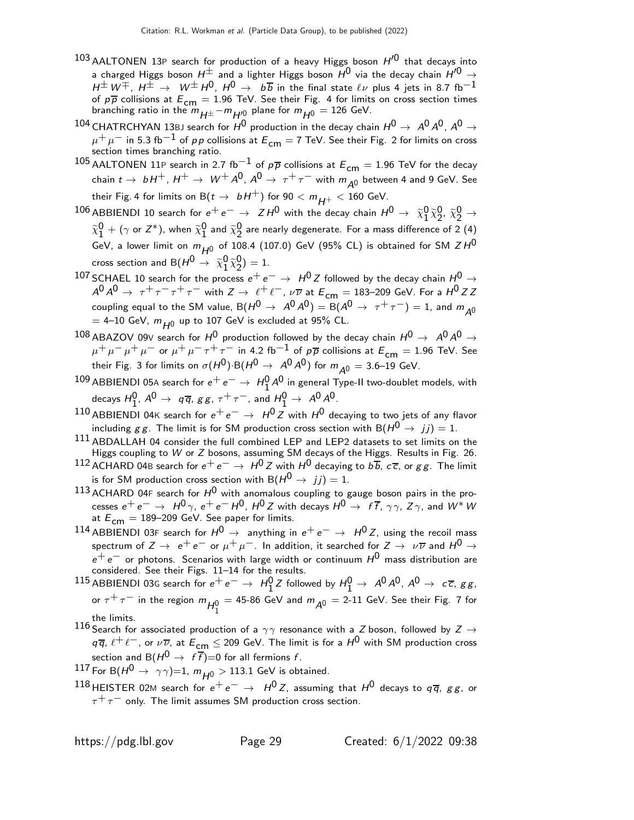- $103$  AALTONEN 13P search for production of a heavy Higgs boson  $H^{0}$  that decays into a charged Higgs boson  $H^{\pm}$  and a lighter Higgs boson  $H^{0}$  via the decay chain  $H'^{0} \rightarrow$  $H^{\pm}W^{\mp}$ ,  $H^{\pm} \rightarrow W^{\pm}H^{0}$ ,  $H^{0} \rightarrow b\overline{b}$  in the final state  $\ell\nu$  plus 4 jets in 8.7 fb $^{-1}$ of  $p\overline{p}$  collisions at  $E_{\text{cm}} = 1.96$  TeV. See their Fig. 4 for limits on cross section times branching ratio in the  $m_{H^{\pm}}-m_{H'^0}$  plane for  $m_{H^0}=126$  GeV.
- 104 CHATRCHYAN 13BJ search for  $H^0$  production in the decay chain  $H^0 \rightarrow A^0 A^0$ ,  $A^0 \rightarrow$  $\mu^+ \mu^-$  in 5.3 fb $^{-1}$  of pp collisions at  $E_{\mathsf{cm}} =$  7 TeV. See their Fig. 2 for limits on cross section times branching ratio.
- 105 AALTONEN 11P search in 2.7 fb<sup>-1</sup> of  $p\overline{p}$  collisions at  $E_{cm} = 1.96$  TeV for the decay chain  $t \to bH^+$ ,  $H^+ \to W^+ A^0$ ,  $A^0 \to \tau^+ \tau^-$  with  $m_{A^0}$  between 4 and 9 GeV. See their Fig. 4 for limits on B( $t \to bH^+$ ) for  $90 < m_{H^+} < 160$  GeV.
- $^{106}$  ABBIENDI 10 search for  $e^+e^-\rightarrow~Z H^0$  with the decay chain  $H^0\rightarrow~\widetilde{\chi}^0_1$  $\begin{smallmatrix} 0 & \widetilde{\chi}^0_2 \ 1 & \widetilde{\chi}^0_2 \end{smallmatrix}$  $2, \tilde{\chi}_2^0 \rightarrow$  $\widetilde{\chi}_1^0$  $\frac{0}{1}$  + ( $\gamma$  or  $Z^*$ ), when  $\widetilde{\chi}^0_1$  $\frac{0}{1}$  and  $\widetilde{\chi}_{2}^{0}$ 2 are nearly degenerate. For a mass difference of 2 (4) GeV, a lower limit on  $m_{H^0}$  of 108.4 (107.0) GeV (95% CL) is obtained for SM  $ZH^0$ cross section and B( $H^0 \rightarrow \ \widetilde{\chi}^0_1$  $\begin{smallmatrix} 0 & \widetilde{\chi}^0_2 \ 1 & \widetilde{\chi}^0_2 \end{smallmatrix}$  $_{2}^{0}) = 1.$
- 107 SCHAEL 10 search for the process  $e^+e^- \rightarrow H^0 Z$  followed by the decay chain  $H^0 \rightarrow$  $A^0 A^0 \rightarrow \tau^+ \tau^- \tau^+ \tau^-$  with  $Z \rightarrow \ell^+ \ell^-$ ,  $\nu \overline{\nu}$  at  $E_{cm} = 183-209$  GeV. For a  $H^0 ZZ$ coupling equal to the SM value,  $B(H^0 \to A^0 A^0) = B(A^0 \to \tau^+ \tau^-) = 1$ , and  $m_{A^0}$  $= 4-10$  GeV,  $m_{H0}$  up to 107 GeV is excluded at 95% CL.
- 108 ABAZOV 09V search for  $H^0$  production followed by the decay chain  $H^0 \rightarrow A^0 A^0 \rightarrow$  $\mu^+ \mu^- \mu^+ \mu^-$  or  $\mu^+ \mu^- \tau^+ \tau^-$  in 4.2 fb $^{-1}$  of  $p\overline{p}$  collisions at  $E_{cm} = 1.96$  TeV. See their Fig. 3 for limits on  $\sigma(H^0)$ ·B $(H^0 \rightarrow A^0 A^0)$  for  $m_{A^0} = 3.6$ –19 GeV.
- 109 ABBIENDI 05A search for  $e^+e^-\rightarrow H_1^0 A^0$  in general Type-II two-doublet models, with decays  $H_1^0$ ,  $A^0 \rightarrow q\overline{q}$ ,  $gg$ ,  $\tau^+ \tau^-$ , and  $H_1^0 \rightarrow A^0 A^0$ .
- 110 ABBIENDI 04K search for  $e^+e^- \rightarrow H^0 Z$  with  $H^0$  decaying to two jets of any flavor including g g. The limit is for SM production cross section with B( $H^0 \rightarrow jj$ ) = 1.
- 111 ABDALLAH 04 consider the full combined LEP and LEP2 datasets to set limits on the Higgs coupling to W or Z bosons, assuming SM decays of the Higgs. Results in Fig. 26.
- $^{112}$  ACHARD 04B search for  $e^+e^-\rightarrow\,H^0\,Z$  with  $H^0$  decaying to  $b\,\overline{b}$ ,  $c\,\overline{c}$ , or  $g\,g$ . The limit is for SM production cross section with  $B(H^0 \rightarrow jj) = 1$ .
- 113 ACHARD 04F search for  $H^0$  with anomalous coupling to gauge boson pairs in the processes  $e^+e^ \rightarrow$   $H^0\gamma$ ,  $e^+e^-H^0$ ,  $H^0Z$  with decays  $H^0 \rightarrow f\bar{f}$ ,  $\gamma\gamma$ ,  $Z\gamma$ , and  $W^*W$ at  $E_{cm} = 189-209$  GeV. See paper for limits.
- 114 ABBIENDI 03F search for  $H^0 \to$  anything in  $e^+e^- \to H^0Z$ , using the recoil mass spectrum of  $Z \to e^+e^-$  or  $\mu^+\mu^-$ . In addition, it searched for  $Z \to \nu\overline{\nu}$  and  $H^0 \to$  $e^+ \, e^-$  or photons. Scenarios with large width or continuum  $H^0$  mass distribution are considered. See their Figs. 11–14 for the results.
- $^{115}$  ABBIENDI 03G search for  $e^+ \, e^- \to \;$   $H^0_1 Z$  followed by  $H^0_1 \to \;$   $A^0 A^0$ ,  $A^0 \to \;$   $c\,\overline{c},\, g\, g$ , or  $\tau^+ \tau^-$  in the region  $m_{H_1^0} =$  45-86 GeV and  $m_{A^0} =$  2-11 GeV. See their Fig. 7 for the limits.
- 116 Search for associated production of a  $\gamma\gamma$  resonance with a  $Z$  boson, followed by  $Z \rightarrow 116$  Search for associated production of a  $\gamma\gamma$  resonance with a  $Z$  $q\overline{q}$ ,  $\ell^+\ell^-$ , or  $\nu\overline{\nu}$ , at  $E_{\mathsf{cm}}\leq$  209 GeV. The limit is for a  $H^0$  with SM production cross section and B $(H^0 \rightarrow f\overline{f})=0$  for all fermions f.
- 117 For B $(H^0 \rightarrow \gamma \gamma)=1$ ,  $m_{H^0} > 113.1$  GeV is obtained.
- 118 HEISTER 02M search for  $e^+e^- \rightarrow H^0 Z$ , assuming that  $H^0$  decays to  $q\bar{q}$ , gg, or  $\tau^+ \tau^-$  only. The limit assumes SM production cross section.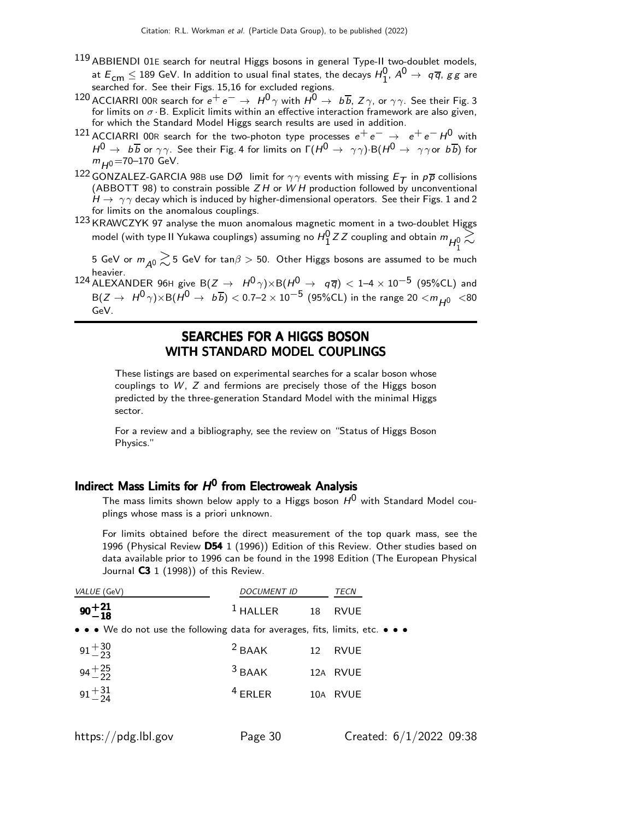- 119 ABBIENDI 01E search for neutral Higgs bosons in general Type-II two-doublet models, at  $E_{\text{cm}} \leq 189$  GeV. In addition to usual final states, the decays  $H_1^0$ ,  $A^0 \rightarrow q\overline{q}$ ,  $gg$  are searched for. See their Figs. 15,16 for excluded regions.
- 120 ACCIARRI 00R search for  $e^+e^- \rightarrow H^0\gamma$  with  $H^0 \rightarrow b\overline{b}$ ,  $Z\gamma$ , or  $\gamma\gamma$ . See their Fig. 3 for limits on  $\sigma \cdot B$ . Explicit limits within an effective interaction framework are also given, for which the Standard Model Higgs search results are used in addition.
- 121 ACCIARRI 00R search for the two-photon type processes  $e^+e^- \rightarrow e^+e^-H^0$  with  $H^0 \to b\overline{b}$  or  $\gamma\gamma$ . See their Fig. 4 for limits on  $\Gamma(H^0 \to \gamma\gamma)$  B $(H^0 \to \gamma\gamma$  or  $b\overline{b})$  for  $m_{H0}$ =70–170 GeV.
- 122 GONZALEZ-GARCIA 98B use DØ limit for  $\gamma\gamma$  events with missing  $E_T$  in  $p\overline{p}$  collisions (ABBOTT 98) to constrain possible  $ZH$  or  $WH$  production followed by unconventional  $H \rightarrow \gamma \gamma$  decay which is induced by higher-dimensional operators. See their Figs. 1 and 2 for limits on the anomalous couplings.
- 123 KRAWCZYK 97 analyse the muon anomalous magnetic moment in a two-doublet Higgs model (with type II Yukawa couplings) assuming no  $H_1^0$  Z Z coupling and obtain  $m_{H_1^0} \gtrsim$

5 GeV or  $m_{A^0} \gtrsim$  5 GeV for tan $\beta >$  50. Other Higgs bosons are assumed to be much heavier.

124 ALEXANDER 96H give B( $Z \rightarrow H^0 \gamma$ )×B( $H^0 \rightarrow q \overline{q}$ ) < 1–4 × 10<sup>-5</sup> (95%CL) and  $B(Z \to H^0 \gamma) \times B(H^0 \to b\overline{b}) < 0.7-2 \times 10^{-5}$  (95%CL) in the range 20  $< m_{H^0}$  <80 GeV.

### SEARCHES FOR A HIGGS BOSON WITH STANDARD MODEL COUPLINGS

These listings are based on experimental searches for a scalar boson whose couplings to W, Z and fermions are precisely those of the Higgs boson predicted by the three-generation Standard Model with the minimal Higgs sector.

For a review and a bibliography, see the review on "Status of Higgs Boson Physics."

# Indirect Mass Limits for  $H^0$  from Electroweak Analysis

The mass limits shown below apply to a Higgs boson  $H^0$  with Standard Model couplings whose mass is a priori unknown.

For limits obtained before the direct measurement of the top quark mass, see the 1996 (Physical Review D54 1 (1996)) Edition of this Review. Other studies based on data available prior to 1996 can be found in the 1998 Edition (The European Physical Journal  $C3$  1 (1998)) of this Review.

| VALUE (GeV)                                                                                                           | <i>DOCUMENT ID</i> |    | TECN        |
|-----------------------------------------------------------------------------------------------------------------------|--------------------|----|-------------|
| $90^{+21}_{-18}$                                                                                                      | $1$ HALLER         | 18 | <b>RVUE</b> |
| $\bullet \bullet \bullet$ We do not use the following data for averages, fits, limits, etc. $\bullet \bullet \bullet$ |                    |    |             |
| $91 + \frac{30}{23}$                                                                                                  | $2$ BAAK           | 12 | <b>RVUE</b> |
| $94^{+25}_{-22}$                                                                                                      | $3$ BAAK           |    | 12A RVUE    |
| $91 + 31$                                                                                                             | $4$ ERLER          |    | 10A RVUE    |
|                                                                                                                       |                    |    |             |

https://pdg.lbl.gov Page 30 Created: 6/1/2022 09:38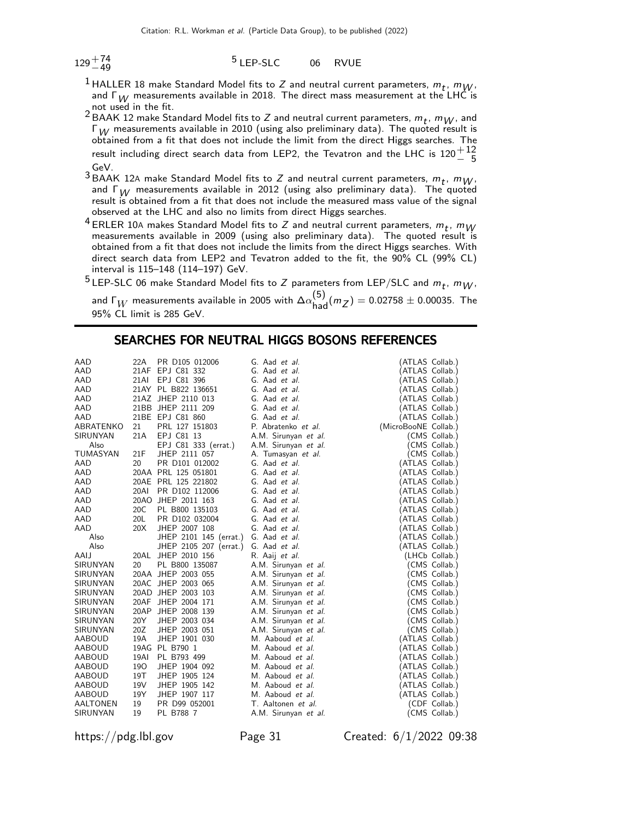$129 + 74$ <br>-49

#### 5 LEP-SLC 06 RVUE

- <sup>1</sup> HALLER 18 make Standard Model fits to Z and neutral current parameters,  $m_t$ ,  $m_W$ , and  $\Gamma_W$  measurements available in 2018. The direct mass measurement at the LHC is not used in the fit.
- <sup>2</sup> BAAK 12 make Standard Model fits to Z and neutral current parameters,  $m_t$ ,  $m_W$ , and  $\Gamma_W$  measurements available in 2010 (using also preliminary data). The quoted result is obtained from a fit that does not include the limit from the direct Higgs searches. The result including direct search data from LEP2, the Tevatron and the LHC is  $120\frac{+12}{-5}$ GeV.
- <sup>3</sup> BAAK 12A make Standard Model fits to Z and neutral current parameters,  $m_t$ ,  $m_W$ and  $\Gamma_W$  measurements available in 2012 (using also preliminary data). The quoted result is obtained from a fit that does not include the measured mass value of the signal observed at the LHC and also no limits from direct Higgs searches.
- <sup>4</sup> ERLER 10A makes Standard Model fits to Z and neutral current parameters,  $m_t$ ,  $m_W$ measurements available in 2009 (using also preliminary data). The quoted result is obtained from a fit that does not include the limits from the direct Higgs searches. With direct search data from LEP2 and Tevatron added to the fit, the 90% CL (99% CL) interval is 115–148 (114–197) GeV.

<sup>5</sup> LEP-SLC 06 make Standard Model fits to Z parameters from LEP/SLC and  $m_t$ ,  $m_W$ , and  $\Gamma_W$  measurements available in 2005 with  $\Delta \alpha_{\rm had}^{(5)} (m_Z) = 0.02758 \pm 0.00035$ . The 95% CL limit is 285 GeV.

### SEARCHES FOR NEUTRAL HIGGS BOSONS REFERENCES

| AAD<br>22A<br>PR D105 012006<br>(ATLAS Collab.)<br>G. Aad <i>et al.</i><br>AAD<br>21AF EPJ C81 332<br>(ATLAS Collab.)<br>G. Aad et al.<br>AAD<br><b>21AI</b><br>EPJ C81 396<br>(ATLAS Collab.)<br>G. Aad et al.<br>21AY PL B822 136651<br>(ATLAS Collab.)<br>AAD<br>G. Aad et al.<br>21AZ JHEP 2110 013<br>AAD<br>G. Aad et al.<br>(ATLAS Collab.)<br>21BB JHEP 2111 209<br>AAD<br>G. Aad et al.<br>(ATLAS Collab.)<br>21BE EPJ C81 860<br>AAD<br>G. Aad et al.<br>(ATLAS Collab.)<br>PRL 127 151803<br>ABRATENKO<br>21<br>(MicroBooNE Collab.)<br>P. Abratenko et al.<br>EPJ C81 13<br>21A<br>A.M. Sirunyan et al.<br><b>SIRUNYAN</b><br>(CMS Collab.)<br>EPJ C81 333 (errat.)<br>Also<br>A.M. Sirunyan et al.<br>(CMS Collab.)<br>TUMASYAN<br>21F<br>JHEP 2111 057<br>A. Tumasyan et al.<br>(CMS Collab.)<br>AAD<br>20<br>PR D101 012002<br>G. Aad et al.<br>(ATLAS Collab.)<br>AAD<br>20AA PRL 125 051801<br>ATLAS Collab.)<br>G. Aad et al.<br>AAD<br>20AE PRL 125 221802<br>G. Aad et al.<br>ATLAS Collab.)<br>AAD<br><b>20AI</b><br>PR D102 112006<br>G. Aad et al.<br>(ATLAS Collab.)<br>AAD<br>20AO JHEP 2011 163<br>G. Aad et al.<br>(ATLAS Collab.)<br>AAD<br>20C<br>PL B800 135103<br>ATLAS Collab.)<br>G. Aad et al.<br>20L<br>PR D102 032004<br>(ATLAS Collab.)<br>AAD<br>G. Aad et al.<br>20X<br>AAD<br>JHEP 2007 108<br>(ATLAS Collab.)<br>G. Aad et al.<br>Also<br>JHEP 2101 145 (errat.)<br>(ATLAS Collab.)<br>G. Aad et al. |
|-----------------------------------------------------------------------------------------------------------------------------------------------------------------------------------------------------------------------------------------------------------------------------------------------------------------------------------------------------------------------------------------------------------------------------------------------------------------------------------------------------------------------------------------------------------------------------------------------------------------------------------------------------------------------------------------------------------------------------------------------------------------------------------------------------------------------------------------------------------------------------------------------------------------------------------------------------------------------------------------------------------------------------------------------------------------------------------------------------------------------------------------------------------------------------------------------------------------------------------------------------------------------------------------------------------------------------------------------------------------------------------------------------------------------------------------------|
|                                                                                                                                                                                                                                                                                                                                                                                                                                                                                                                                                                                                                                                                                                                                                                                                                                                                                                                                                                                                                                                                                                                                                                                                                                                                                                                                                                                                                                               |
|                                                                                                                                                                                                                                                                                                                                                                                                                                                                                                                                                                                                                                                                                                                                                                                                                                                                                                                                                                                                                                                                                                                                                                                                                                                                                                                                                                                                                                               |
|                                                                                                                                                                                                                                                                                                                                                                                                                                                                                                                                                                                                                                                                                                                                                                                                                                                                                                                                                                                                                                                                                                                                                                                                                                                                                                                                                                                                                                               |
|                                                                                                                                                                                                                                                                                                                                                                                                                                                                                                                                                                                                                                                                                                                                                                                                                                                                                                                                                                                                                                                                                                                                                                                                                                                                                                                                                                                                                                               |
|                                                                                                                                                                                                                                                                                                                                                                                                                                                                                                                                                                                                                                                                                                                                                                                                                                                                                                                                                                                                                                                                                                                                                                                                                                                                                                                                                                                                                                               |
|                                                                                                                                                                                                                                                                                                                                                                                                                                                                                                                                                                                                                                                                                                                                                                                                                                                                                                                                                                                                                                                                                                                                                                                                                                                                                                                                                                                                                                               |
|                                                                                                                                                                                                                                                                                                                                                                                                                                                                                                                                                                                                                                                                                                                                                                                                                                                                                                                                                                                                                                                                                                                                                                                                                                                                                                                                                                                                                                               |
|                                                                                                                                                                                                                                                                                                                                                                                                                                                                                                                                                                                                                                                                                                                                                                                                                                                                                                                                                                                                                                                                                                                                                                                                                                                                                                                                                                                                                                               |
|                                                                                                                                                                                                                                                                                                                                                                                                                                                                                                                                                                                                                                                                                                                                                                                                                                                                                                                                                                                                                                                                                                                                                                                                                                                                                                                                                                                                                                               |
|                                                                                                                                                                                                                                                                                                                                                                                                                                                                                                                                                                                                                                                                                                                                                                                                                                                                                                                                                                                                                                                                                                                                                                                                                                                                                                                                                                                                                                               |
|                                                                                                                                                                                                                                                                                                                                                                                                                                                                                                                                                                                                                                                                                                                                                                                                                                                                                                                                                                                                                                                                                                                                                                                                                                                                                                                                                                                                                                               |
|                                                                                                                                                                                                                                                                                                                                                                                                                                                                                                                                                                                                                                                                                                                                                                                                                                                                                                                                                                                                                                                                                                                                                                                                                                                                                                                                                                                                                                               |
|                                                                                                                                                                                                                                                                                                                                                                                                                                                                                                                                                                                                                                                                                                                                                                                                                                                                                                                                                                                                                                                                                                                                                                                                                                                                                                                                                                                                                                               |
|                                                                                                                                                                                                                                                                                                                                                                                                                                                                                                                                                                                                                                                                                                                                                                                                                                                                                                                                                                                                                                                                                                                                                                                                                                                                                                                                                                                                                                               |
|                                                                                                                                                                                                                                                                                                                                                                                                                                                                                                                                                                                                                                                                                                                                                                                                                                                                                                                                                                                                                                                                                                                                                                                                                                                                                                                                                                                                                                               |
|                                                                                                                                                                                                                                                                                                                                                                                                                                                                                                                                                                                                                                                                                                                                                                                                                                                                                                                                                                                                                                                                                                                                                                                                                                                                                                                                                                                                                                               |
|                                                                                                                                                                                                                                                                                                                                                                                                                                                                                                                                                                                                                                                                                                                                                                                                                                                                                                                                                                                                                                                                                                                                                                                                                                                                                                                                                                                                                                               |
|                                                                                                                                                                                                                                                                                                                                                                                                                                                                                                                                                                                                                                                                                                                                                                                                                                                                                                                                                                                                                                                                                                                                                                                                                                                                                                                                                                                                                                               |
|                                                                                                                                                                                                                                                                                                                                                                                                                                                                                                                                                                                                                                                                                                                                                                                                                                                                                                                                                                                                                                                                                                                                                                                                                                                                                                                                                                                                                                               |
|                                                                                                                                                                                                                                                                                                                                                                                                                                                                                                                                                                                                                                                                                                                                                                                                                                                                                                                                                                                                                                                                                                                                                                                                                                                                                                                                                                                                                                               |
| Also<br>JHEP 2105 207 (errat.)<br>(ATLAS Collab.)<br>G. Aad et al.                                                                                                                                                                                                                                                                                                                                                                                                                                                                                                                                                                                                                                                                                                                                                                                                                                                                                                                                                                                                                                                                                                                                                                                                                                                                                                                                                                            |
| JHEP 2010 156<br>(LHCb Collab.)<br>AAIJ<br>20AL<br>R. Aaij <i>et al.</i>                                                                                                                                                                                                                                                                                                                                                                                                                                                                                                                                                                                                                                                                                                                                                                                                                                                                                                                                                                                                                                                                                                                                                                                                                                                                                                                                                                      |
| PL B800 135087<br>SIRUNYAN<br>20<br>(CMS Collab.)<br>A.M. Sirunyan et al.                                                                                                                                                                                                                                                                                                                                                                                                                                                                                                                                                                                                                                                                                                                                                                                                                                                                                                                                                                                                                                                                                                                                                                                                                                                                                                                                                                     |
| 20AA JHEP 2003 055<br>SIRUNYAN<br>A.M. Sirunyan et al.<br>(CMS Collab.)                                                                                                                                                                                                                                                                                                                                                                                                                                                                                                                                                                                                                                                                                                                                                                                                                                                                                                                                                                                                                                                                                                                                                                                                                                                                                                                                                                       |
| 20AC JHEP 2003 065<br><b>SIRUNYAN</b><br>A.M. Sirunyan et al.<br>(CMS Collab.)                                                                                                                                                                                                                                                                                                                                                                                                                                                                                                                                                                                                                                                                                                                                                                                                                                                                                                                                                                                                                                                                                                                                                                                                                                                                                                                                                                |
| 20AD JHEP 2003 103<br><b>SIRUNYAN</b><br>A.M. Sirunyan et al.<br>(CMS Collab.)                                                                                                                                                                                                                                                                                                                                                                                                                                                                                                                                                                                                                                                                                                                                                                                                                                                                                                                                                                                                                                                                                                                                                                                                                                                                                                                                                                |
| 20AF JHEP 2004 171<br>A.M. Sirunyan et al.<br>(CMS Collab.)<br>SIRUNYAN                                                                                                                                                                                                                                                                                                                                                                                                                                                                                                                                                                                                                                                                                                                                                                                                                                                                                                                                                                                                                                                                                                                                                                                                                                                                                                                                                                       |
| SIRUNYAN<br>20AP JHEP 2008 139<br>A.M. Sirunyan et al.<br>(CMS Collab.)                                                                                                                                                                                                                                                                                                                                                                                                                                                                                                                                                                                                                                                                                                                                                                                                                                                                                                                                                                                                                                                                                                                                                                                                                                                                                                                                                                       |
| 20Y<br>A.M. Sirunyan et al.<br>SIRUNYAN<br>JHEP 2003 034<br>(CMS Collab.)                                                                                                                                                                                                                                                                                                                                                                                                                                                                                                                                                                                                                                                                                                                                                                                                                                                                                                                                                                                                                                                                                                                                                                                                                                                                                                                                                                     |
| 20Z<br>SIRUNYAN<br>JHEP 2003 051<br>A.M. Sirunyan et al.<br>(CMS Collab.)                                                                                                                                                                                                                                                                                                                                                                                                                                                                                                                                                                                                                                                                                                                                                                                                                                                                                                                                                                                                                                                                                                                                                                                                                                                                                                                                                                     |
| 19A<br><b>AABOUD</b><br>JHEP 1901 030<br>M. Aaboud et al.<br>(ATLAS Collab.)                                                                                                                                                                                                                                                                                                                                                                                                                                                                                                                                                                                                                                                                                                                                                                                                                                                                                                                                                                                                                                                                                                                                                                                                                                                                                                                                                                  |
| <b>AABOUD</b><br>19AG PL B790 1<br>ATLAS Collab.)<br>M. Aaboud et al.                                                                                                                                                                                                                                                                                                                                                                                                                                                                                                                                                                                                                                                                                                                                                                                                                                                                                                                                                                                                                                                                                                                                                                                                                                                                                                                                                                         |
| 19AI<br>AABOUD<br>PL B793 499<br>M. Aaboud et al.<br>ATLAS Collab.)                                                                                                                                                                                                                                                                                                                                                                                                                                                                                                                                                                                                                                                                                                                                                                                                                                                                                                                                                                                                                                                                                                                                                                                                                                                                                                                                                                           |
| 190<br>AABOUD<br>JHEP 1904 092<br>M. Aaboud et al.<br>(ATLAS Collab.)                                                                                                                                                                                                                                                                                                                                                                                                                                                                                                                                                                                                                                                                                                                                                                                                                                                                                                                                                                                                                                                                                                                                                                                                                                                                                                                                                                         |
| 19T<br>(ATLAS Collab.)<br>AABOUD<br>JHEP 1905 124<br>M. Aaboud et al.                                                                                                                                                                                                                                                                                                                                                                                                                                                                                                                                                                                                                                                                                                                                                                                                                                                                                                                                                                                                                                                                                                                                                                                                                                                                                                                                                                         |
| 19V<br>(ATLAS Collab.)<br>AABOUD<br>JHEP 1905 142<br>M. Aaboud et al.                                                                                                                                                                                                                                                                                                                                                                                                                                                                                                                                                                                                                                                                                                                                                                                                                                                                                                                                                                                                                                                                                                                                                                                                                                                                                                                                                                         |
| 19Y<br>JHEP 1907 117<br>(ATLAS Collab.)<br>AABOUD<br>M. Aaboud et al.                                                                                                                                                                                                                                                                                                                                                                                                                                                                                                                                                                                                                                                                                                                                                                                                                                                                                                                                                                                                                                                                                                                                                                                                                                                                                                                                                                         |
| 19<br>AALTONEN<br>PR D99 052001<br>(CDF Collab.)<br>T. Aaltonen et al.                                                                                                                                                                                                                                                                                                                                                                                                                                                                                                                                                                                                                                                                                                                                                                                                                                                                                                                                                                                                                                                                                                                                                                                                                                                                                                                                                                        |
| SIRUNYAN<br>19<br>PL B788 7<br>A.M. Sirunyan et al.<br>(CMS Collab.)                                                                                                                                                                                                                                                                                                                                                                                                                                                                                                                                                                                                                                                                                                                                                                                                                                                                                                                                                                                                                                                                                                                                                                                                                                                                                                                                                                          |

https://pdg.lbl.gov Page 31 Created: 6/1/2022 09:38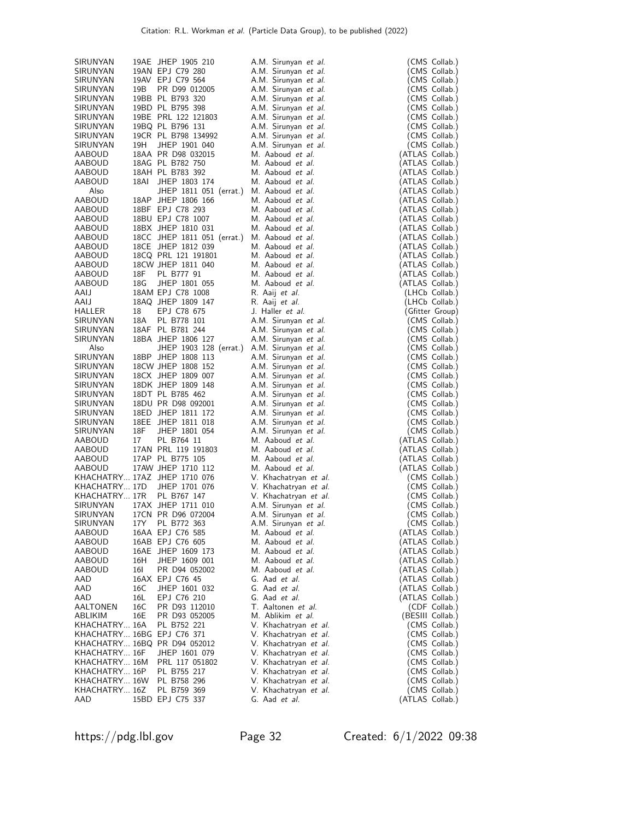| SIRUNYAN                       |      | 19AE JHEP 1905 210                                 | A.M. Sirunyan et al.         | (CMS Collab.)    |
|--------------------------------|------|----------------------------------------------------|------------------------------|------------------|
| SIRUNYAN                       |      | 19AN EPJ C79 280                                   | A.M. Sirunyan et al.         | (CMS Collab.)    |
| SIRUNYAN                       |      | 19AV EPJ C79 564                                   | A.M. Sirunyan et al.         | (CMS Collab.)    |
| SIRUNYAN                       | 19B  | PR D99 012005                                      | A.M. Sirunyan et al.         | (CMS Collab.)    |
| SIRUNYAN                       |      | 19BB PL B793 320                                   | A.M. Sirunyan et al.         | (CMS Collab.)    |
| SIRUNYAN                       |      | 19BD PL B795 398                                   | A.M. Sirunyan et al.         | (CMS Collab.)    |
| SIRUNYAN                       |      | 19BE PRL 122 121803                                | A.M. Sirunyan et al.         | (CMS Collab.)    |
| SIRUNYAN                       |      | 19BQ PL B796 131                                   | A.M. Sirunyan et al.         | (CMS Collab.)    |
| SIRUNYAN                       |      | 19CR PL B798 134992                                | A.M. Sirunyan et al.         |                  |
|                                | 19H  |                                                    |                              | (CMS Collab.)    |
| SIRUNYAN                       |      | JHEP 1901 040                                      | A.M. Sirunyan et al.         | (CMS Collab.)    |
| AABOUD                         |      | 18AA PR D98 032015                                 | M. Aaboud et al.             | (ATLAS Collab.)  |
| AABOUD                         |      | 18AG PL B782 750                                   | M. Aaboud et al.             | (ATLAS Collab.)  |
| <b>AABOUD</b>                  |      | 18AH PL B783 392                                   | M. Aaboud et al.             | (ATLAS Collab.)  |
| AABOUD                         | 18AI | JHEP 1803 174                                      | M. Aaboud et al.             | (ATLAS Collab.)  |
| Also                           |      | JHEP 1811 051 (errat.)                             | M. Aaboud et al.             | (ATLAS Collab.)  |
| AABOUD                         |      | 18AP JHEP 1806 166                                 | M. Aaboud et al.             | (ATLAS Collab.)  |
| AABOUD                         |      | 18BF EPJ C78 293                                   | M. Aaboud et al.             | (ATLAS Collab.)  |
| AABOUD                         |      | 18BU EPJ C78 1007                                  | M. Aaboud et al.             | (ATLAS Collab.)  |
| AABOUD                         |      | 18BX JHEP 1810 031                                 | M. Aaboud et al.             | (ATLAS Collab.)  |
| AABOUD                         |      | 18CC JHEP 1811 051 (errat.)                        | M. Aaboud et al.             | (ATLAS Collab.)  |
| AABOUD                         |      | 18CE JHEP 1812 039                                 | M. Aaboud et al.             | (ATLAS Collab.)  |
| AABOUD                         |      | 18CQ PRL 121 191801                                | M. Aaboud et al.             | (ATLAS Collab.)  |
| AABOUD                         |      | 18CW JHEP 1811 040                                 | M. Aaboud et al.             | (ATLAS Collab.)  |
| AABOUD                         | 18F  | PL B777 91                                         | M. Aaboud et al.             | (ATLAS Collab.)  |
| AABOUD                         | 18G  | JHEP 1801 055                                      | M. Aaboud et al.             | (ATLAS Collab.)  |
| AAIJ                           |      | 18AM EPJ C78 1008                                  | R. Aaij <i>et al.</i>        | (LHCb Collab.)   |
| AAIJ                           |      | 18AQ JHEP 1809 147                                 | R. Aaij <i>et al.</i>        | (LHCb Collab.)   |
| HALLER                         | 18   | EPJ C78 675                                        | J. Haller et al.             | (Gfitter Group)  |
| SIRUNYAN                       | 18A  | PL B778 101                                        | A.M. Sirunyan et al.         | (CMS Collab.)    |
| SIRUNYAN                       |      | 18AF PL B781 244                                   | A.M. Sirunyan et al.         | (CMS Collab.)    |
| SIRUNYAN                       |      | 18BA JHEP 1806 127                                 | A.M. Sirunyan et al.         | (CMS Collab.)    |
| Also                           |      | JHEP 1903 128 (errat.)                             | A.M. Sirunyan et al.         | (CMS Collab.)    |
| SIRUNYAN                       |      | 18BP JHEP 1808 113                                 | A.M. Sirunyan et al.         | (CMS Collab.)    |
| SIRUNYAN                       |      | 18CW JHEP 1808 152                                 | A.M. Sirunyan et al.         | (CMS Collab.)    |
| SIRUNYAN                       |      | 18CX JHEP 1809 007                                 | A.M. Sirunyan et al.         | (CMS Collab.)    |
| SIRUNYAN                       |      | 18DK JHEP 1809 148                                 | A.M. Sirunyan et al.         | (CMS Collab.)    |
| SIRUNYAN                       |      | 18DT PL B785 462                                   | A.M. Sirunyan et al.         | (CMS Collab.)    |
| SIRUNYAN                       |      | 18DU PR D98 092001                                 | A.M. Sirunyan et al.         | (CMS Collab.)    |
| SIRUNYAN                       |      | 18ED JHEP 1811 172                                 | A.M. Sirunyan et al.         | (CMS Collab.)    |
| SIRUNYAN                       |      | 18EE JHEP 1811 018                                 | A.M. Sirunyan et al.         | (CMS Collab.)    |
| SIRUNYAN                       | 18F  | JHEP 1801 054                                      | A.M. Sirunyan et al.         | (CMS Collab.)    |
| AABOUD                         | 17   | PL B764 11                                         | M. Aaboud et al.             | (ATLAS Collab.)  |
| AABOUD                         |      | 17AN PRL 119 191803                                | M. Aaboud et al.             | (ATLAS Collab.)  |
| AABOUD                         |      | 17AP PL B775 105                                   | M. Aaboud et al.             | (ATLAS Collab.)  |
| AABOUD                         |      |                                                    | M. Aaboud et al.             | (ATLAS Collab.)  |
|                                |      | 17AW JHEP 1710 112<br>KHACHATRY 17AZ JHEP 1710 076 |                              |                  |
|                                |      |                                                    | V. Khachatryan <i>et al.</i> | (CMS Collab.)    |
| KHACHATRY 17D<br>KHACHATRY 17R |      | JHEP 1701 076                                      | V. Khachatryan <i>et al.</i> | (CMS Collab.)    |
|                                |      | PL B767 147                                        | V. Khachatryan <i>et al.</i> | (CMS Collab.)    |
| SIRUNYAN                       |      | 17AX JHEP 1711 010                                 | A.M. Sirunyan et al.         | (CMS Collab.)    |
| SIRUNYAN                       |      | 17CN PR D96 072004                                 | A.M. Sirunyan et al.         | (CMS Collab.)    |
| SIRUNYAN                       | 17Y  | PL B772 363                                        | A.M. Sirunyan et al.         | (CMS Collab.)    |
| AABOUD                         |      | 16AA EPJ C76 585                                   | M. Aaboud et al.             | (ATLAS Collab.)  |
| AABOUD                         |      | 16AB EPJ C76 605                                   | M. Aaboud et al.             | (ATLAS Collab.)  |
| AABOUD                         |      | 16AE JHEP 1609 173                                 | M. Aaboud et al.             | (ATLAS Collab.)  |
| AABOUD                         | 16H  | JHEP 1609 001                                      | M. Aaboud et al.             | (ATLAS Collab.)  |
| AABOUD                         | 16I  | PR D94 052002                                      | M. Aaboud et al.             | (ATLAS Collab.)  |
| AAD                            |      | 16AX EPJ C76 45                                    | G. Aad et al.                | (ATLAS Collab.)  |
| AAD                            | 16C  | JHEP 1601 032                                      | G. Aad et al.                | (ATLAS Collab.)  |
| AAD                            | 16L  | EPJ C76 210                                        | G. Aad et al.                | (ATLAS Collab.)  |
| AALTONEN                       | 16C  | PR D93 112010                                      | T. Aaltonen et al.           | (CDF Collab.)    |
| ABLIKIM                        | 16E  | PR D93 052005                                      | M. Ablikim et al.            | (BESIII Collab.) |
| KHACHATRY 16A                  |      | PL B752 221                                        | V. Khachatryan et al.        | (CMS Collab.)    |
| KHACHATRY 16BG EPJ C76 371     |      |                                                    | V. Khachatryan et al.        | (CMS Collab.)    |
|                                |      | KHACHATRY 16BQ PR D94 052012                       | V. Khachatryan et al.        | (CMS Collab.)    |
| KHACHATRY 16F                  |      | JHEP 1601 079                                      | V. Khachatryan et al.        | (CMS Collab.)    |
| KHACHATRY 16M                  |      | PRL 117 051802                                     | V. Khachatryan et al.        | (CMS Collab.)    |
| KHACHATRY 16P                  |      | PL B755 217                                        | V. Khachatryan et al.        | (CMS Collab.)    |
| KHACHATRY 16W                  |      | PL B758 296                                        | V. Khachatryan et al.        | (CMS Collab.)    |
| KHACHATRY 16Z                  |      | PL B759 369                                        | V. Khachatryan et al.        | (CMS Collab.)    |
| AAD                            |      | 15BD EPJ C75 337                                   | G. Aad et al.                | (ATLAS Collab.)  |

https://pdg.lbl.gov Page 32 Created: 6/1/2022 09:38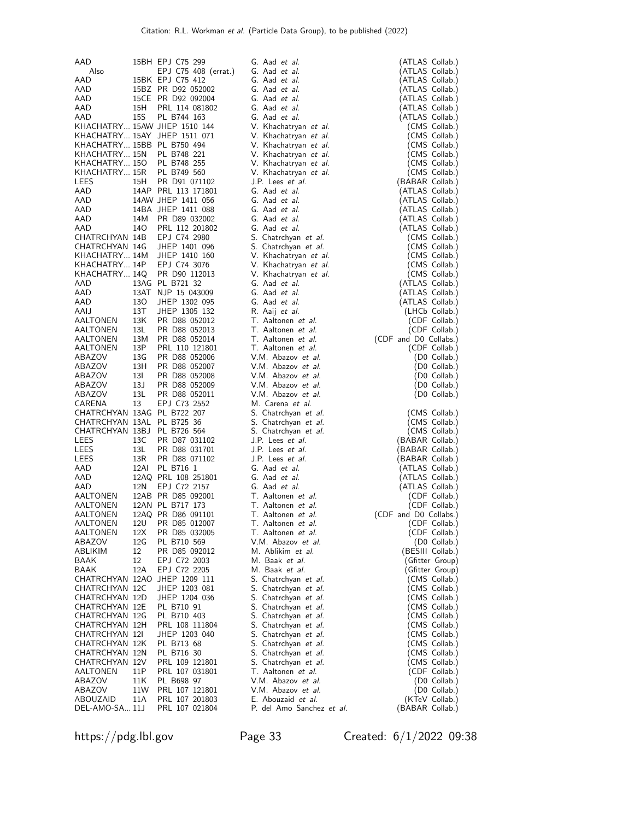| AAD                              |            | 15BH EPJ C75 299                      | G. Aad <i>et al.</i>                         | (ATLAS Collab.)                |
|----------------------------------|------------|---------------------------------------|----------------------------------------------|--------------------------------|
| Also                             |            | EPJ C75 408 (errat.)                  | G. Aad et al.                                | (ATLAS Collab.)                |
| AAD                              |            | 15BK EPJ C75 412                      | G. Aad et al.                                | (ATLAS Collab.)                |
| AAD                              |            | 15BZ PR D92 052002                    | G. Aad et al.                                | (ATLAS Collab.)                |
| AAD                              |            | 15CE PR D92 092004                    | G. Aad et al.                                | (ATLAS Collab.)                |
| AAD                              | 15H        | PRL 114 081802                        | G. Aad et al.                                | (ATLAS Collab.)                |
| AAD                              | <b>15S</b> | PL B744 163                           | G. Aad et al.                                | (ATLAS Collab.)                |
|                                  |            | KHACHATRY 15AW JHEP 1510 144          | V. Khachatryan et al.                        | (CMS Collab.)                  |
|                                  |            | KHACHATRY 15AY JHEP 1511 071          | V. Khachatryan et al.                        | (CMS Collab.)                  |
| KHACHATRY 15BB PL B750 494       |            |                                       | V. Khachatryan et al.                        | (CMS Collab.)                  |
| KHACHATRY 15N                    |            | PL B748 221                           | V. Khachatryan et al.                        | (CMS Collab.)                  |
| KHACHATRY 150                    |            | PL B748 255                           | V. Khachatryan et al.                        | (CMS Collab.)                  |
| KHACHATRY 15R                    |            | PL B749 560                           | V. Khachatryan et al.                        | (CMS Collab.)                  |
| LEES                             | 15H        | PR D91 071102                         | J.P. Lees <i>et al.</i>                      | (BABAR Collab.)                |
| AAD                              |            | 14AP PRL 113 171801                   | G. Aad et al.                                | (ATLAS Collab.)                |
| AAD                              |            | 14AW JHEP 1411 056                    | G. Aad et al.                                | (ATLAS Collab.)                |
| AAD                              |            | 14BA JHEP 1411 088                    | G. Aad et al.                                | (ATLAS Collab.)                |
| AAD                              | 14M        | PR D89 032002                         | G. Aad et al.                                | (ATLAS Collab.)                |
| AAD                              | 14O        | PRL 112 201802                        | G. Aad et al.                                | (ATLAS Collab.)                |
| CHATRCHYAN 14B                   |            | EPJ C74 2980                          | S. Chatrchyan et al.                         | (CMS Collab.)                  |
| CHATRCHYAN 14G                   |            | JHEP 1401 096                         | S. Chatrchyan et al.                         | (CMS Collab.)                  |
| KHACHATRY 14M                    |            | JHEP 1410 160                         | V. Khachatryan <i>et al.</i>                 | (CMS Collab.)                  |
| KHACHATRY 14P                    |            | EPJ C74 3076                          | V. Khachatryan et al.                        | (CMS Collab.)                  |
| KHACHATRY 14Q                    |            | PR D90 112013                         | V. Khachatryan <i>et al.</i>                 | (CMS Collab.)                  |
| AAD                              |            | 13AG PL B721 32<br>13AT NJP 15 043009 | G. Aad <i>et al.</i><br>G. Aad et al.        | (ATLAS Collab.)                |
| AAD                              | 130        |                                       |                                              | (ATLAS Collab.)                |
| AAD<br>AAIJ                      | 13T        | JHEP 1302 095<br>JHEP 1305 132        | G. Aad et al.                                | (ATLAS Collab.)                |
| AALTONEN                         | 13K        | PR D88 052012                         | R. Aaij et al.<br>T. Aaltonen et al.         | (LHCb Collab.)                 |
| AALTONEN                         | 13L        | PR D88 052013                         | T. Aaltonen et al.                           | (CDF Collab.)<br>(CDF Collab.) |
| AALTONEN                         | 13M        | PR D88 052014                         | T. Aaltonen et al.                           | (CDF and D0 Collabs.)          |
| AALTONEN                         | 13P        | PRL 110 121801                        | T. Aaltonen et al.                           | (CDF Collab.)                  |
| ABAZOV                           | 13G        | PR D88 052006                         | V.M. Abazov et al.                           | (D0 Collab.)                   |
| ABAZOV                           | 13H        | PR D88 052007                         | V.M. Abazov <i>et al.</i>                    | (D0 Collab.)                   |
| ABAZOV                           | 13I        | PR D88 052008                         | V.M. Abazov et al.                           | (D0 Collab.)                   |
| ABAZOV                           | 13J        | PR D88 052009                         | V.M. Abazov et al.                           | (D0 Collab.)                   |
| ABAZOV                           | 13L        | PR D88 052011                         | V.M. Abazov <i>et al.</i>                    | (D0 Collab.)                   |
| CARENA                           | 13         | EPJ C73 2552                          | M. Carena et al.                             |                                |
| CHATRCHYAN 13AG PL B722 207      |            |                                       | S. Chatrchyan et al.                         | (CMS Collab.)                  |
| CHATRCHYAN 13AL PL B725 36       |            |                                       | S. Chatrchyan et al.                         | (CMS Collab.)                  |
| CHATRCHYAN 13BJ PL B726 564      |            |                                       | S. Chatrchyan et al.                         | (CMS Collab.)                  |
| LEES                             | 13C        | PR D87 031102                         | J.P. Lees <i>et al.</i>                      | (BABAR Collab.)                |
| LEES                             | 13L        | PR D88 031701                         | J.P. Lees <i>et al.</i>                      | (BABAR Collab.)                |
| LEES                             | 13R        | PR D88 071102                         | J.P. Lees et al.                             | (BABAR Collab.)                |
| AAD                              | 12AI       | PL B716 1                             | G. Aad et al.                                | (ATLAS Collab.)                |
| AAD                              |            | 12AQ PRL 108 251801                   | G. Aad et al.                                | (ATLAS Collab.)                |
| AAD                              | 12N        | EPJ C72 2157                          | G. Aad et al.                                | (ATLAS Collab.)                |
| AALTONEN                         |            | 12AB PR D85 092001                    | T. Aaltonen et al.                           | (CDF Collab.)                  |
| AALTONEN                         |            | 12AN PL B717 173                      | T. Aaltonen et al.                           | (CDF Collab.)                  |
| AALTONEN                         |            | 12AQ PR D86 091101                    | T. Aaltonen et al.                           | (CDF and D0 Collabs.)          |
| AALTONEN                         | 12U        | PR D85 012007                         | T. Aaltonen <i>et al.</i>                    | (CDF Collab.)                  |
| AALTONEN                         | 12X        | PR D85 032005                         | T. Aaltonen et al.                           | (CDF Collab.)                  |
| ABAZOV                           | 12G        | PL B710 569                           | V.M. Abazov et al.                           | (D0 Collab.)                   |
| ABLIKIM                          | 12         | PR D85 092012                         | M. Ablikim et al.                            | (BESIII Collab.)               |
| BAAK                             | 12         | EPJ C72 2003                          | M. Baak et al.                               | (Gfitter Group)                |
| BAAK                             | 12A        | EPJ C72 2205                          | M. Baak et al.                               | (Gfitter Group)                |
|                                  |            | CHATRCHYAN 12AO JHEP 1209 111         | S. Chatrchyan et al.                         | (CMS Collab.)                  |
| CHATRCHYAN 12C                   |            | JHEP 1203 081                         | S. Chatrchyan et al.                         | (CMS Collab.)                  |
| CHATRCHYAN 12D                   |            | JHEP 1204 036                         | S. Chatrchyan et al.                         | (CMS Collab.)                  |
| CHATRCHYAN 12E                   |            | PL B710 91                            | S. Chatrchyan et al.                         | (CMS Collab.)                  |
| CHATRCHYAN 12G                   |            | PL B710 403                           | S. Chatrchyan et al.                         | (CMS Collab.)                  |
| CHATRCHYAN 12H                   |            | PRL 108 111804                        | S. Chatrchyan et al.                         | (CMS Collab.)                  |
| CHATRCHYAN 12I<br>CHATRCHYAN 12K |            | JHEP 1203 040                         | S. Chatrchyan et al.<br>S. Chatrchyan et al. | (CMS Collab.)                  |
| CHATRCHYAN 12N                   |            | PL B713 68<br>PL B716 30              |                                              | (CMS Collab.)                  |
| CHATRCHYAN 12V                   |            | PRL 109 121801                        | S. Chatrchyan et al.<br>S. Chatrchyan et al. | (CMS Collab.)<br>(CMS Collab.) |
| AALTONEN                         | 11P        | PRL 107 031801                        | T. Aaltonen et al.                           | (CDF Collab.)                  |
| ABAZOV                           | 11K        | PL B698 97                            | V.M. Abazov et al.                           | (D0 Collab.)                   |
| ABAZOV                           | 11W        | PRL 107 121801                        | V.M. Abazov et al.                           | (D0 Collab.)                   |
| ABOUZAID                         | 11A        | PRL 107 201803                        | E. Abouzaid et al.                           | (KTeV Collab.)                 |
|                                  |            | PRL 107 021804                        | P. del Amo Sanchez et al.                    | (BABAR Collab.)                |
| DEL-AMO-SA 11J                   |            |                                       |                                              |                                |

https://pdg.lbl.gov Page 33 Created: 6/1/2022 09:38